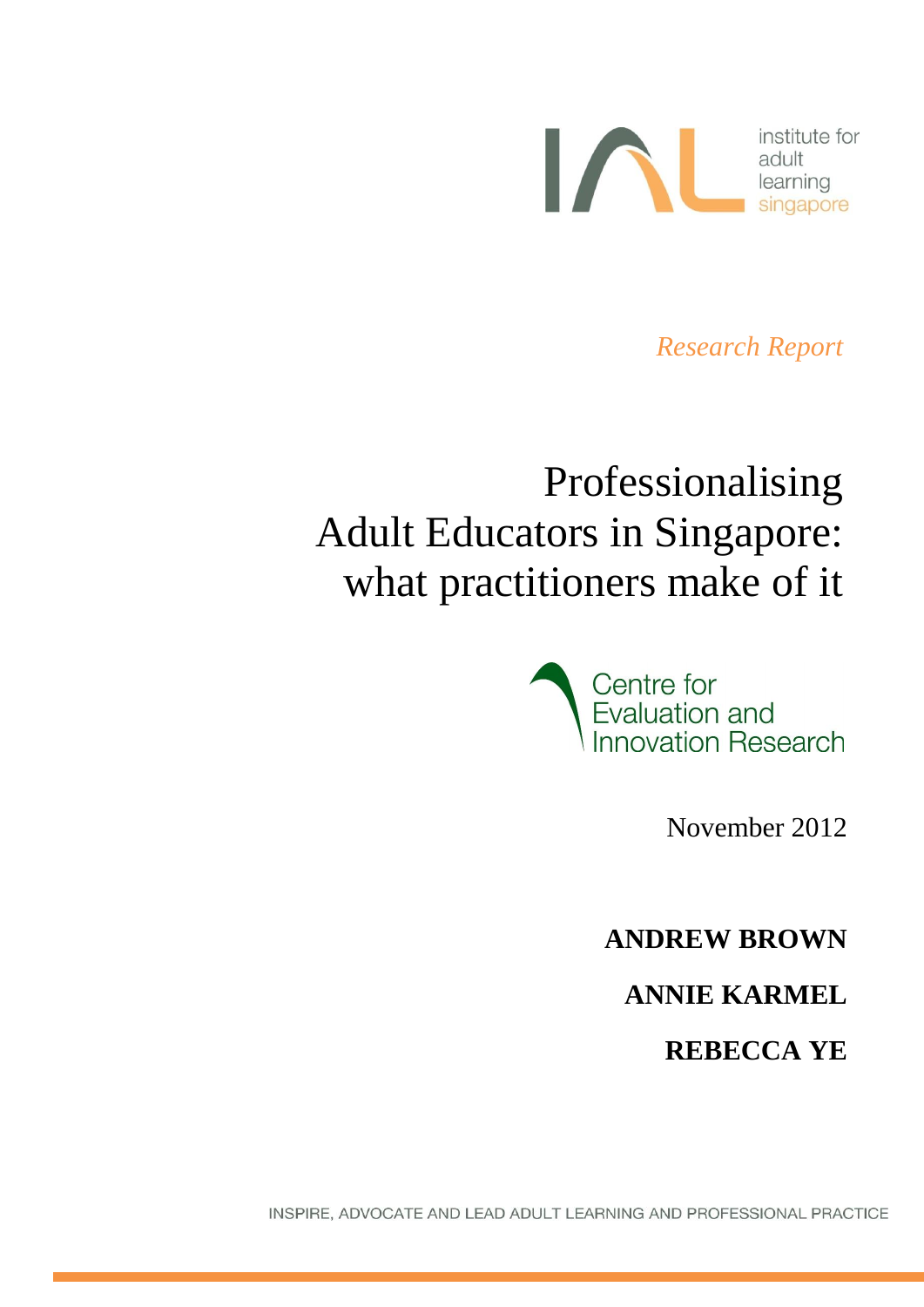

*Research Report*

# Professionalising Adult Educators in Singapore: what practitioners make of it



November 2012

**ANDREW BROWN**

**ANNIE KARMEL**

**REBECCA YE**

INSPIRE, ADVOCATE AND LEAD ADULT LEARNING AND PROFESSIONAL PRACTICE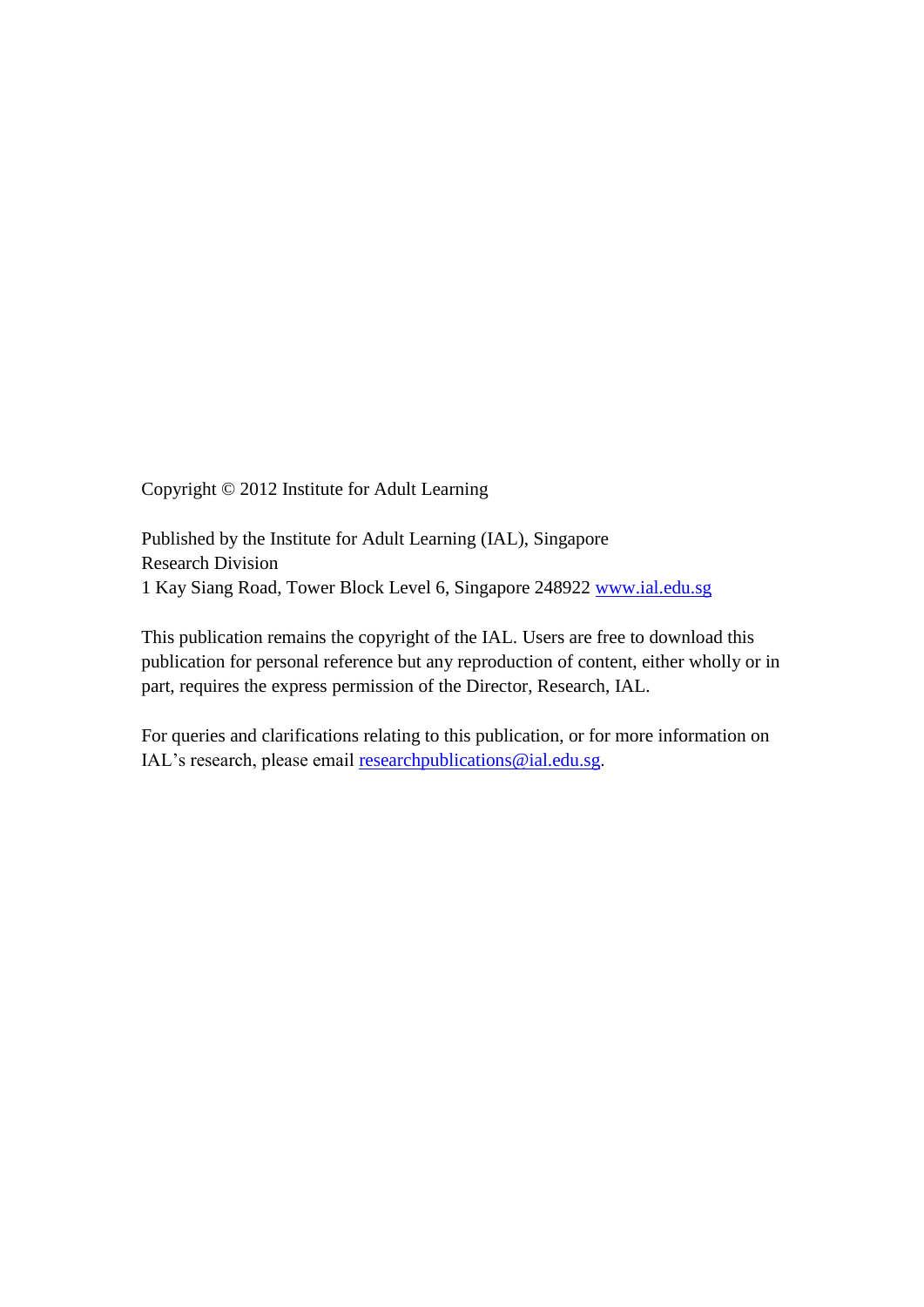Copyright © 2012 Institute for Adult Learning

Published by the Institute for Adult Learning (IAL), Singapore Research Division 1 Kay Siang Road, Tower Block Level 6, Singapore 248922 [www.ial.edu.sg](http://www.ial.edu.sg/)

This publication remains the copyright of the IAL. Users are free to download this publication for personal reference but any reproduction of content, either wholly or in part, requires the express permission of the Director, Research, IAL.

For queries and clarifications relating to this publication, or for more information on IAL's research, please email [researchpublications@ial.edu.sg.](mailto:researchpublications@ial.edu.sg)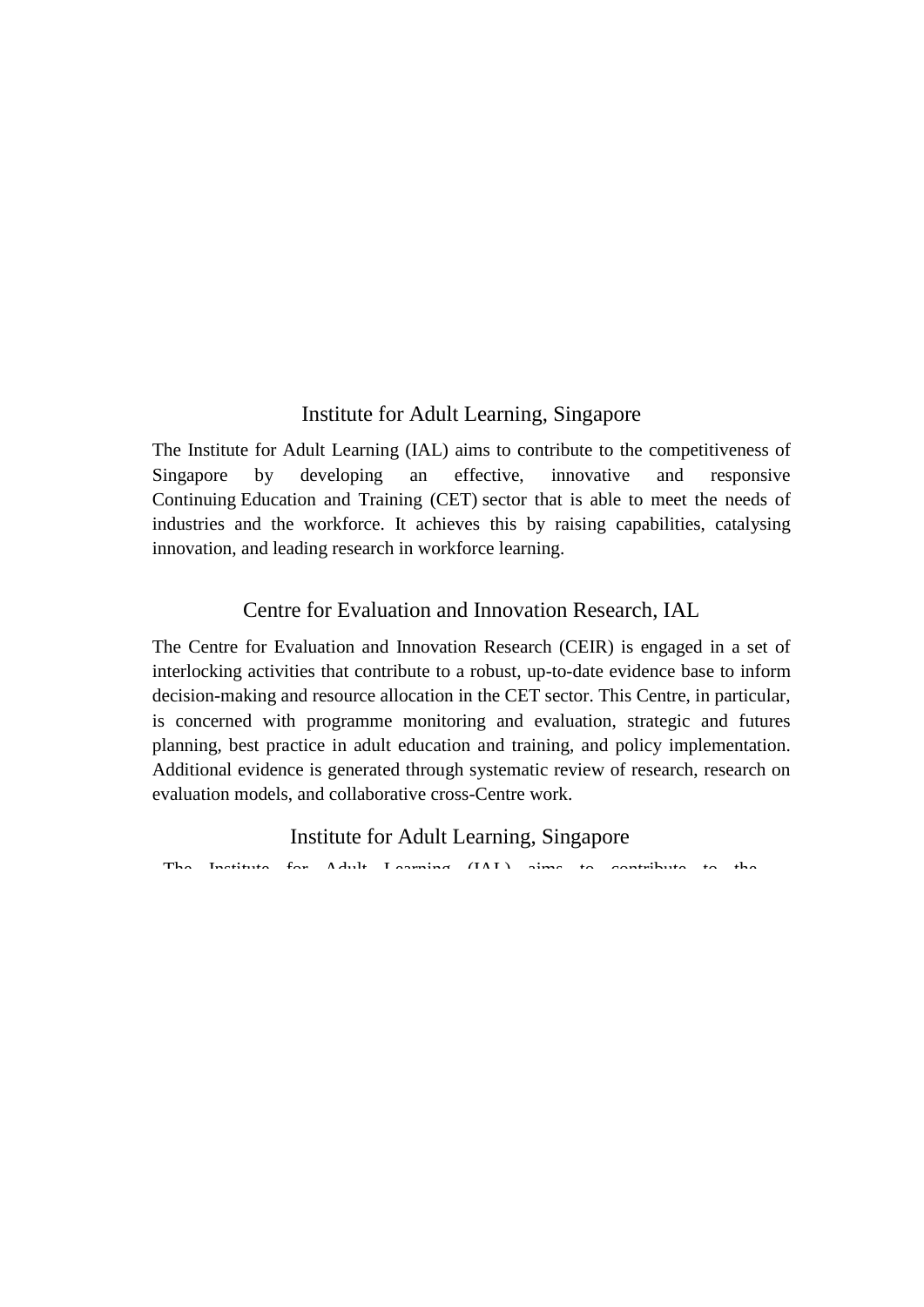### Institute for Adult Learning, Singapore

The Institute for Adult Learning (IAL) aims to contribute to the competitiveness of Singapore by developing an effective, innovative and responsive Continuing Education and Training (CET) sector that is able to meet the needs of industries and the workforce. It achieves this by raising capabilities, catalysing innovation, and leading research in workforce learning.

### Centre for Evaluation and Innovation Research, IAL

The Centre for Evaluation and Innovation Research (CEIR) is engaged in a set of interlocking activities that contribute to a robust, up-to-date evidence base to inform decision-making and resource allocation in the CET sector. This Centre, in particular, is concerned with programme monitoring and evaluation, strategic and futures planning, best practice in adult education and training, and policy implementation. Additional evidence is generated through systematic review of research, research on evaluation models, and collaborative cross-Centre work.

#### Institute for Adult Learning, Singapore

The Institute for Adult Learning (IAL) aims to contribute to the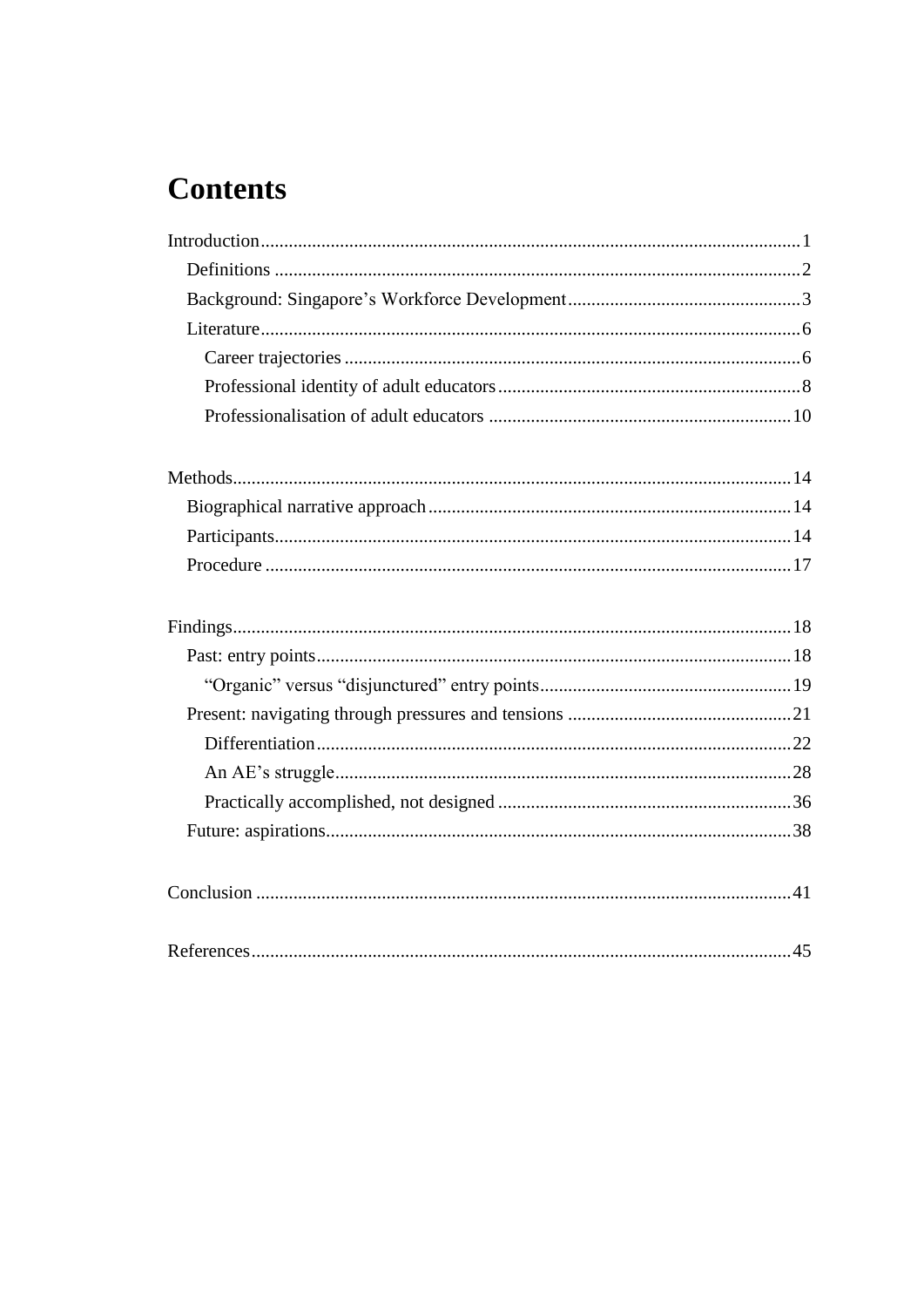## **Contents**

| References | 45 |
|------------|----|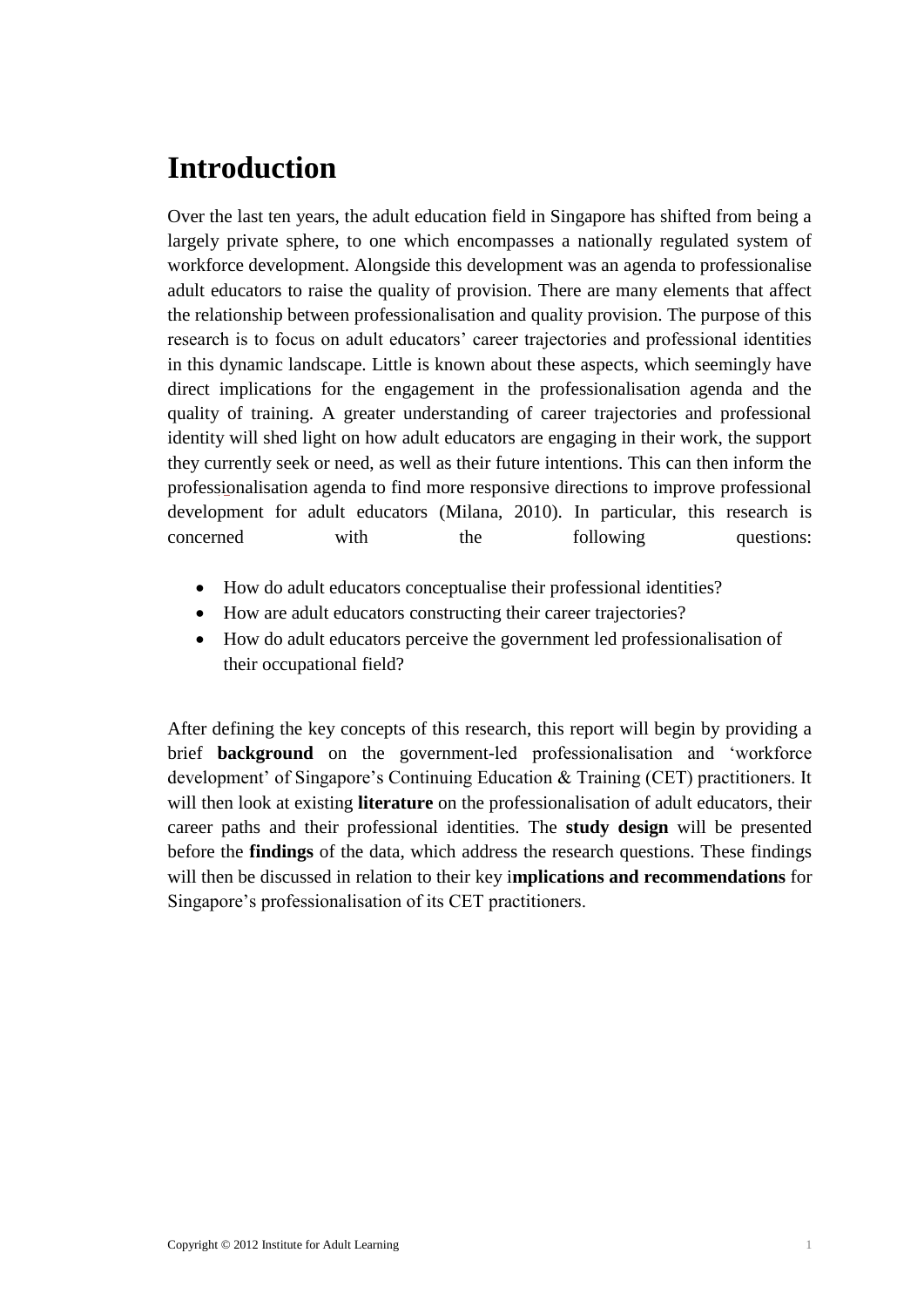## <span id="page-4-0"></span>**Introduction**

Over the last ten years, the adult education field in Singapore has shifted from being a largely private sphere, to one which encompasses a nationally regulated system of workforce development. Alongside this development was an agenda to professionalise adult educators to raise the quality of provision. There are many elements that affect the relationship between professionalisation and quality provision. The purpose of this research is to focus on adult educators' career trajectories and professional identities in this dynamic landscape. Little is known about these aspects, which seemingly have direct implications for the engagement in the professionalisation agenda and the quality of training. A greater understanding of career trajectories and professional identity will shed light on how adult educators are engaging in their work, the support they currently seek or need, as well as their future intentions. This can then inform the professionalisation agenda to find more responsive directions to improve professional development for adult educators (Milana, 2010). In particular, this research is concerned with the following questions:

- How do adult educators conceptualise their professional identities?
- How are adult educators constructing their career trajectories?
- How do adult educators perceive the government led professionalisation of their occupational field?

After defining the key concepts of this research, this report will begin by providing a brief **background** on the government-led professionalisation and 'workforce development' of Singapore's Continuing Education & Training (CET) practitioners. It will then look at existing **literature** on the professionalisation of adult educators, their career paths and their professional identities. The **study design** will be presented before the **findings** of the data, which address the research questions. These findings will then be discussed in relation to their key i**mplications and recommendations** for Singapore's professionalisation of its CET practitioners.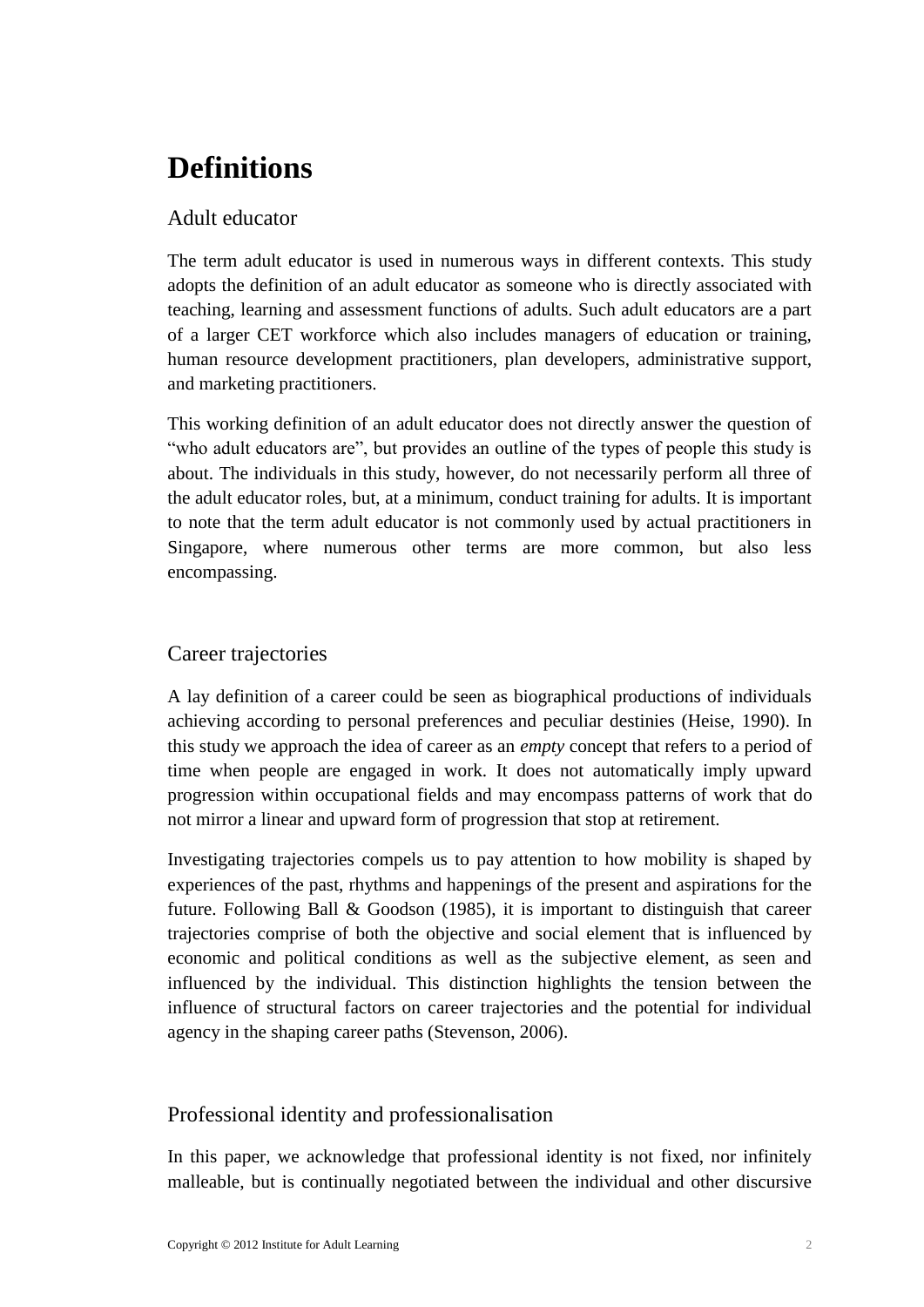## <span id="page-5-0"></span>**Definitions**

### Adult educator

The term adult educator is used in numerous ways in different contexts. This study adopts the definition of an adult educator as someone who is directly associated with teaching, learning and assessment functions of adults. Such adult educators are a part of a larger CET workforce which also includes managers of education or training, human resource development practitioners, plan developers, administrative support, and marketing practitioners.

This working definition of an adult educator does not directly answer the question of "who adult educators are", but provides an outline of the types of people this study is about. The individuals in this study, however, do not necessarily perform all three of the adult educator roles, but, at a minimum, conduct training for adults. It is important to note that the term adult educator is not commonly used by actual practitioners in Singapore, where numerous other terms are more common, but also less encompassing.

### Career trajectories

A lay definition of a career could be seen as biographical productions of individuals achieving according to personal preferences and peculiar destinies (Heise, 1990). In this study we approach the idea of career as an *empty* concept that refers to a period of time when people are engaged in work. It does not automatically imply upward progression within occupational fields and may encompass patterns of work that do not mirror a linear and upward form of progression that stop at retirement.

Investigating trajectories compels us to pay attention to how mobility is shaped by experiences of the past, rhythms and happenings of the present and aspirations for the future. Following Ball & Goodson (1985), it is important to distinguish that career trajectories comprise of both the objective and social element that is influenced by economic and political conditions as well as the subjective element, as seen and influenced by the individual. This distinction highlights the tension between the influence of structural factors on career trajectories and the potential for individual agency in the shaping career paths (Stevenson, 2006).

### Professional identity and professionalisation

In this paper, we acknowledge that professional identity is not fixed, nor infinitely malleable, but is continually negotiated between the individual and other discursive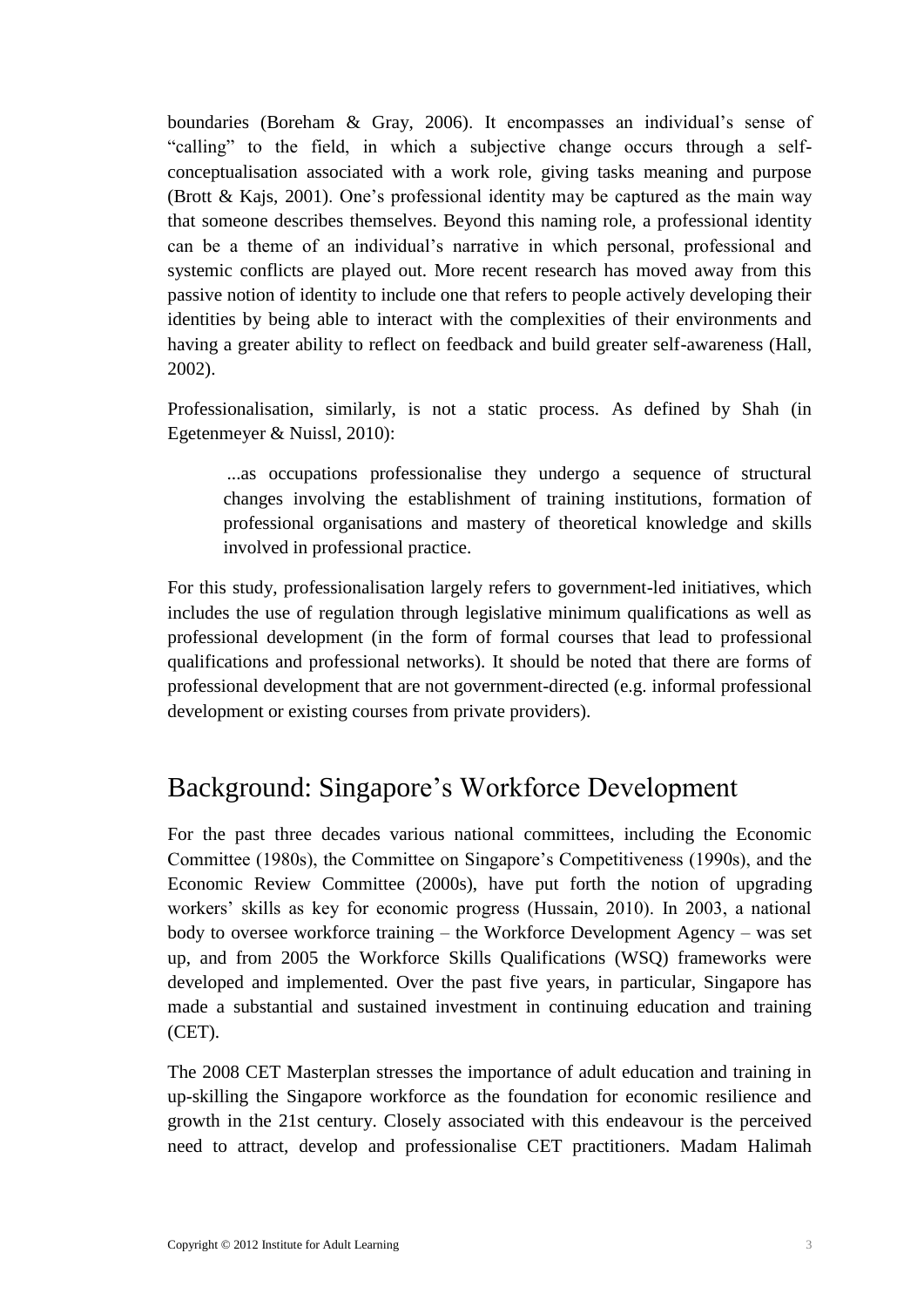boundaries (Boreham & Gray, 2006). It encompasses an individual's sense of "calling" to the field, in which a subjective change occurs through a selfconceptualisation associated with a work role, giving tasks meaning and purpose (Brott & Kajs, 2001). One's professional identity may be captured as the main way that someone describes themselves. Beyond this naming role, a professional identity can be a theme of an individual's narrative in which personal, professional and systemic conflicts are played out. More recent research has moved away from this passive notion of identity to include one that refers to people actively developing their identities by being able to interact with the complexities of their environments and having a greater ability to reflect on feedback and build greater self-awareness (Hall, 2002).

Professionalisation, similarly, is not a static process. As defined by Shah (in Egetenmeyer & Nuissl, 2010):

...as occupations professionalise they undergo a sequence of structural changes involving the establishment of training institutions, formation of professional organisations and mastery of theoretical knowledge and skills involved in professional practice.

For this study, professionalisation largely refers to government-led initiatives, which includes the use of regulation through legislative minimum qualifications as well as professional development (in the form of formal courses that lead to professional qualifications and professional networks). It should be noted that there are forms of professional development that are not government-directed (e.g. informal professional development or existing courses from private providers).

### <span id="page-6-0"></span>Background: Singapore's Workforce Development

For the past three decades various national committees, including the Economic Committee (1980s), the Committee on Singapore's Competitiveness (1990s), and the Economic Review Committee (2000s), have put forth the notion of upgrading workers' skills as key for economic progress (Hussain, 2010). In 2003, a national body to oversee workforce training – the Workforce Development Agency – was set up, and from 2005 the Workforce Skills Qualifications (WSQ) frameworks were developed and implemented. Over the past five years, in particular, Singapore has made a substantial and sustained investment in continuing education and training (CET).

The 2008 CET Masterplan stresses the importance of adult education and training in up-skilling the Singapore workforce as the foundation for economic resilience and growth in the 21st century. Closely associated with this endeavour is the perceived need to attract, develop and professionalise CET practitioners. Madam Halimah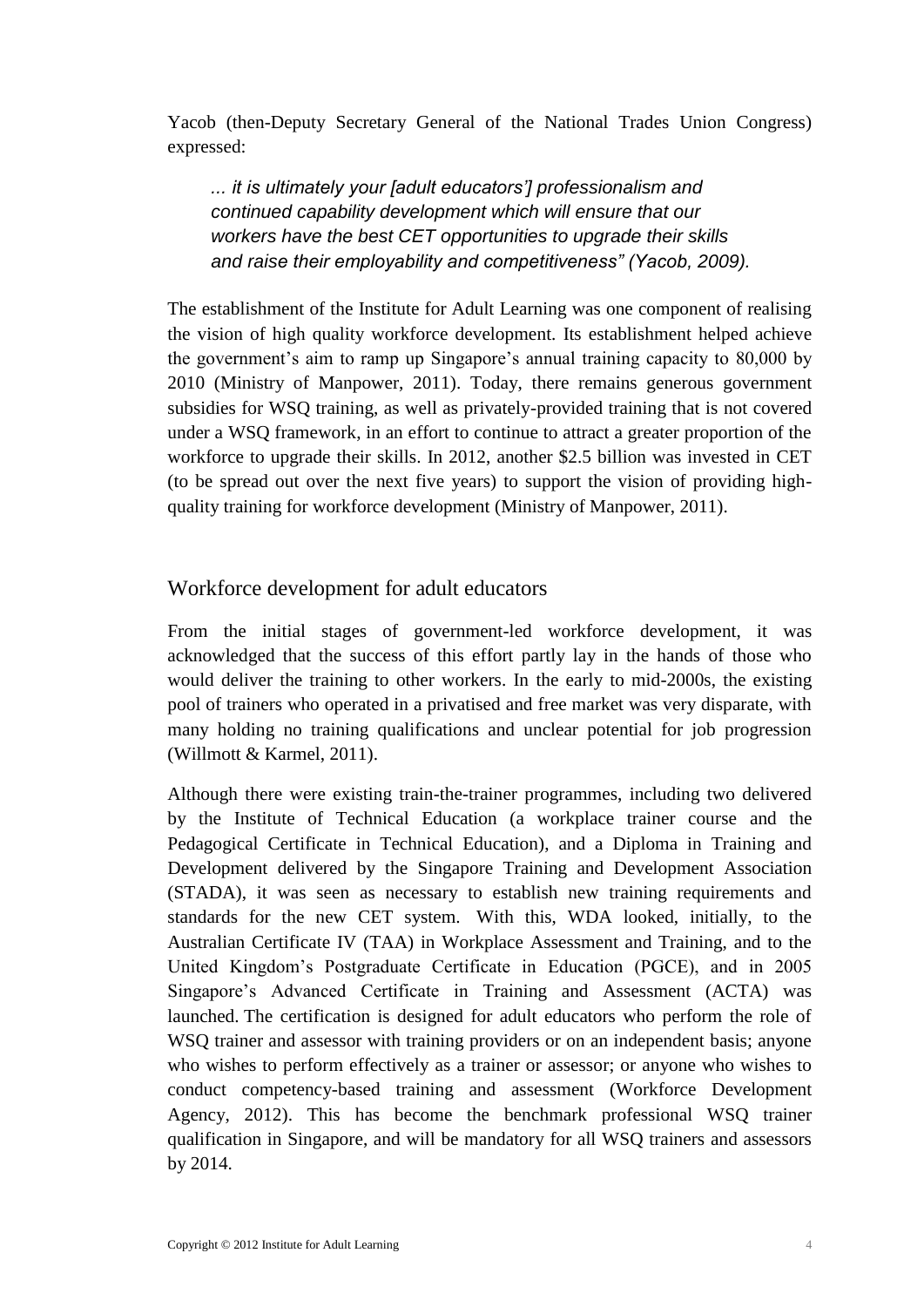Yacob (then-Deputy Secretary General of the National Trades Union Congress) expressed:

*... it is ultimately your [adult educators'] professionalism and continued capability development which will ensure that our workers have the best CET opportunities to upgrade their skills and raise their employability and competitiveness" (Yacob, 2009).* 

The establishment of the Institute for Adult Learning was one component of realising the vision of high quality workforce development. Its establishment helped achieve the government's aim to ramp up Singapore's annual training capacity to 80,000 by 2010 (Ministry of Manpower, 2011). Today, there remains generous government subsidies for WSQ training, as well as privately-provided training that is not covered under a WSQ framework, in an effort to continue to attract a greater proportion of the workforce to upgrade their skills. In 2012, another \$2.5 billion was invested in CET (to be spread out over the next five years) to support the vision of providing highquality training for workforce development (Ministry of Manpower, 2011).

### Workforce development for adult educators

From the initial stages of government-led workforce development, it was acknowledged that the success of this effort partly lay in the hands of those who would deliver the training to other workers. In the early to mid-2000s, the existing pool of trainers who operated in a privatised and free market was very disparate, with many holding no training qualifications and unclear potential for job progression (Willmott & Karmel, 2011).

Although there were existing train-the-trainer programmes, including two delivered by the Institute of Technical Education (a workplace trainer course and the Pedagogical Certificate in Technical Education), and a Diploma in Training and Development delivered by the Singapore Training and Development Association (STADA), it was seen as necessary to establish new training requirements and standards for the new CET system. With this, WDA looked, initially, to the Australian Certificate IV (TAA) in Workplace Assessment and Training, and to the United Kingdom's Postgraduate Certificate in Education (PGCE), and in 2005 Singapore's Advanced Certificate in Training and Assessment (ACTA) was launched. The certification is designed for adult educators who perform the role of WSQ trainer and assessor with training providers or on an independent basis; anyone who wishes to perform effectively as a trainer or assessor; or anyone who wishes to conduct competency-based training and assessment (Workforce Development Agency, 2012). This has become the benchmark professional WSQ trainer qualification in Singapore, and will be mandatory for all WSQ trainers and assessors by 2014.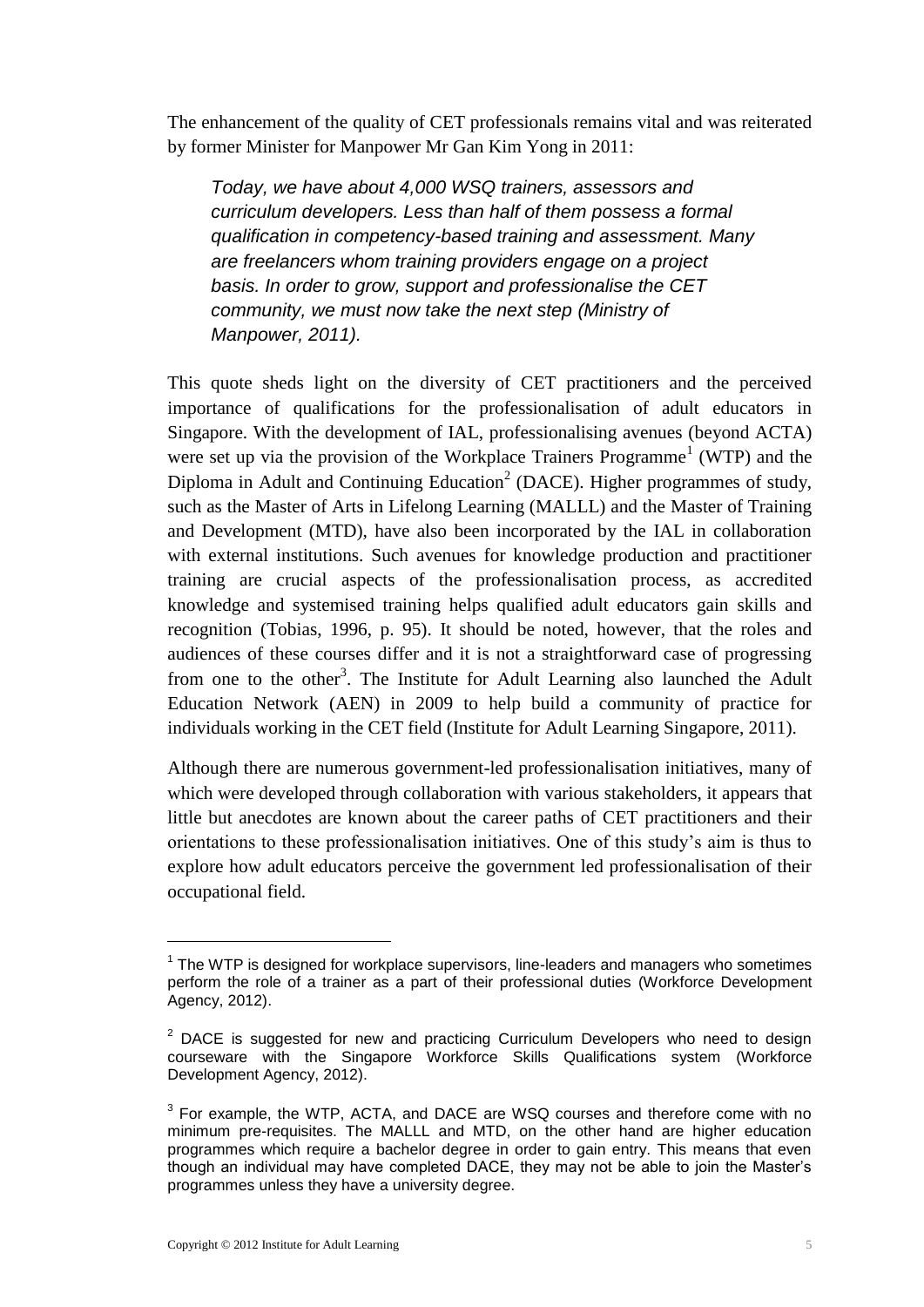The enhancement of the quality of CET professionals remains vital and was reiterated by former Minister for Manpower Mr Gan Kim Yong in 2011:

*Today, we have about 4,000 WSQ trainers, assessors and curriculum developers. Less than half of them possess a formal qualification in competency-based training and assessment. Many are freelancers whom training providers engage on a project basis. In order to grow, support and professionalise the CET community, we must now take the next step (Ministry of Manpower, 2011).* 

This quote sheds light on the diversity of CET practitioners and the perceived importance of qualifications for the professionalisation of adult educators in Singapore. With the development of IAL, professionalising avenues (beyond ACTA) were set up via the provision of the Workplace Trainers Programme<sup>1</sup> (WTP) and the Diploma in Adult and Continuing Education<sup>2</sup> (DACE). Higher programmes of study, such as the Master of Arts in Lifelong Learning (MALLL) and the Master of Training and Development (MTD), have also been incorporated by the IAL in collaboration with external institutions. Such avenues for knowledge production and practitioner training are crucial aspects of the professionalisation process, as accredited knowledge and systemised training helps qualified adult educators gain skills and recognition (Tobias, 1996, p. 95). It should be noted, however, that the roles and audiences of these courses differ and it is not a straightforward case of progressing from one to the other<sup>3</sup>. The Institute for Adult Learning also launched the Adult Education Network (AEN) in 2009 to help build a community of practice for individuals working in the CET field (Institute for Adult Learning Singapore, 2011).

Although there are numerous government-led professionalisation initiatives, many of which were developed through collaboration with various stakeholders, it appears that little but anecdotes are known about the career paths of CET practitioners and their orientations to these professionalisation initiatives. One of this study's aim is thus to explore how adult educators perceive the government led professionalisation of their occupational field.

<u>.</u>

 $1$  The WTP is designed for workplace supervisors, line-leaders and managers who sometimes perform the role of a trainer as a part of their professional duties (Workforce Development Agency, 2012).

 $2$  DACE is suggested for new and practicing Curriculum Developers who need to design courseware with the Singapore Workforce Skills Qualifications system (Workforce Development Agency, 2012).

 $3$  For example, the WTP, ACTA, and DACE are WSQ courses and therefore come with no minimum pre-requisites. The MALLL and MTD, on the other hand are higher education programmes which require a bachelor degree in order to gain entry. This means that even though an individual may have completed DACE, they may not be able to join the Master's programmes unless they have a university degree.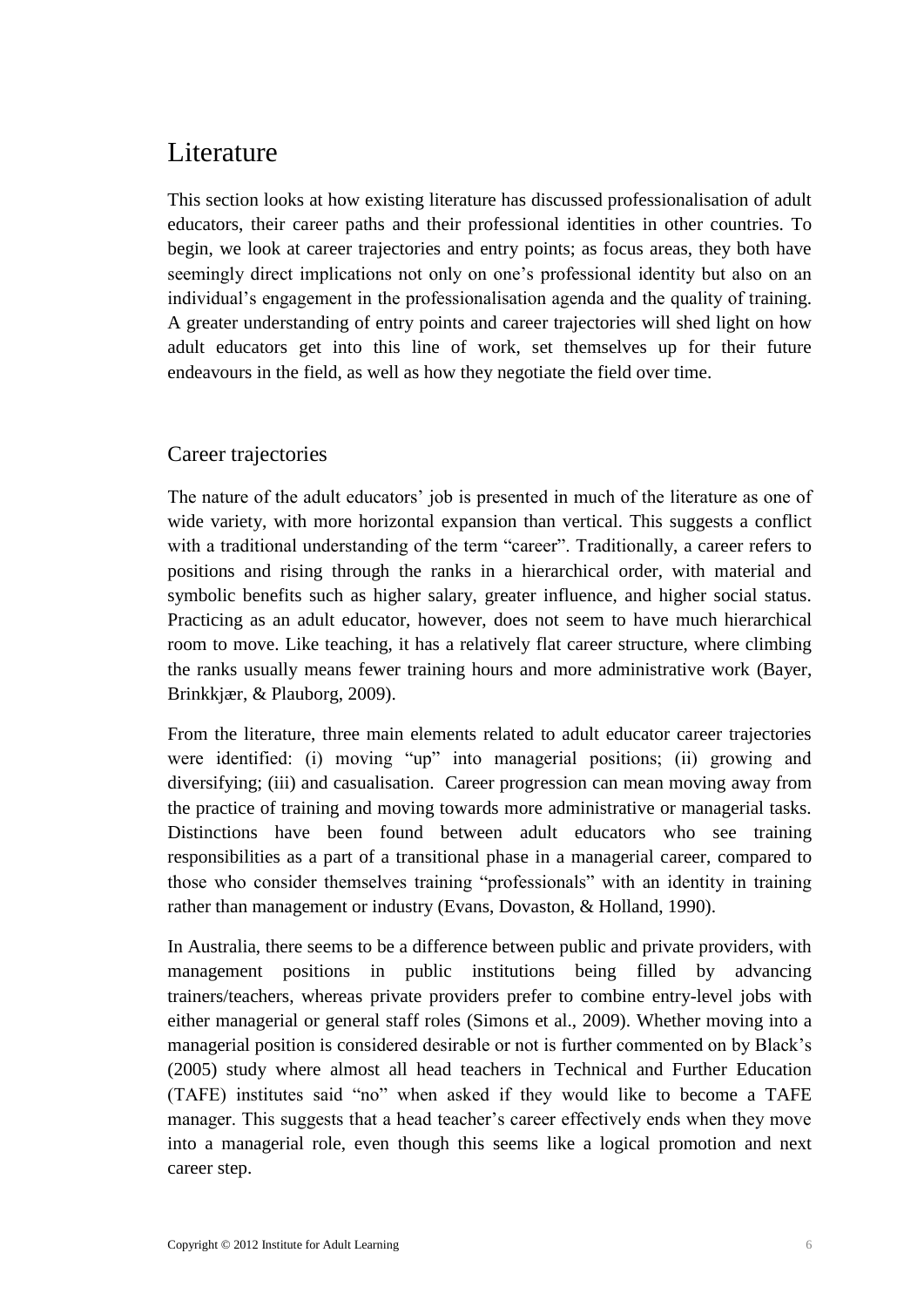### <span id="page-9-0"></span>Literature

This section looks at how existing literature has discussed professionalisation of adult educators, their career paths and their professional identities in other countries. To begin, we look at career trajectories and entry points; as focus areas, they both have seemingly direct implications not only on one's professional identity but also on an individual's engagement in the professionalisation agenda and the quality of training. A greater understanding of entry points and career trajectories will shed light on how adult educators get into this line of work, set themselves up for their future endeavours in the field, as well as how they negotiate the field over time.

### <span id="page-9-1"></span>Career trajectories

The nature of the adult educators' job is presented in much of the literature as one of wide variety, with more horizontal expansion than vertical. This suggests a conflict with a traditional understanding of the term "career". Traditionally, a career refers to positions and rising through the ranks in a hierarchical order, with material and symbolic benefits such as higher salary, greater influence, and higher social status. Practicing as an adult educator, however, does not seem to have much hierarchical room to move. Like teaching, it has a relatively flat career structure, where climbing the ranks usually means fewer training hours and more administrative work (Bayer, Brinkkjær, & Plauborg, 2009).

From the literature, three main elements related to adult educator career trajectories were identified: (i) moving "up" into managerial positions; (ii) growing and diversifying; (iii) and casualisation. Career progression can mean moving away from the practice of training and moving towards more administrative or managerial tasks. Distinctions have been found between adult educators who see training responsibilities as a part of a transitional phase in a managerial career, compared to those who consider themselves training "professionals" with an identity in training rather than management or industry (Evans, Dovaston, & Holland, 1990).

In Australia, there seems to be a difference between public and private providers, with management positions in public institutions being filled by advancing trainers/teachers, whereas private providers prefer to combine entry-level jobs with either managerial or general staff roles (Simons et al., 2009). Whether moving into a managerial position is considered desirable or not is further commented on by Black's (2005) study where almost all head teachers in Technical and Further Education (TAFE) institutes said "no" when asked if they would like to become a TAFE manager. This suggests that a head teacher's career effectively ends when they move into a managerial role, even though this seems like a logical promotion and next career step.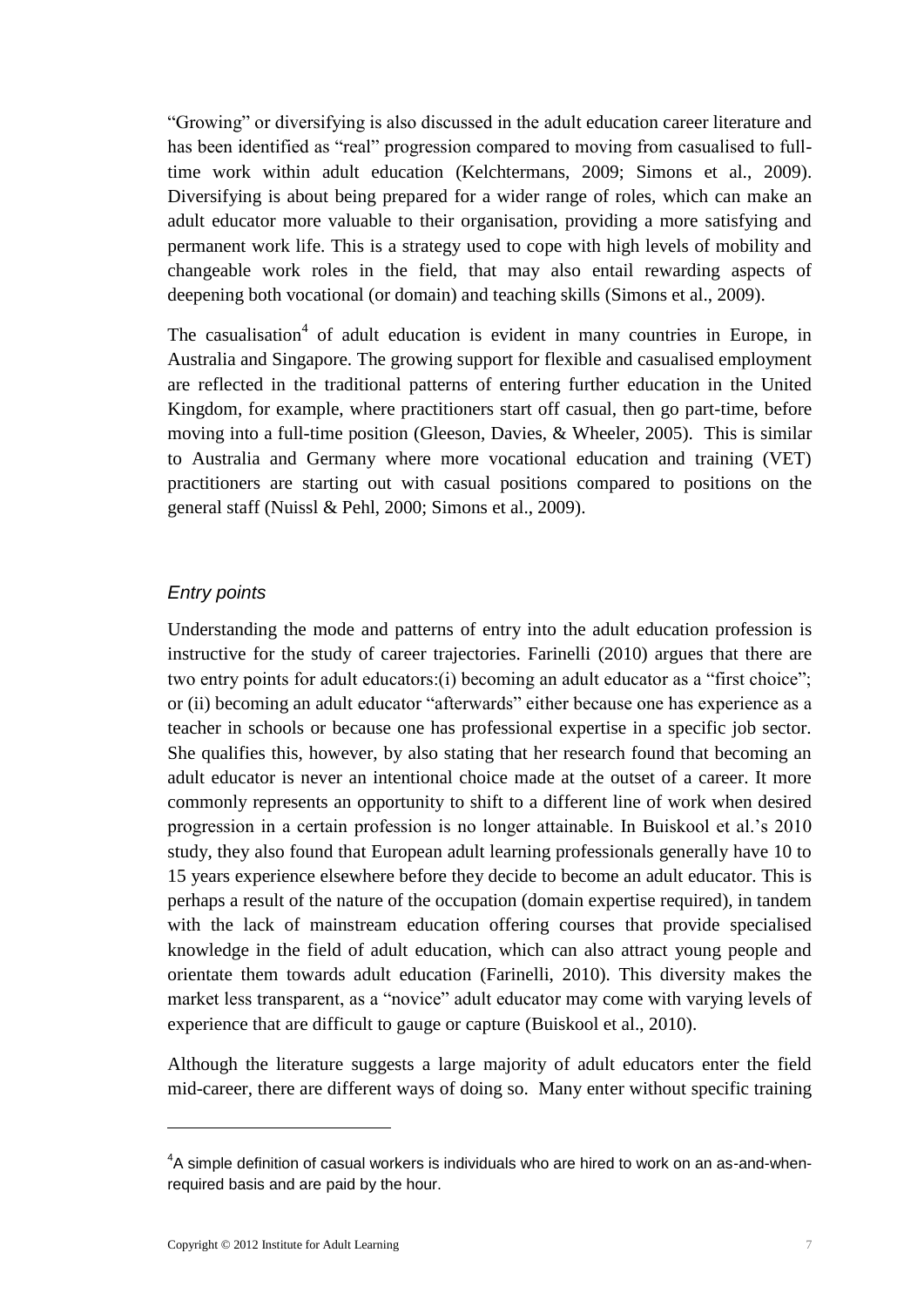"Growing" or diversifying is also discussed in the adult education career literature and has been identified as "real" progression compared to moving from casualised to fulltime work within adult education (Kelchtermans, 2009; Simons et al., 2009). Diversifying is about being prepared for a wider range of roles, which can make an adult educator more valuable to their organisation, providing a more satisfying and permanent work life. This is a strategy used to cope with high levels of mobility and changeable work roles in the field, that may also entail rewarding aspects of deepening both vocational (or domain) and teaching skills (Simons et al., 2009).

The casualisation<sup>4</sup> of adult education is evident in many countries in Europe, in Australia and Singapore. The growing support for flexible and casualised employment are reflected in the traditional patterns of entering further education in the United Kingdom, for example, where practitioners start off casual, then go part-time, before moving into a full-time position (Gleeson, Davies, & Wheeler, 2005). This is similar to Australia and Germany where more vocational education and training (VET) practitioners are starting out with casual positions compared to positions on the general staff (Nuissl & Pehl, 2000; Simons et al., 2009).

#### *Entry points*

Understanding the mode and patterns of entry into the adult education profession is instructive for the study of career trajectories. Farinelli (2010) argues that there are two entry points for adult educators:(i) becoming an adult educator as a "first choice"; or (ii) becoming an adult educator "afterwards" either because one has experience as a teacher in schools or because one has professional expertise in a specific job sector. She qualifies this, however, by also stating that her research found that becoming an adult educator is never an intentional choice made at the outset of a career. It more commonly represents an opportunity to shift to a different line of work when desired progression in a certain profession is no longer attainable. In Buiskool et al.'s 2010 study, they also found that European adult learning professionals generally have 10 to 15 years experience elsewhere before they decide to become an adult educator. This is perhaps a result of the nature of the occupation (domain expertise required), in tandem with the lack of mainstream education offering courses that provide specialised knowledge in the field of adult education, which can also attract young people and orientate them towards adult education (Farinelli, 2010). This diversity makes the market less transparent, as a "novice" adult educator may come with varying levels of experience that are difficult to gauge or capture (Buiskool et al., 2010).

Although the literature suggests a large majority of adult educators enter the field mid-career, there are different ways of doing so. Many enter without specific training

1

 $4A$  simple definition of casual workers is individuals who are hired to work on an as-and-whenrequired basis and are paid by the hour.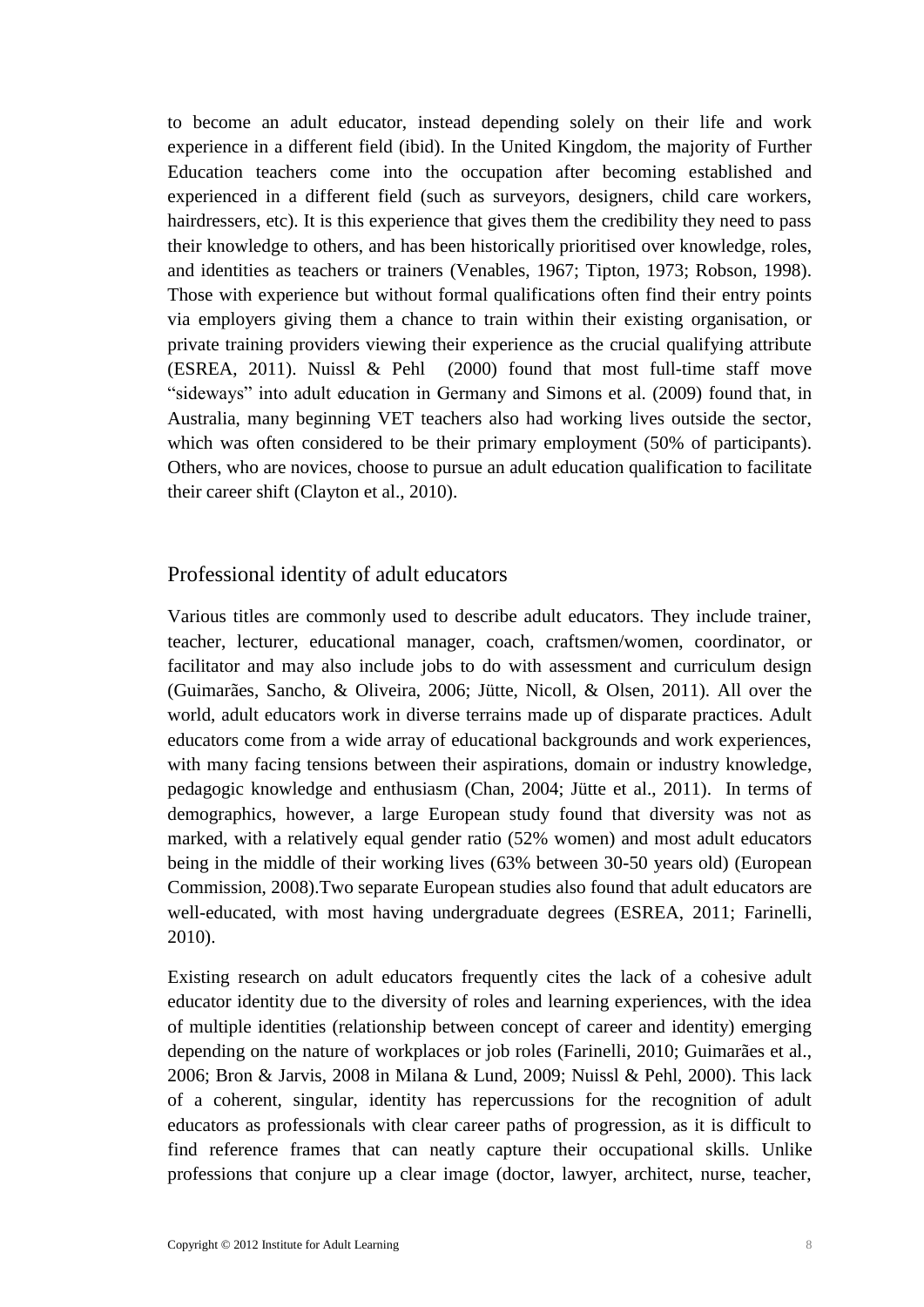to become an adult educator, instead depending solely on their life and work experience in a different field (ibid). In the United Kingdom, the majority of Further Education teachers come into the occupation after becoming established and experienced in a different field (such as surveyors, designers, child care workers, hairdressers, etc). It is this experience that gives them the credibility they need to pass their knowledge to others, and has been historically prioritised over knowledge, roles, and identities as teachers or trainers (Venables, 1967; Tipton, 1973; Robson, 1998). Those with experience but without formal qualifications often find their entry points via employers giving them a chance to train within their existing organisation, or private training providers viewing their experience as the crucial qualifying attribute (ESREA, 2011). Nuissl & Pehl (2000) found that most full-time staff move "sideways" into adult education in Germany and Simons et al. (2009) found that, in Australia, many beginning VET teachers also had working lives outside the sector, which was often considered to be their primary employment (50% of participants). Others, who are novices, choose to pursue an adult education qualification to facilitate their career shift (Clayton et al., 2010).

### <span id="page-11-0"></span>Professional identity of adult educators

Various titles are commonly used to describe adult educators. They include trainer, teacher, lecturer, educational manager, coach, craftsmen/women, coordinator, or facilitator and may also include jobs to do with assessment and curriculum design (Guimarães, Sancho, & Oliveira, 2006; Jütte, Nicoll, & Olsen, 2011). All over the world, adult educators work in diverse terrains made up of disparate practices. Adult educators come from a wide array of educational backgrounds and work experiences, with many facing tensions between their aspirations, domain or industry knowledge, pedagogic knowledge and enthusiasm (Chan, 2004; Jütte et al., 2011). In terms of demographics, however, a large European study found that diversity was not as marked, with a relatively equal gender ratio (52% women) and most adult educators being in the middle of their working lives (63% between 30-50 years old) (European Commission, 2008).Two separate European studies also found that adult educators are well-educated, with most having undergraduate degrees (ESREA, 2011; Farinelli, 2010).

Existing research on adult educators frequently cites the lack of a cohesive adult educator identity due to the diversity of roles and learning experiences, with the idea of multiple identities (relationship between concept of career and identity) emerging depending on the nature of workplaces or job roles (Farinelli, 2010; Guimarães et al., 2006; Bron & Jarvis, 2008 in Milana & Lund, 2009; Nuissl & Pehl, 2000). This lack of a coherent, singular, identity has repercussions for the recognition of adult educators as professionals with clear career paths of progression, as it is difficult to find reference frames that can neatly capture their occupational skills. Unlike professions that conjure up a clear image (doctor, lawyer, architect, nurse, teacher,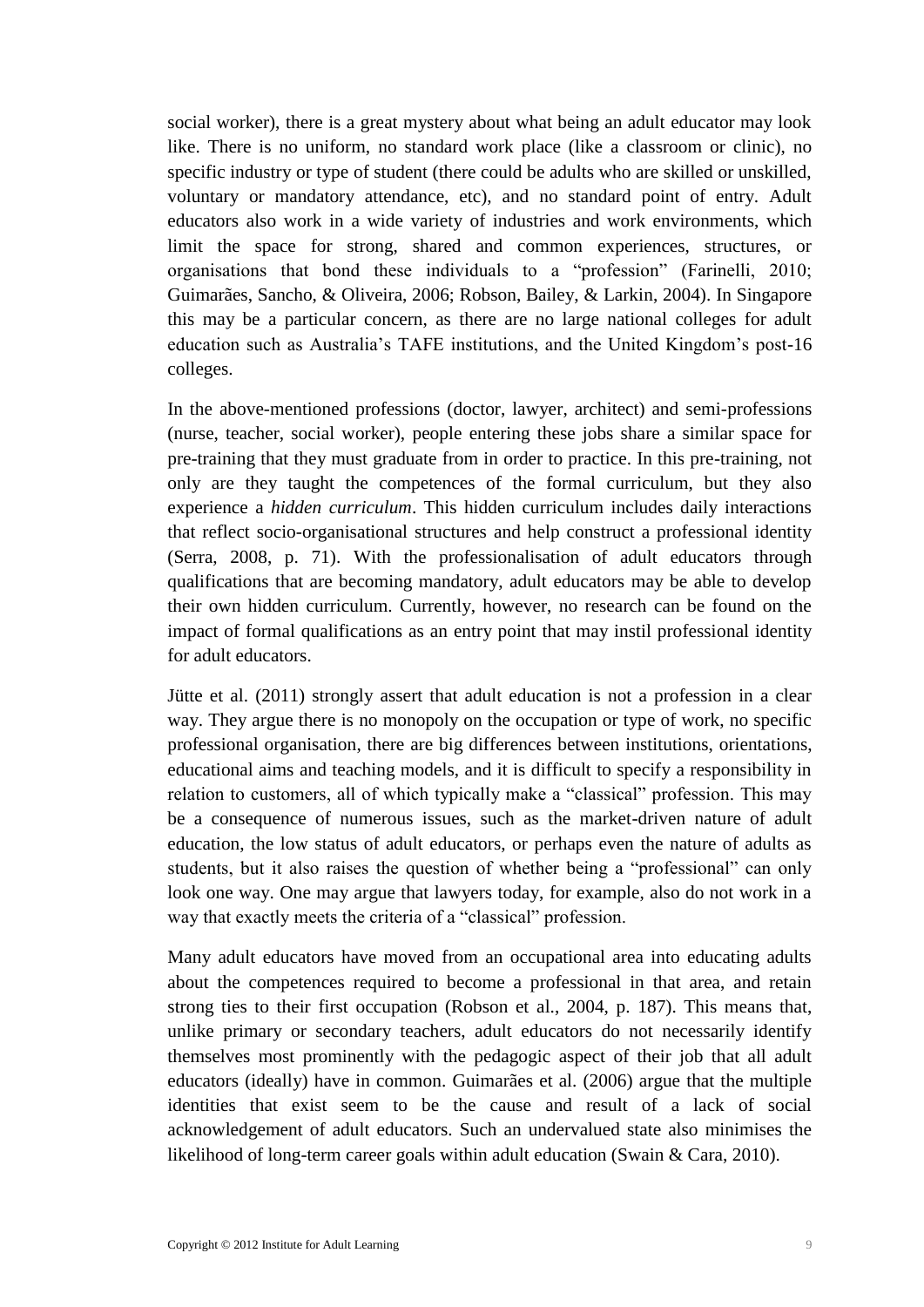social worker), there is a great mystery about what being an adult educator may look like. There is no uniform, no standard work place (like a classroom or clinic), no specific industry or type of student (there could be adults who are skilled or unskilled, voluntary or mandatory attendance, etc), and no standard point of entry. Adult educators also work in a wide variety of industries and work environments, which limit the space for strong, shared and common experiences, structures, or organisations that bond these individuals to a "profession" (Farinelli, 2010; Guimarães, Sancho, & Oliveira, 2006; Robson, Bailey, & Larkin, 2004). In Singapore this may be a particular concern, as there are no large national colleges for adult education such as Australia's TAFE institutions, and the United Kingdom's post-16 colleges.

In the above-mentioned professions (doctor, lawyer, architect) and semi-professions (nurse, teacher, social worker), people entering these jobs share a similar space for pre-training that they must graduate from in order to practice. In this pre-training, not only are they taught the competences of the formal curriculum, but they also experience a *hidden curriculum*. This hidden curriculum includes daily interactions that reflect socio-organisational structures and help construct a professional identity (Serra, 2008, p. 71). With the professionalisation of adult educators through qualifications that are becoming mandatory, adult educators may be able to develop their own hidden curriculum. Currently, however, no research can be found on the impact of formal qualifications as an entry point that may instil professional identity for adult educators.

Jütte et al. (2011) strongly assert that adult education is not a profession in a clear way. They argue there is no monopoly on the occupation or type of work, no specific professional organisation, there are big differences between institutions, orientations, educational aims and teaching models, and it is difficult to specify a responsibility in relation to customers, all of which typically make a "classical" profession. This may be a consequence of numerous issues, such as the market-driven nature of adult education, the low status of adult educators, or perhaps even the nature of adults as students, but it also raises the question of whether being a "professional" can only look one way. One may argue that lawyers today, for example, also do not work in a way that exactly meets the criteria of a "classical" profession.

Many adult educators have moved from an occupational area into educating adults about the competences required to become a professional in that area, and retain strong ties to their first occupation (Robson et al., 2004, p. 187). This means that, unlike primary or secondary teachers, adult educators do not necessarily identify themselves most prominently with the pedagogic aspect of their job that all adult educators (ideally) have in common. Guimarães et al. (2006) argue that the multiple identities that exist seem to be the cause and result of a lack of social acknowledgement of adult educators. Such an undervalued state also minimises the likelihood of long-term career goals within adult education (Swain & Cara, 2010).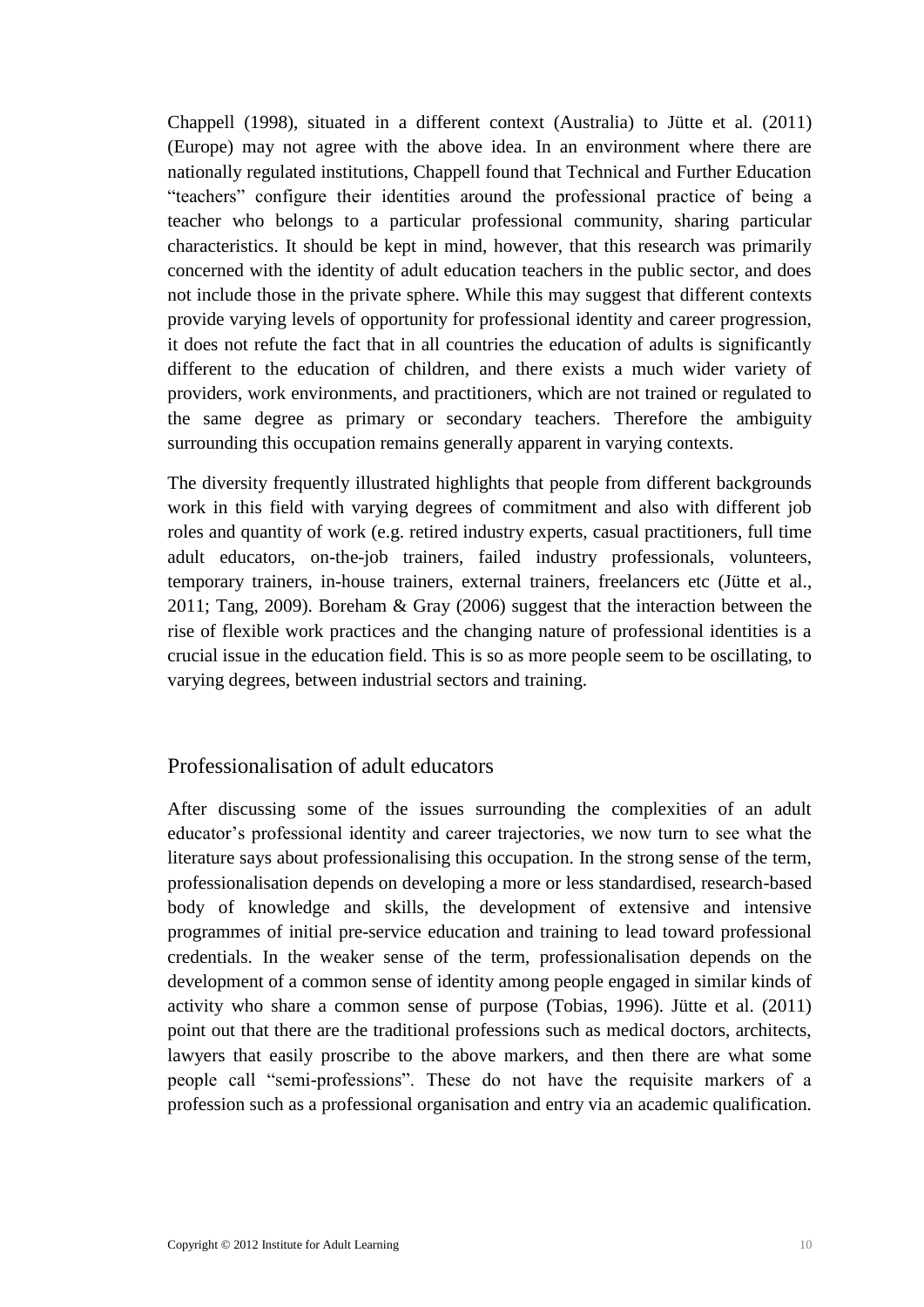Chappell (1998), situated in a different context (Australia) to Jütte et al. (2011) (Europe) may not agree with the above idea. In an environment where there are nationally regulated institutions, Chappell found that Technical and Further Education "teachers" configure their identities around the professional practice of being a teacher who belongs to a particular professional community, sharing particular characteristics. It should be kept in mind, however, that this research was primarily concerned with the identity of adult education teachers in the public sector, and does not include those in the private sphere. While this may suggest that different contexts provide varying levels of opportunity for professional identity and career progression, it does not refute the fact that in all countries the education of adults is significantly different to the education of children, and there exists a much wider variety of providers, work environments, and practitioners, which are not trained or regulated to the same degree as primary or secondary teachers. Therefore the ambiguity surrounding this occupation remains generally apparent in varying contexts.

The diversity frequently illustrated highlights that people from different backgrounds work in this field with varying degrees of commitment and also with different job roles and quantity of work (e.g. retired industry experts, casual practitioners, full time adult educators, on-the-job trainers, failed industry professionals, volunteers, temporary trainers, in-house trainers, external trainers, freelancers etc (Jütte et al., 2011; Tang, 2009). Boreham & Gray (2006) suggest that the interaction between the rise of flexible work practices and the changing nature of professional identities is a crucial issue in the education field. This is so as more people seem to be oscillating, to varying degrees, between industrial sectors and training.

### <span id="page-13-0"></span>Professionalisation of adult educators

After discussing some of the issues surrounding the complexities of an adult educator's professional identity and career trajectories, we now turn to see what the literature says about professionalising this occupation. In the strong sense of the term, professionalisation depends on developing a more or less standardised, research-based body of knowledge and skills, the development of extensive and intensive programmes of initial pre-service education and training to lead toward professional credentials. In the weaker sense of the term, professionalisation depends on the development of a common sense of identity among people engaged in similar kinds of activity who share a common sense of purpose (Tobias, 1996). Jütte et al. (2011) point out that there are the traditional professions such as medical doctors, architects, lawyers that easily proscribe to the above markers, and then there are what some people call "semi-professions". These do not have the requisite markers of a profession such as a professional organisation and entry via an academic qualification.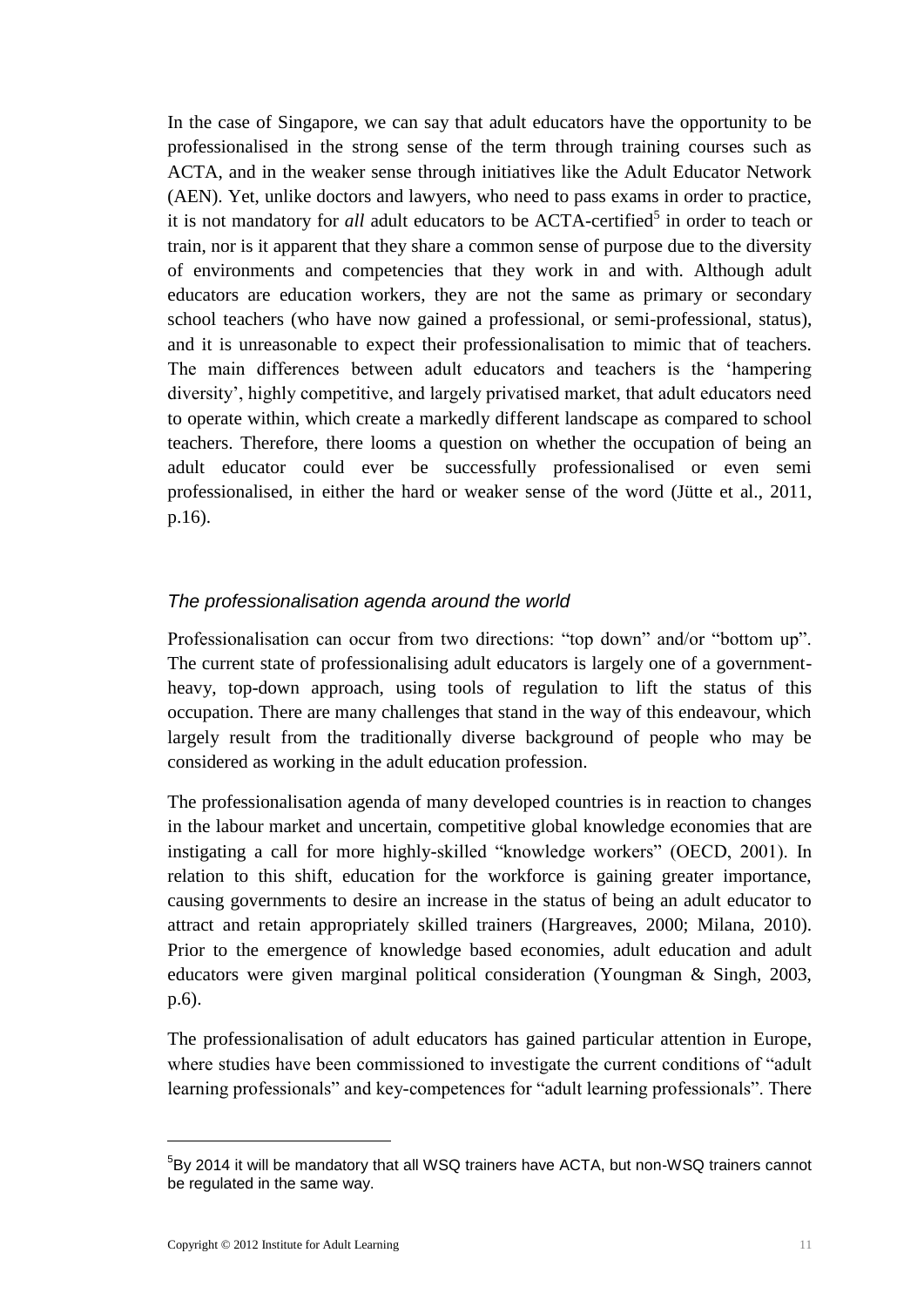In the case of Singapore, we can say that adult educators have the opportunity to be professionalised in the strong sense of the term through training courses such as ACTA, and in the weaker sense through initiatives like the Adult Educator Network (AEN). Yet, unlike doctors and lawyers, who need to pass exams in order to practice, it is not mandatory for *all* adult educators to be ACTA-certified<sup>5</sup> in order to teach or train, nor is it apparent that they share a common sense of purpose due to the diversity of environments and competencies that they work in and with. Although adult educators are education workers, they are not the same as primary or secondary school teachers (who have now gained a professional, or semi-professional, status), and it is unreasonable to expect their professionalisation to mimic that of teachers. The main differences between adult educators and teachers is the 'hampering diversity', highly competitive, and largely privatised market, that adult educators need to operate within, which create a markedly different landscape as compared to school teachers. Therefore, there looms a question on whether the occupation of being an adult educator could ever be successfully professionalised or even semi professionalised, in either the hard or weaker sense of the word (Jütte et al., 2011, p.16).

### *The professionalisation agenda around the world*

Professionalisation can occur from two directions: "top down" and/or "bottom up". The current state of professionalising adult educators is largely one of a governmentheavy, top-down approach, using tools of regulation to lift the status of this occupation. There are many challenges that stand in the way of this endeavour, which largely result from the traditionally diverse background of people who may be considered as working in the adult education profession.

The professionalisation agenda of many developed countries is in reaction to changes in the labour market and uncertain, competitive global knowledge economies that are instigating a call for more highly-skilled "knowledge workers" (OECD, 2001). In relation to this shift, education for the workforce is gaining greater importance, causing governments to desire an increase in the status of being an adult educator to attract and retain appropriately skilled trainers (Hargreaves, 2000; Milana, 2010). Prior to the emergence of knowledge based economies, adult education and adult educators were given marginal political consideration (Youngman & Singh, 2003, p.6).

The professionalisation of adult educators has gained particular attention in Europe, where studies have been commissioned to investigate the current conditions of "adult learning professionals" and key-competences for "adult learning professionals". There

1

<sup>&</sup>lt;sup>5</sup>By 2014 it will be mandatory that all WSQ trainers have ACTA, but non-WSQ trainers cannot be regulated in the same way.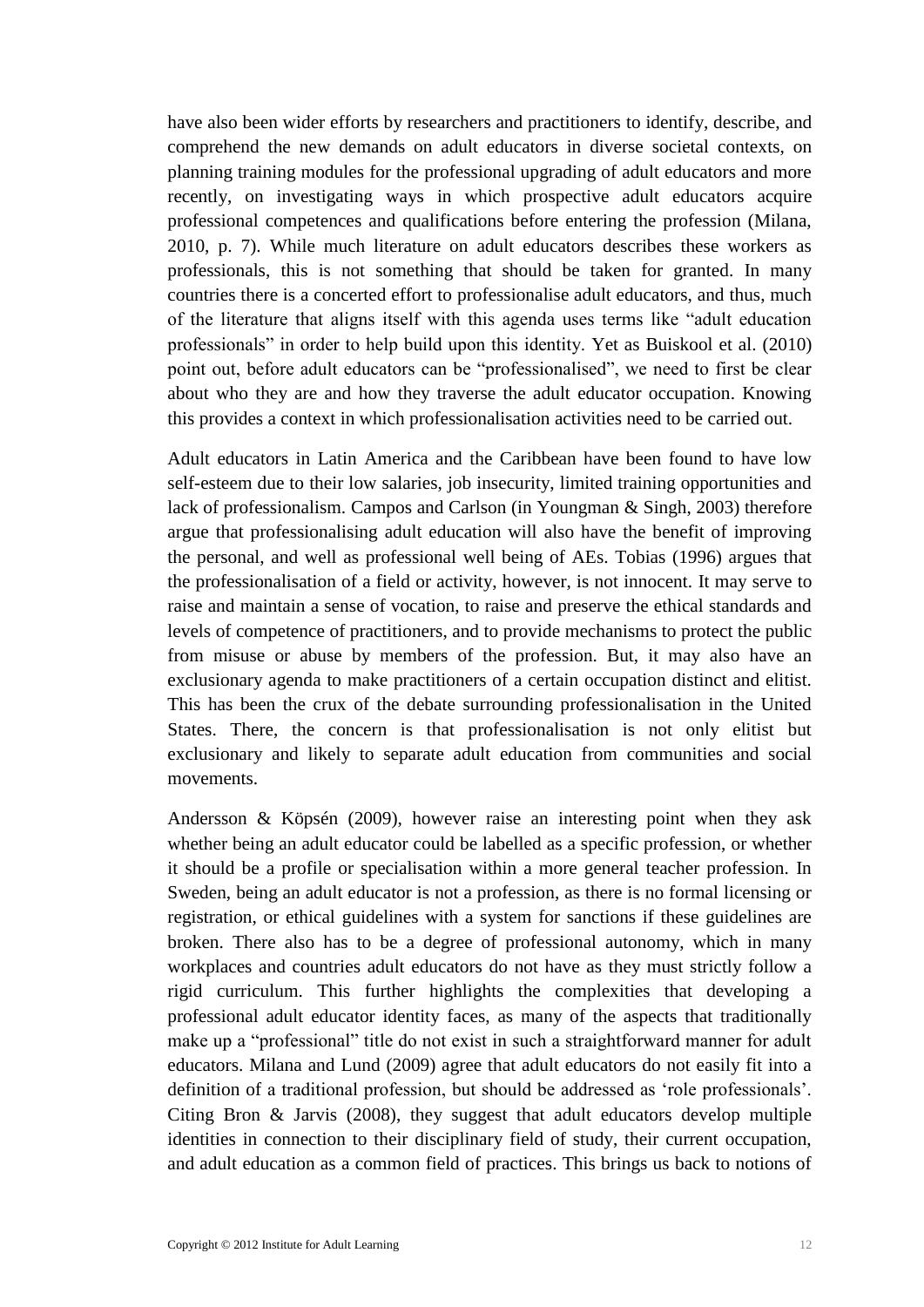have also been wider efforts by researchers and practitioners to identify, describe, and comprehend the new demands on adult educators in diverse societal contexts, on planning training modules for the professional upgrading of adult educators and more recently, on investigating ways in which prospective adult educators acquire professional competences and qualifications before entering the profession (Milana, 2010, p. 7). While much literature on adult educators describes these workers as professionals, this is not something that should be taken for granted. In many countries there is a concerted effort to professionalise adult educators, and thus, much of the literature that aligns itself with this agenda uses terms like "adult education professionals" in order to help build upon this identity. Yet as Buiskool et al. (2010) point out, before adult educators can be "professionalised", we need to first be clear about who they are and how they traverse the adult educator occupation. Knowing this provides a context in which professionalisation activities need to be carried out.

Adult educators in Latin America and the Caribbean have been found to have low self-esteem due to their low salaries, job insecurity, limited training opportunities and lack of professionalism. Campos and Carlson (in Youngman & Singh, 2003) therefore argue that professionalising adult education will also have the benefit of improving the personal, and well as professional well being of AEs. Tobias (1996) argues that the professionalisation of a field or activity, however, is not innocent. It may serve to raise and maintain a sense of vocation, to raise and preserve the ethical standards and levels of competence of practitioners, and to provide mechanisms to protect the public from misuse or abuse by members of the profession. But, it may also have an exclusionary agenda to make practitioners of a certain occupation distinct and elitist. This has been the crux of the debate surrounding professionalisation in the United States. There, the concern is that professionalisation is not only elitist but exclusionary and likely to separate adult education from communities and social movements.

Andersson & Köpsén (2009), however raise an interesting point when they ask whether being an adult educator could be labelled as a specific profession, or whether it should be a profile or specialisation within a more general teacher profession. In Sweden, being an adult educator is not a profession, as there is no formal licensing or registration, or ethical guidelines with a system for sanctions if these guidelines are broken. There also has to be a degree of professional autonomy, which in many workplaces and countries adult educators do not have as they must strictly follow a rigid curriculum. This further highlights the complexities that developing a professional adult educator identity faces, as many of the aspects that traditionally make up a "professional" title do not exist in such a straightforward manner for adult educators. Milana and Lund (2009) agree that adult educators do not easily fit into a definition of a traditional profession, but should be addressed as 'role professionals'. Citing Bron & Jarvis (2008), they suggest that adult educators develop multiple identities in connection to their disciplinary field of study, their current occupation, and adult education as a common field of practices. This brings us back to notions of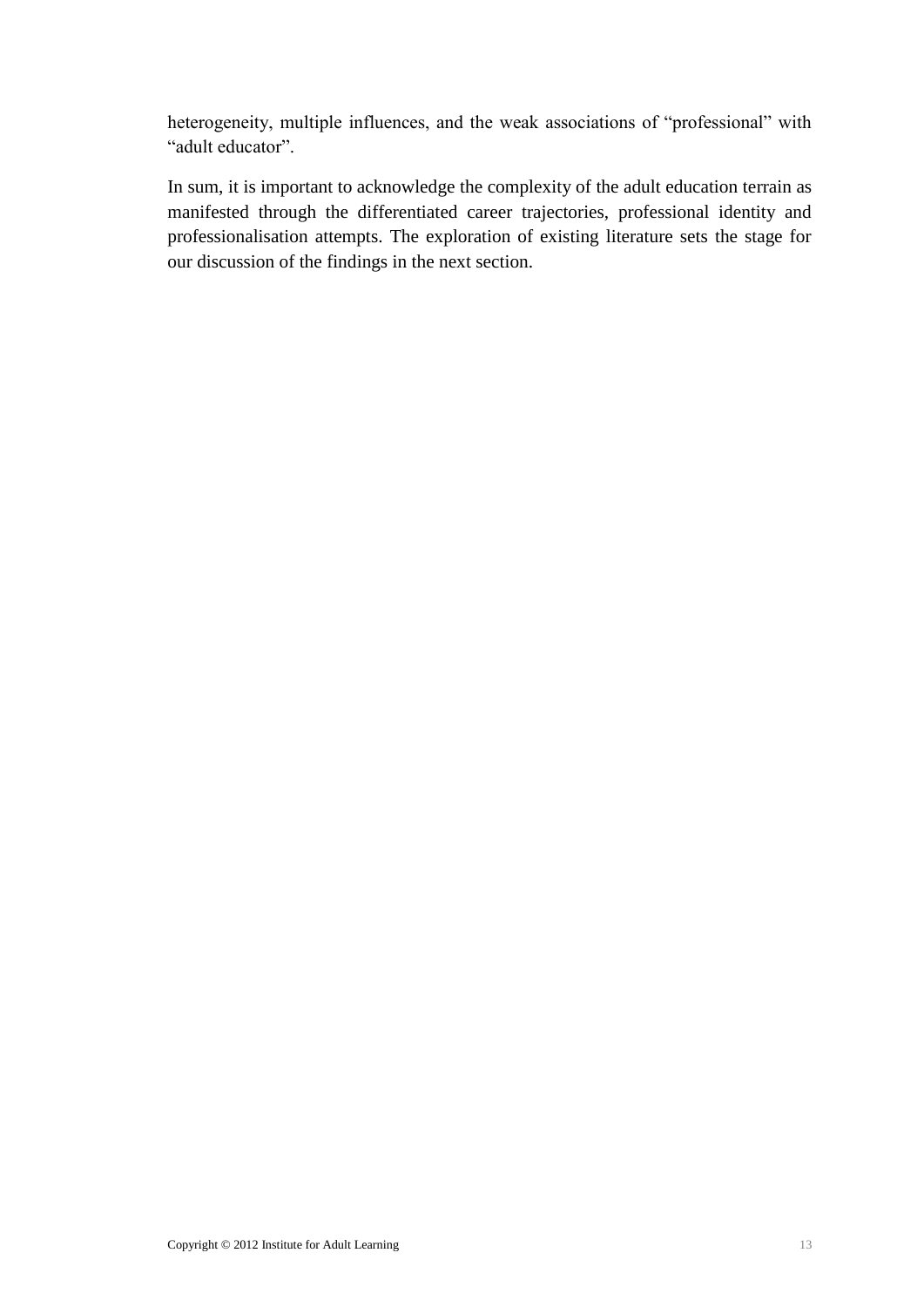heterogeneity, multiple influences, and the weak associations of "professional" with "adult educator".

In sum, it is important to acknowledge the complexity of the adult education terrain as manifested through the differentiated career trajectories, professional identity and professionalisation attempts. The exploration of existing literature sets the stage for our discussion of the findings in the next section.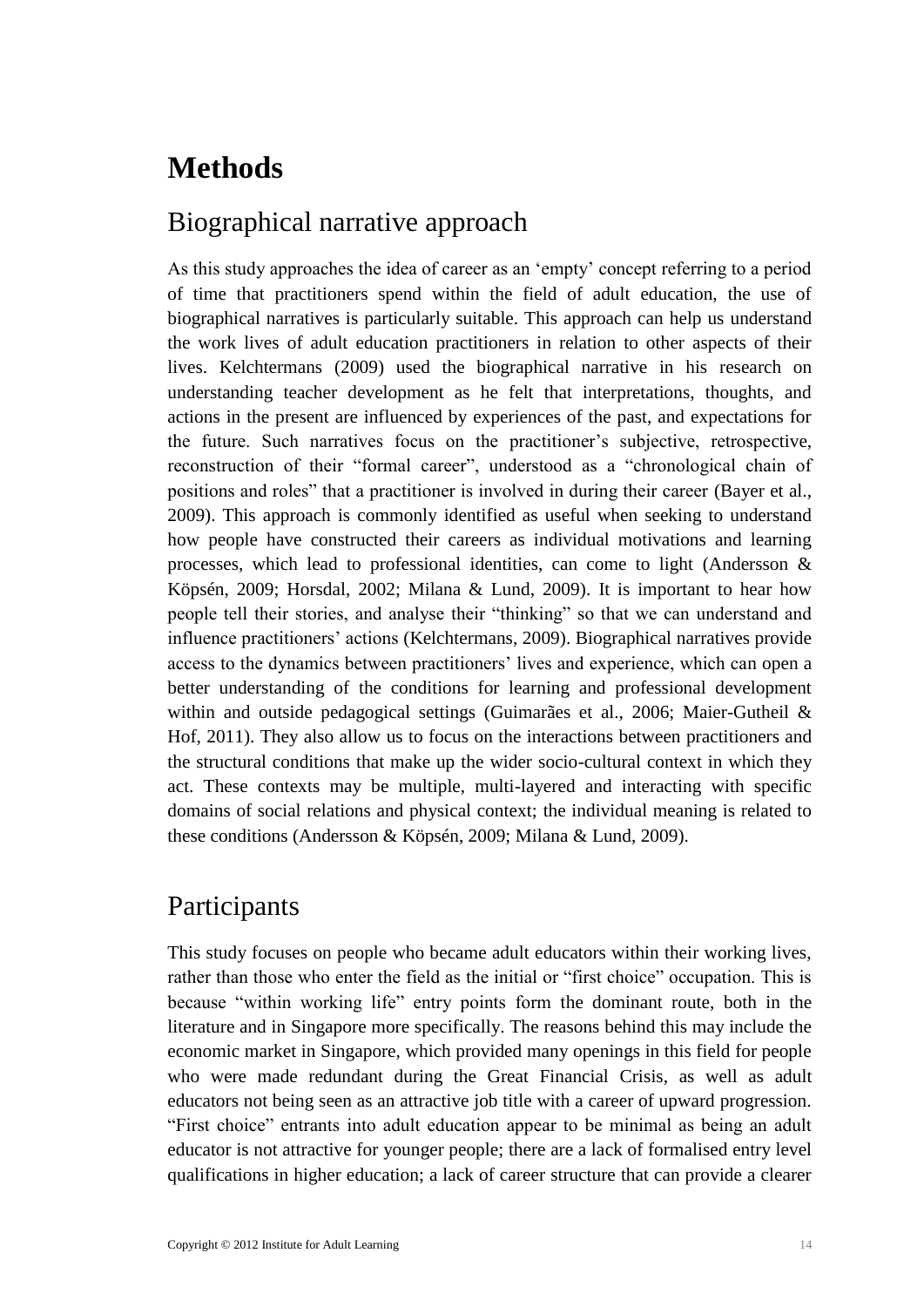## <span id="page-17-2"></span>**Methods**

### <span id="page-17-0"></span>Biographical narrative approach

As this study approaches the idea of career as an 'empty' concept referring to a period of time that practitioners spend within the field of adult education, the use of biographical narratives is particularly suitable. This approach can help us understand the work lives of adult education practitioners in relation to other aspects of their lives. Kelchtermans (2009) used the biographical narrative in his research on understanding teacher development as he felt that interpretations, thoughts, and actions in the present are influenced by experiences of the past, and expectations for the future. Such narratives focus on the practitioner's subjective, retrospective, reconstruction of their "formal career", understood as a "chronological chain of positions and roles" that a practitioner is involved in during their career (Bayer et al., 2009). This approach is commonly identified as useful when seeking to understand how people have constructed their careers as individual motivations and learning processes, which lead to professional identities, can come to light (Andersson & Köpsén, 2009; Horsdal, 2002; Milana & Lund, 2009). It is important to hear how people tell their stories, and analyse their "thinking" so that we can understand and influence practitioners' actions (Kelchtermans, 2009). Biographical narratives provide access to the dynamics between practitioners' lives and experience, which can open a better understanding of the conditions for learning and professional development within and outside pedagogical settings (Guimarães et al., 2006; Maier-Gutheil & Hof, 2011). They also allow us to focus on the interactions between practitioners and the structural conditions that make up the wider socio-cultural context in which they act. These contexts may be multiple, multi-layered and interacting with specific domains of social relations and physical context; the individual meaning is related to these conditions (Andersson & Köpsén, 2009; Milana & Lund, 2009).

### <span id="page-17-1"></span>Participants

This study focuses on people who became adult educators within their working lives, rather than those who enter the field as the initial or "first choice" occupation. This is because "within working life" entry points form the dominant route, both in the literature and in Singapore more specifically. The reasons behind this may include the economic market in Singapore, which provided many openings in this field for people who were made redundant during the Great Financial Crisis, as well as adult educators not being seen as an attractive job title with a career of upward progression. "First choice" entrants into adult education appear to be minimal as being an adult educator is not attractive for younger people; there are a lack of formalised entry level qualifications in higher education; a lack of career structure that can provide a clearer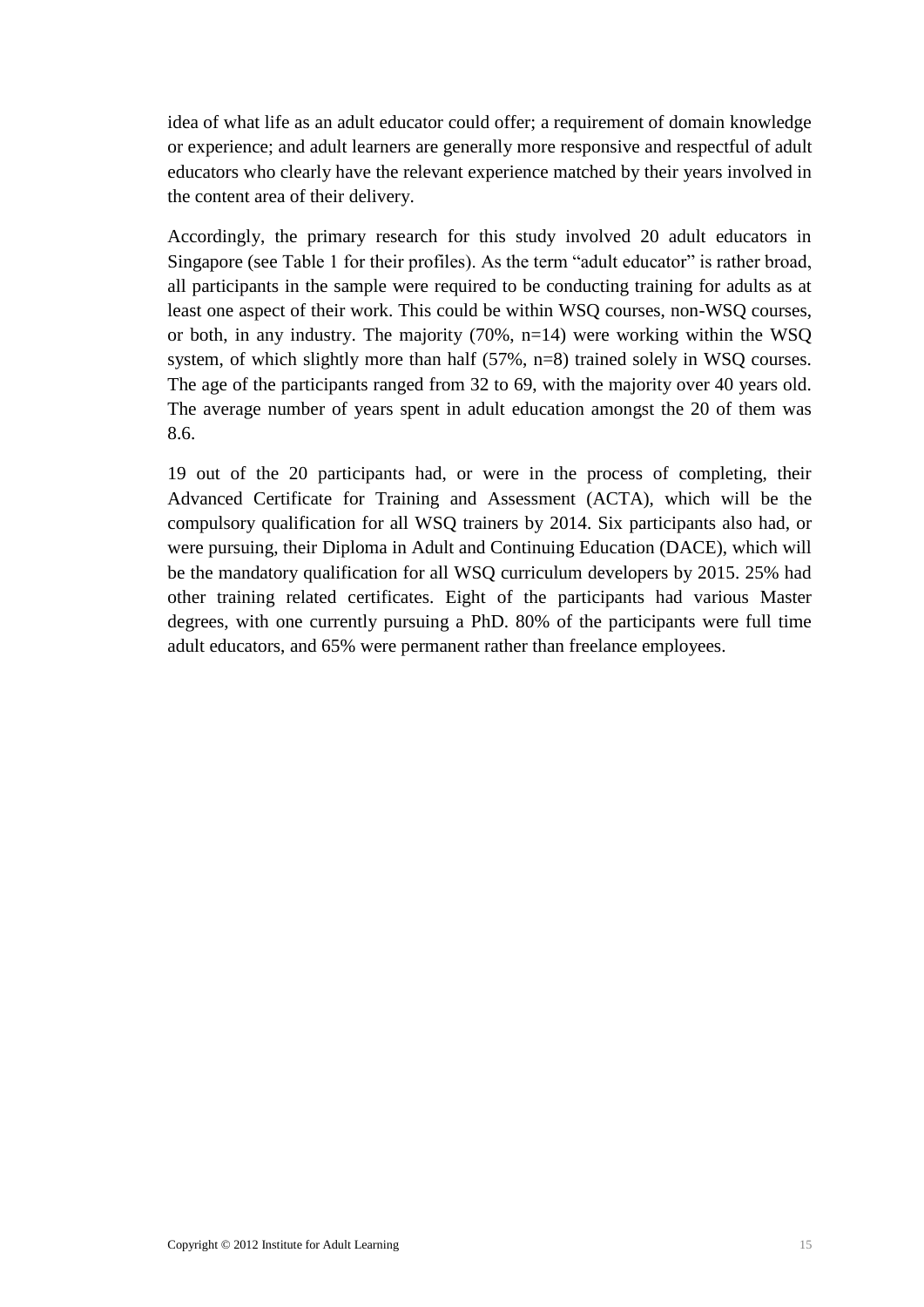idea of what life as an adult educator could offer; a requirement of domain knowledge or experience; and adult learners are generally more responsive and respectful of adult educators who clearly have the relevant experience matched by their years involved in the content area of their delivery.

Accordingly, the primary research for this study involved 20 adult educators in Singapore (see Table 1 for their profiles). As the term "adult educator" is rather broad, all participants in the sample were required to be conducting training for adults as at least one aspect of their work. This could be within WSQ courses, non-WSQ courses, or both, in any industry. The majority (70%, n=14) were working within the WSQ system, of which slightly more than half (57%, n=8) trained solely in WSQ courses. The age of the participants ranged from 32 to 69, with the majority over 40 years old. The average number of years spent in adult education amongst the 20 of them was 8.6.

19 out of the 20 participants had, or were in the process of completing, their Advanced Certificate for Training and Assessment (ACTA), which will be the compulsory qualification for all WSQ trainers by 2014. Six participants also had, or were pursuing, their Diploma in Adult and Continuing Education (DACE), which will be the mandatory qualification for all WSQ curriculum developers by 2015. 25% had other training related certificates. Eight of the participants had various Master degrees, with one currently pursuing a PhD. 80% of the participants were full time adult educators, and 65% were permanent rather than freelance employees.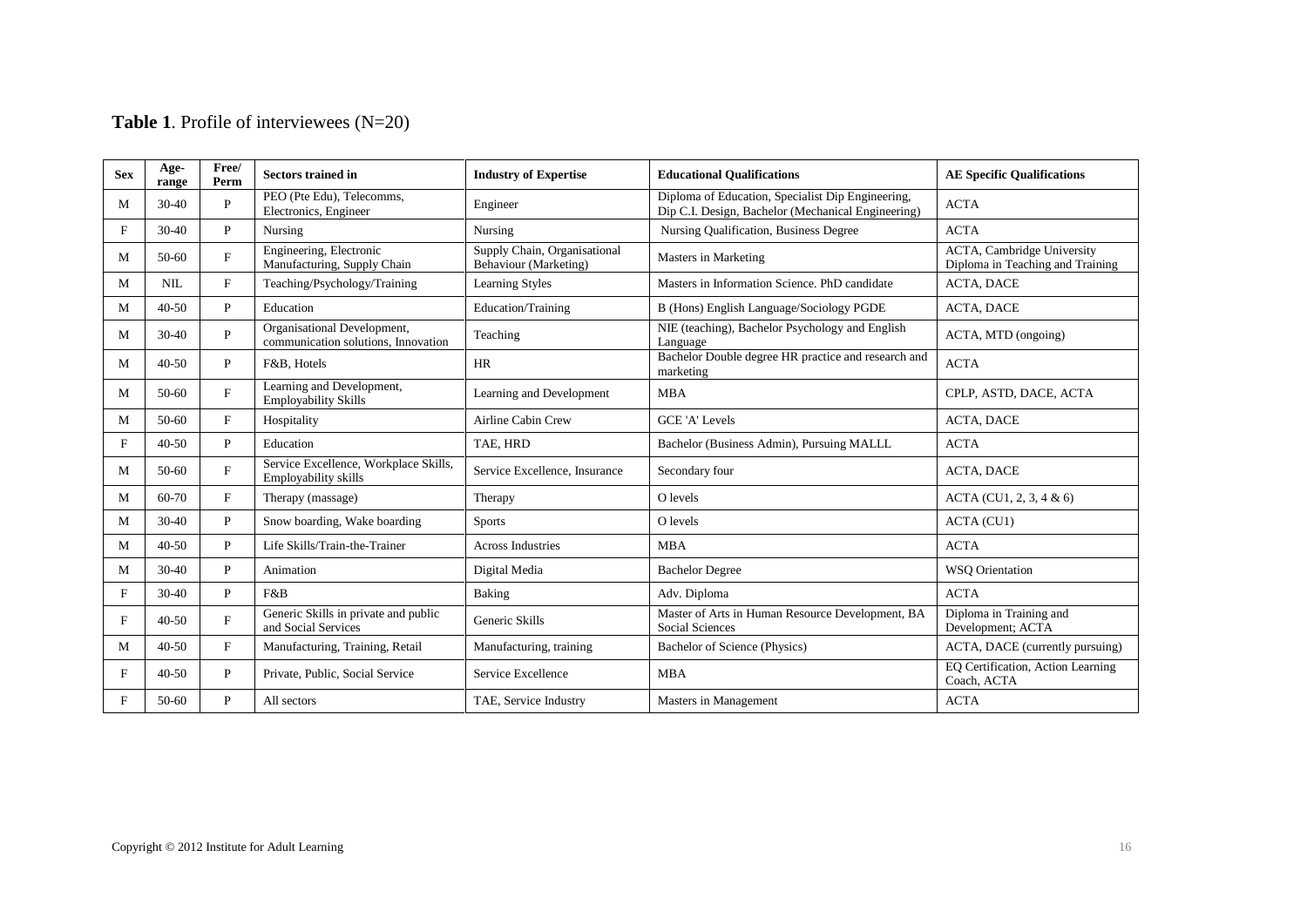### **Table 1**. Profile of interviewees (N=20)

| <b>Sex</b> | Age-<br>range | Free/<br>Perm | <b>Sectors trained in</b>                                          | <b>Industry of Expertise</b>                          | <b>Educational Qualifications</b>                                                                       | <b>AE Specific Qualifications</b>                                      |
|------------|---------------|---------------|--------------------------------------------------------------------|-------------------------------------------------------|---------------------------------------------------------------------------------------------------------|------------------------------------------------------------------------|
| M          | $30-40$       | P             | PEO (Pte Edu), Telecomms,<br>Electronics, Engineer                 | Engineer                                              | Diploma of Education, Specialist Dip Engineering,<br>Dip C.I. Design, Bachelor (Mechanical Engineering) | <b>ACTA</b>                                                            |
| F          | $30-40$       | P             | Nursing                                                            | Nursing                                               | Nursing Qualification, Business Degree                                                                  | <b>ACTA</b>                                                            |
| M          | $50-60$       | F             | Engineering, Electronic<br>Manufacturing, Supply Chain             | Supply Chain, Organisational<br>Behaviour (Marketing) | Masters in Marketing                                                                                    | <b>ACTA</b> , Cambridge University<br>Diploma in Teaching and Training |
| M          | NIL           | F             | Teaching/Psychology/Training                                       | <b>Learning Styles</b>                                | Masters in Information Science. PhD candidate                                                           | <b>ACTA, DACE</b>                                                      |
| M          | $40 - 50$     | $\mathbf{P}$  | Education                                                          | Education/Training                                    | B (Hons) English Language/Sociology PGDE                                                                | <b>ACTA, DACE</b>                                                      |
| M          | $30-40$       | $\mathbf{P}$  | Organisational Development,<br>communication solutions, Innovation | Teaching                                              | NIE (teaching), Bachelor Psychology and English<br>Language                                             | ACTA, MTD (ongoing)                                                    |
| M          | $40 - 50$     | P             | F&B, Hotels                                                        | <b>HR</b>                                             | Bachelor Double degree HR practice and research and<br>marketing                                        | <b>ACTA</b>                                                            |
| M          | $50-60$       | F             | Learning and Development,<br><b>Employability Skills</b>           | Learning and Development                              | <b>MBA</b>                                                                                              | CPLP, ASTD, DACE, ACTA                                                 |
| M          | 50-60         | F             | Hospitality                                                        | <b>Airline Cabin Crew</b>                             | <b>GCE 'A' Levels</b>                                                                                   | ACTA, DACE                                                             |
| F          | $40 - 50$     | $\mathbf{P}$  | Education                                                          | TAE, HRD                                              | Bachelor (Business Admin), Pursuing MALLL                                                               | <b>ACTA</b>                                                            |
| M          | 50-60         | F             | Service Excellence, Workplace Skills,<br>Employability skills      | Service Excellence, Insurance                         | Secondary four                                                                                          | <b>ACTA, DACE</b>                                                      |
| M          | $60 - 70$     | F             | Therapy (massage)                                                  | Therapy                                               | O levels                                                                                                | ACTA (CU1, 2, 3, 4 & 6)                                                |
| M          | $30 - 40$     | $\mathbf{P}$  | Snow boarding, Wake boarding                                       | Sports                                                | O levels                                                                                                | ACTA (CU1)                                                             |
| M          | $40-50$       | P             | Life Skills/Train-the-Trainer                                      | <b>Across Industries</b>                              | <b>MBA</b>                                                                                              | <b>ACTA</b>                                                            |
| M          | $30-40$       | P             | Animation                                                          | Digital Media                                         | <b>Bachelor Degree</b>                                                                                  | <b>WSO</b> Orientation                                                 |
| F          | $30 - 40$     | P             | F&B                                                                | Baking                                                | Adv. Diploma                                                                                            | <b>ACTA</b>                                                            |
| F          | $40 - 50$     | $\mathbf{F}$  | Generic Skills in private and public<br>and Social Services        | Generic Skills                                        | Master of Arts in Human Resource Development, BA<br><b>Social Sciences</b>                              | Diploma in Training and<br>Development; ACTA                           |
| M          | $40 - 50$     | $\mathbf{F}$  | Manufacturing, Training, Retail                                    | Manufacturing, training                               | Bachelor of Science (Physics)                                                                           | ACTA, DACE (currently pursuing)                                        |
| F          | $40 - 50$     | $\mathbf{P}$  | Private, Public, Social Service                                    | Service Excellence                                    | <b>MBA</b>                                                                                              | EO Certification, Action Learning<br>Coach, ACTA                       |
| F          | 50-60         | P             | All sectors                                                        | TAE, Service Industry                                 | Masters in Management                                                                                   | <b>ACTA</b>                                                            |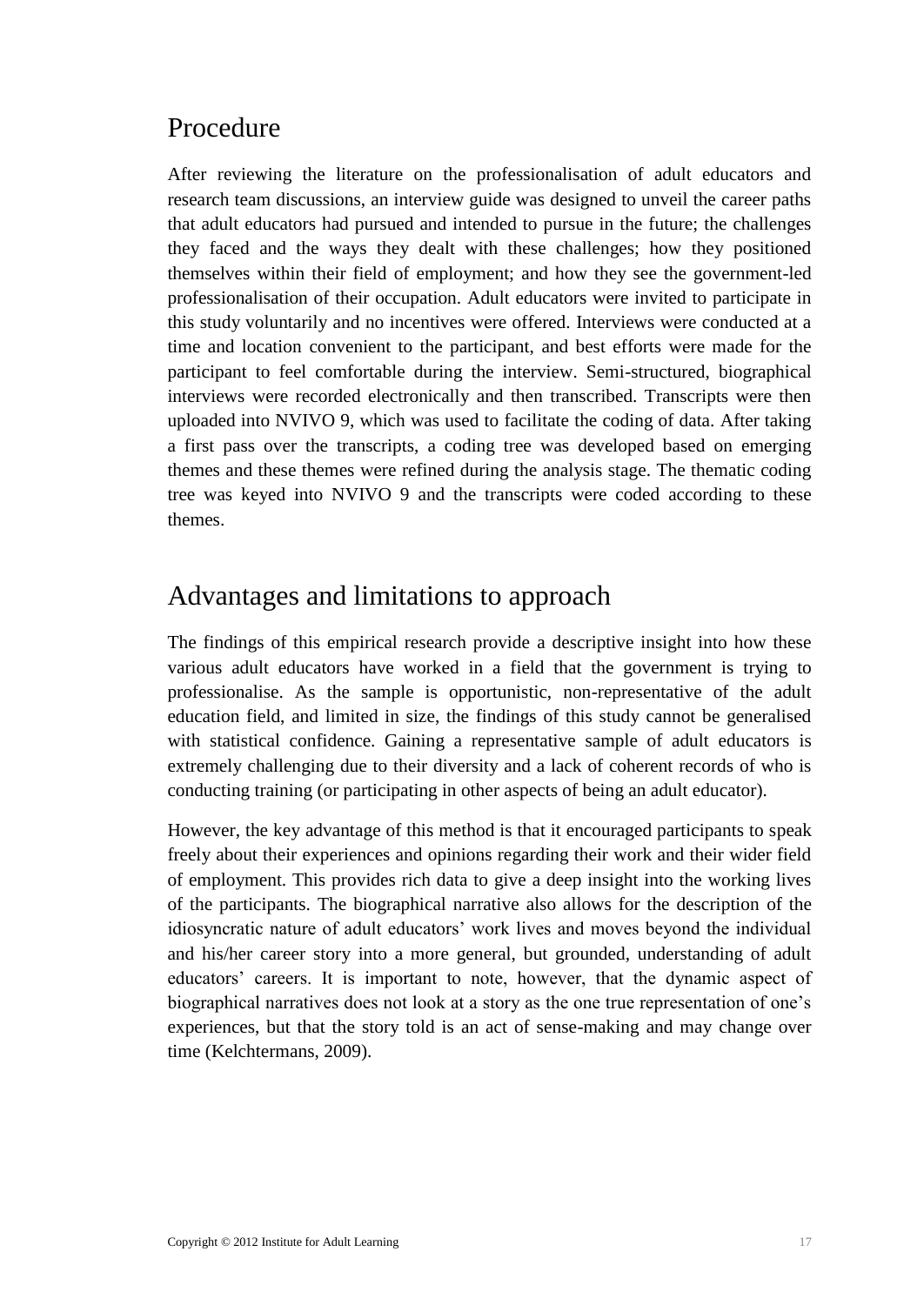### <span id="page-20-0"></span>Procedure

After reviewing the literature on the professionalisation of adult educators and research team discussions, an interview guide was designed to unveil the career paths that adult educators had pursued and intended to pursue in the future; the challenges they faced and the ways they dealt with these challenges; how they positioned themselves within their field of employment; and how they see the government-led professionalisation of their occupation. Adult educators were invited to participate in this study voluntarily and no incentives were offered. Interviews were conducted at a time and location convenient to the participant, and best efforts were made for the participant to feel comfortable during the interview. Semi-structured, biographical interviews were recorded electronically and then transcribed. Transcripts were then uploaded into NVIVO 9, which was used to facilitate the coding of data. After taking a first pass over the transcripts, a coding tree was developed based on emerging themes and these themes were refined during the analysis stage. The thematic coding tree was keyed into NVIVO 9 and the transcripts were coded according to these themes.

### Advantages and limitations to approach

The findings of this empirical research provide a descriptive insight into how these various adult educators have worked in a field that the government is trying to professionalise. As the sample is opportunistic, non-representative of the adult education field, and limited in size, the findings of this study cannot be generalised with statistical confidence. Gaining a representative sample of adult educators is extremely challenging due to their diversity and a lack of coherent records of who is conducting training (or participating in other aspects of being an adult educator).

However, the key advantage of this method is that it encouraged participants to speak freely about their experiences and opinions regarding their work and their wider field of employment. This provides rich data to give a deep insight into the working lives of the participants. The biographical narrative also allows for the description of the idiosyncratic nature of adult educators' work lives and moves beyond the individual and his/her career story into a more general, but grounded, understanding of adult educators' careers. It is important to note, however, that the dynamic aspect of biographical narratives does not look at a story as the one true representation of one's experiences, but that the story told is an act of sense-making and may change over time (Kelchtermans, 2009).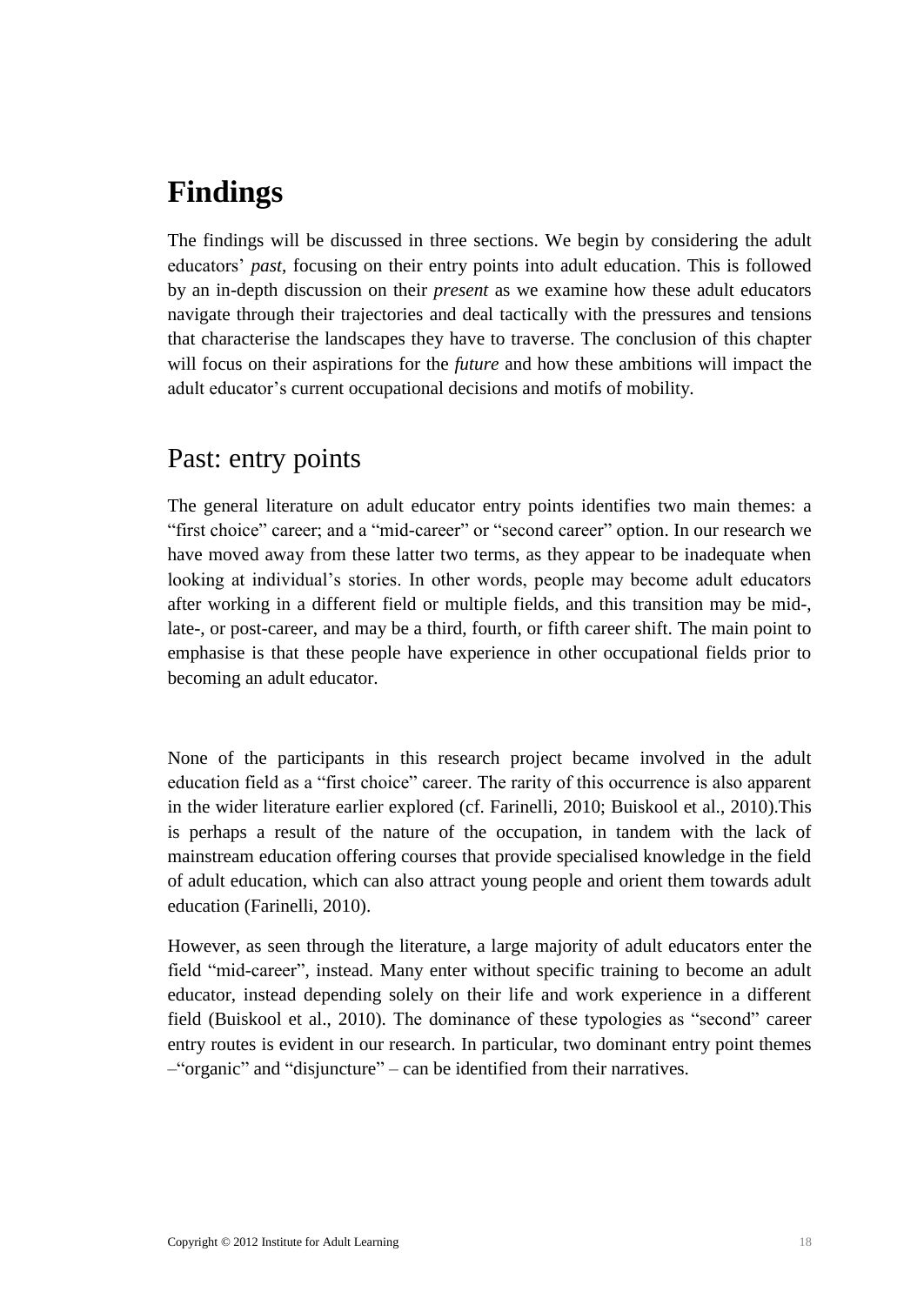## <span id="page-21-1"></span>**Findings**

The findings will be discussed in three sections. We begin by considering the adult educators' *past*, focusing on their entry points into adult education. This is followed by an in-depth discussion on their *present* as we examine how these adult educators navigate through their trajectories and deal tactically with the pressures and tensions that characterise the landscapes they have to traverse. The conclusion of this chapter will focus on their aspirations for the *future* and how these ambitions will impact the adult educator's current occupational decisions and motifs of mobility.

### <span id="page-21-0"></span>Past: entry points

The general literature on adult educator entry points identifies two main themes: a "first choice" career; and a "mid-career" or "second career" option. In our research we have moved away from these latter two terms, as they appear to be inadequate when looking at individual's stories. In other words, people may become adult educators after working in a different field or multiple fields, and this transition may be mid-, late-, or post-career, and may be a third, fourth, or fifth career shift. The main point to emphasise is that these people have experience in other occupational fields prior to becoming an adult educator.

None of the participants in this research project became involved in the adult education field as a "first choice" career. The rarity of this occurrence is also apparent in the wider literature earlier explored (cf. Farinelli, 2010; Buiskool et al., 2010).This is perhaps a result of the nature of the occupation, in tandem with the lack of mainstream education offering courses that provide specialised knowledge in the field of adult education, which can also attract young people and orient them towards adult education (Farinelli, 2010).

However, as seen through the literature, a large majority of adult educators enter the field "mid-career", instead. Many enter without specific training to become an adult educator, instead depending solely on their life and work experience in a different field (Buiskool et al., 2010). The dominance of these typologies as "second" career entry routes is evident in our research. In particular, two dominant entry point themes –"organic" and "disjuncture" – can be identified from their narratives.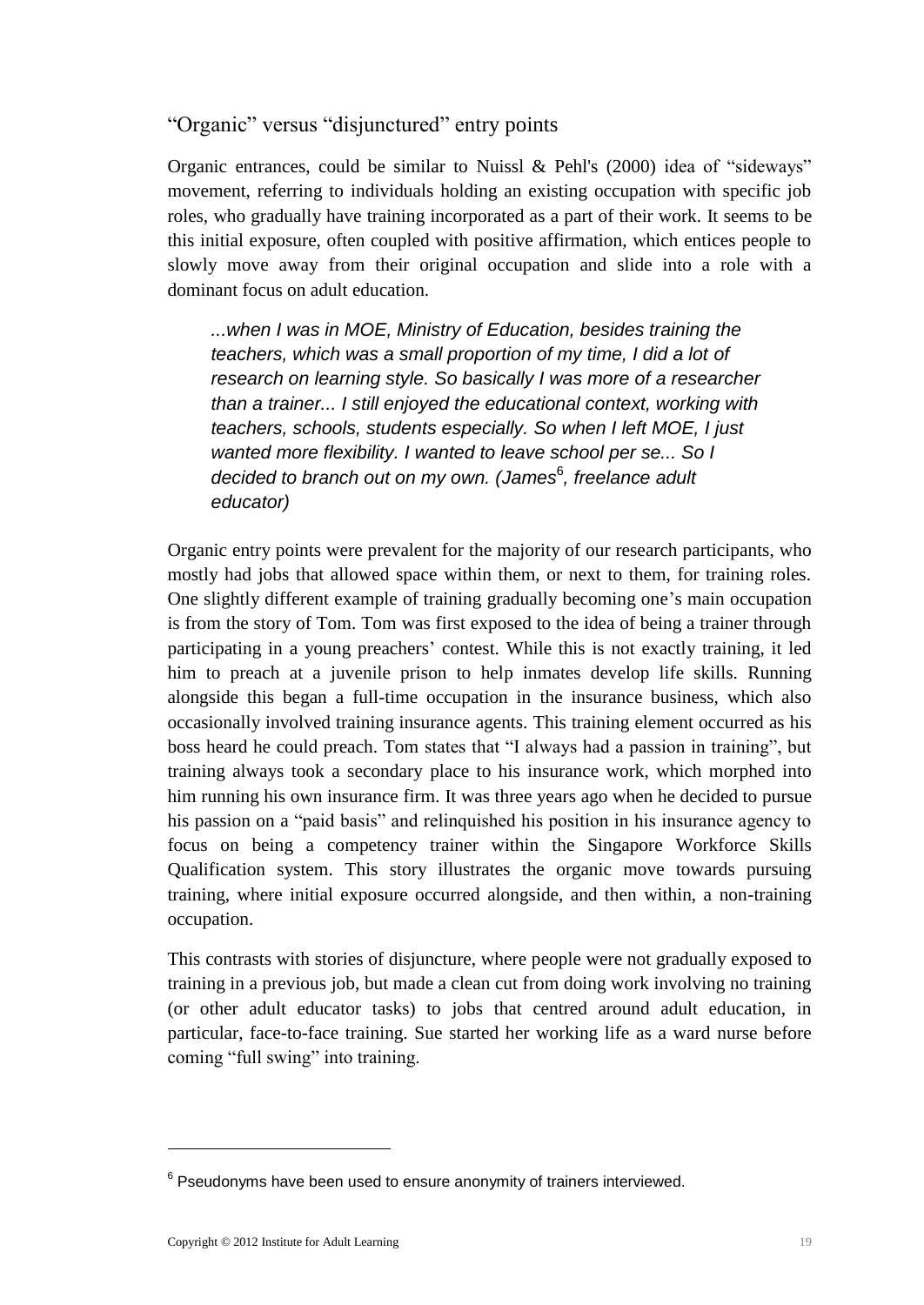### <span id="page-22-0"></span>"Organic" versus "disjunctured" entry points

Organic entrances, could be similar to Nuissl & Pehl's (2000) idea of "sideways" movement, referring to individuals holding an existing occupation with specific job roles, who gradually have training incorporated as a part of their work. It seems to be this initial exposure, often coupled with positive affirmation, which entices people to slowly move away from their original occupation and slide into a role with a dominant focus on adult education.

*...when I was in MOE, Ministry of Education, besides training the teachers, which was a small proportion of my time, I did a lot of research on learning style. So basically I was more of a researcher than a trainer... I still enjoyed the educational context, working with teachers, schools, students especially. So when I left MOE, I just wanted more flexibility. I wanted to leave school per se... So I*  decided to branch out on my own. (James<sup>6</sup>, freelance adult *educator)*

Organic entry points were prevalent for the majority of our research participants, who mostly had jobs that allowed space within them, or next to them, for training roles. One slightly different example of training gradually becoming one's main occupation is from the story of Tom. Tom was first exposed to the idea of being a trainer through participating in a young preachers' contest. While this is not exactly training, it led him to preach at a juvenile prison to help inmates develop life skills. Running alongside this began a full-time occupation in the insurance business, which also occasionally involved training insurance agents. This training element occurred as his boss heard he could preach. Tom states that "I always had a passion in training", but training always took a secondary place to his insurance work, which morphed into him running his own insurance firm. It was three years ago when he decided to pursue his passion on a "paid basis" and relinquished his position in his insurance agency to focus on being a competency trainer within the Singapore Workforce Skills Qualification system. This story illustrates the organic move towards pursuing training, where initial exposure occurred alongside, and then within, a non-training occupation.

This contrasts with stories of disjuncture, where people were not gradually exposed to training in a previous job, but made a clean cut from doing work involving no training (or other adult educator tasks) to jobs that centred around adult education, in particular, face-to-face training. Sue started her working life as a ward nurse before coming "full swing" into training.

1

 $6$  Pseudonyms have been used to ensure anonymity of trainers interviewed.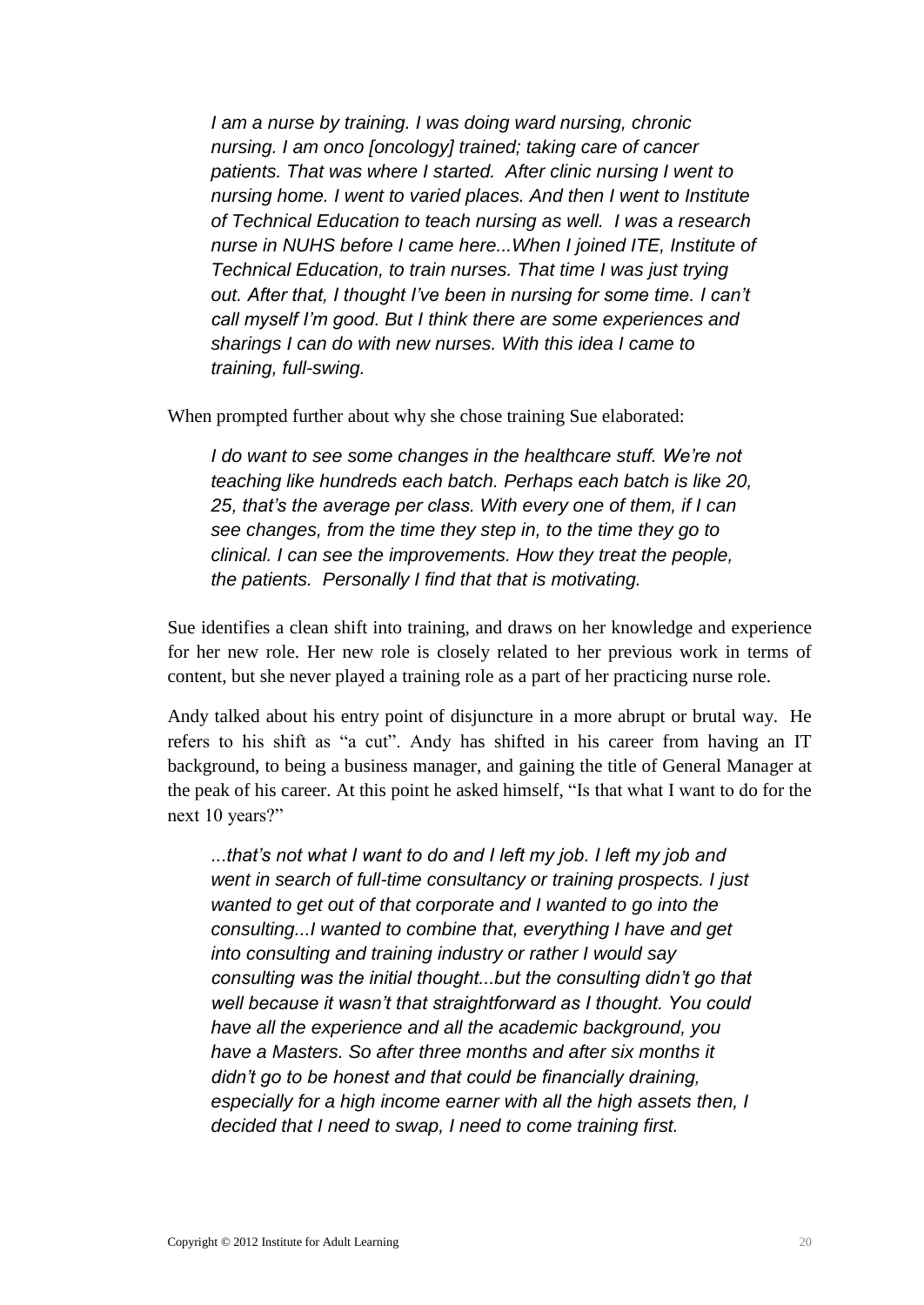*I am a nurse by training. I was doing ward nursing, chronic nursing. I am onco [oncology] trained; taking care of cancer patients. That was where I started. After clinic nursing I went to nursing home. I went to varied places. And then I went to Institute of Technical Education to teach nursing as well. I was a research nurse in NUHS before I came here...When I joined ITE, Institute of Technical Education, to train nurses. That time I was just trying out. After that, I thought I've been in nursing for some time. I can't call myself I'm good. But I think there are some experiences and sharings I can do with new nurses. With this idea I came to training, full-swing.*

When prompted further about why she chose training Sue elaborated:

*I do want to see some changes in the healthcare stuff. We're not teaching like hundreds each batch. Perhaps each batch is like 20, 25, that's the average per class. With every one of them, if I can see changes, from the time they step in, to the time they go to clinical. I can see the improvements. How they treat the people, the patients. Personally I find that that is motivating.* 

Sue identifies a clean shift into training, and draws on her knowledge and experience for her new role. Her new role is closely related to her previous work in terms of content, but she never played a training role as a part of her practicing nurse role.

Andy talked about his entry point of disjuncture in a more abrupt or brutal way. He refers to his shift as "a cut". Andy has shifted in his career from having an IT background, to being a business manager, and gaining the title of General Manager at the peak of his career. At this point he asked himself, "Is that what I want to do for the next 10 years?"

*...that's not what I want to do and I left my job. I left my job and went in search of full-time consultancy or training prospects. I just wanted to get out of that corporate and I wanted to go into the consulting...I wanted to combine that, everything I have and get into consulting and training industry or rather I would say consulting was the initial thought...but the consulting didn't go that well because it wasn't that straightforward as I thought. You could have all the experience and all the academic background, you have a Masters. So after three months and after six months it didn't go to be honest and that could be financially draining, especially for a high income earner with all the high assets then, I decided that I need to swap, I need to come training first.*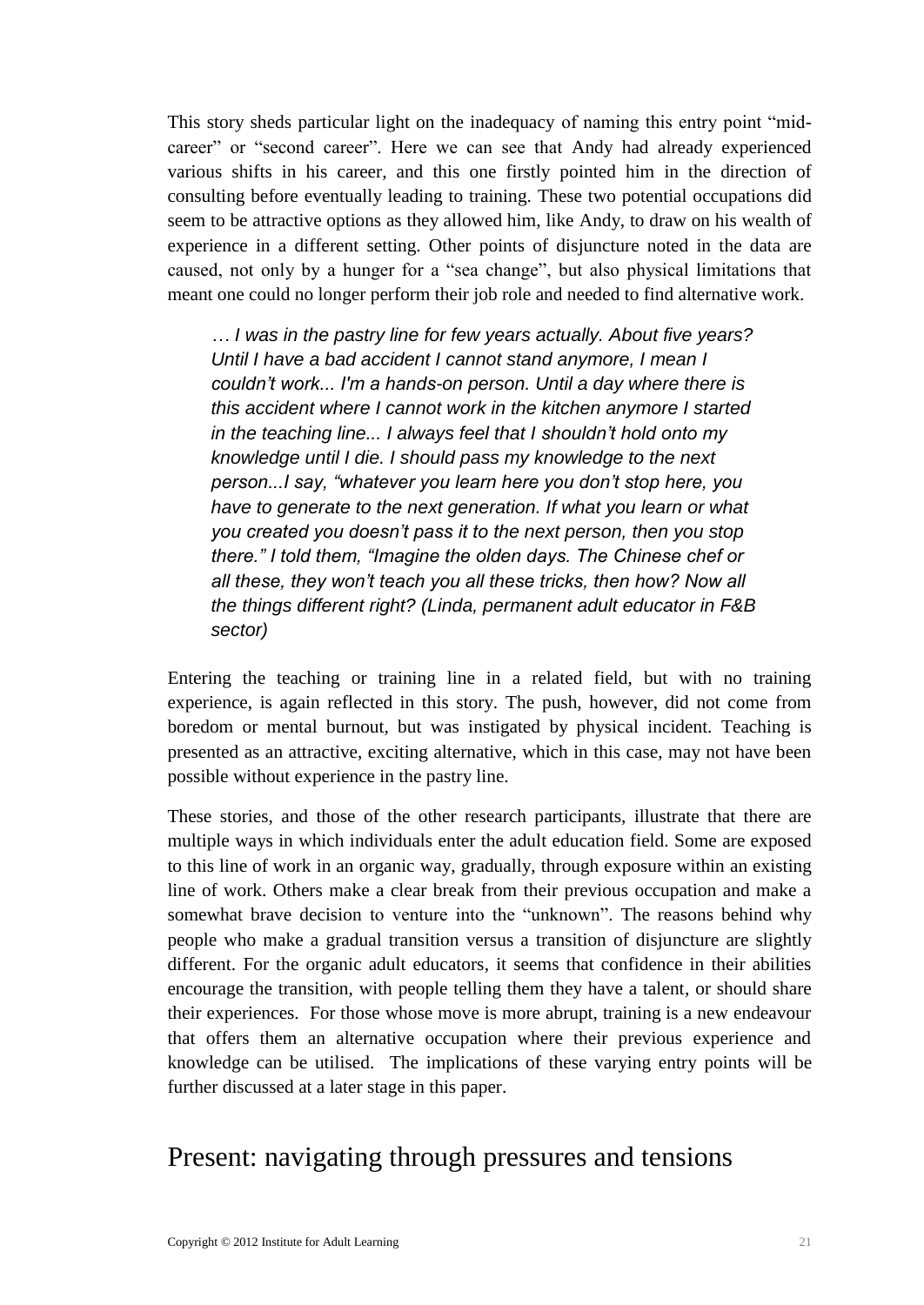This story sheds particular light on the inadequacy of naming this entry point "midcareer" or "second career". Here we can see that Andy had already experienced various shifts in his career, and this one firstly pointed him in the direction of consulting before eventually leading to training. These two potential occupations did seem to be attractive options as they allowed him, like Andy, to draw on his wealth of experience in a different setting. Other points of disjuncture noted in the data are caused, not only by a hunger for a "sea change", but also physical limitations that meant one could no longer perform their job role and needed to find alternative work.

*… I was in the pastry line for few years actually. About five years? Until I have a bad accident I cannot stand anymore, I mean I couldn't work... I'm a hands-on person. Until a day where there is this accident where I cannot work in the kitchen anymore I started in the teaching line... I always feel that I shouldn't hold onto my knowledge until I die. I should pass my knowledge to the next person...I say, "whatever you learn here you don't stop here, you have to generate to the next generation. If what you learn or what you created you doesn't pass it to the next person, then you stop there." I told them, "Imagine the olden days. The Chinese chef or all these, they won't teach you all these tricks, then how? Now all the things different right? (Linda, permanent adult educator in F&B sector)*

Entering the teaching or training line in a related field, but with no training experience, is again reflected in this story. The push, however, did not come from boredom or mental burnout, but was instigated by physical incident. Teaching is presented as an attractive, exciting alternative, which in this case, may not have been possible without experience in the pastry line.

These stories, and those of the other research participants, illustrate that there are multiple ways in which individuals enter the adult education field. Some are exposed to this line of work in an organic way, gradually, through exposure within an existing line of work. Others make a clear break from their previous occupation and make a somewhat brave decision to venture into the "unknown". The reasons behind why people who make a gradual transition versus a transition of disjuncture are slightly different. For the organic adult educators, it seems that confidence in their abilities encourage the transition, with people telling them they have a talent, or should share their experiences. For those whose move is more abrupt, training is a new endeavour that offers them an alternative occupation where their previous experience and knowledge can be utilised. The implications of these varying entry points will be further discussed at a later stage in this paper.

### <span id="page-24-0"></span>Present: navigating through pressures and tensions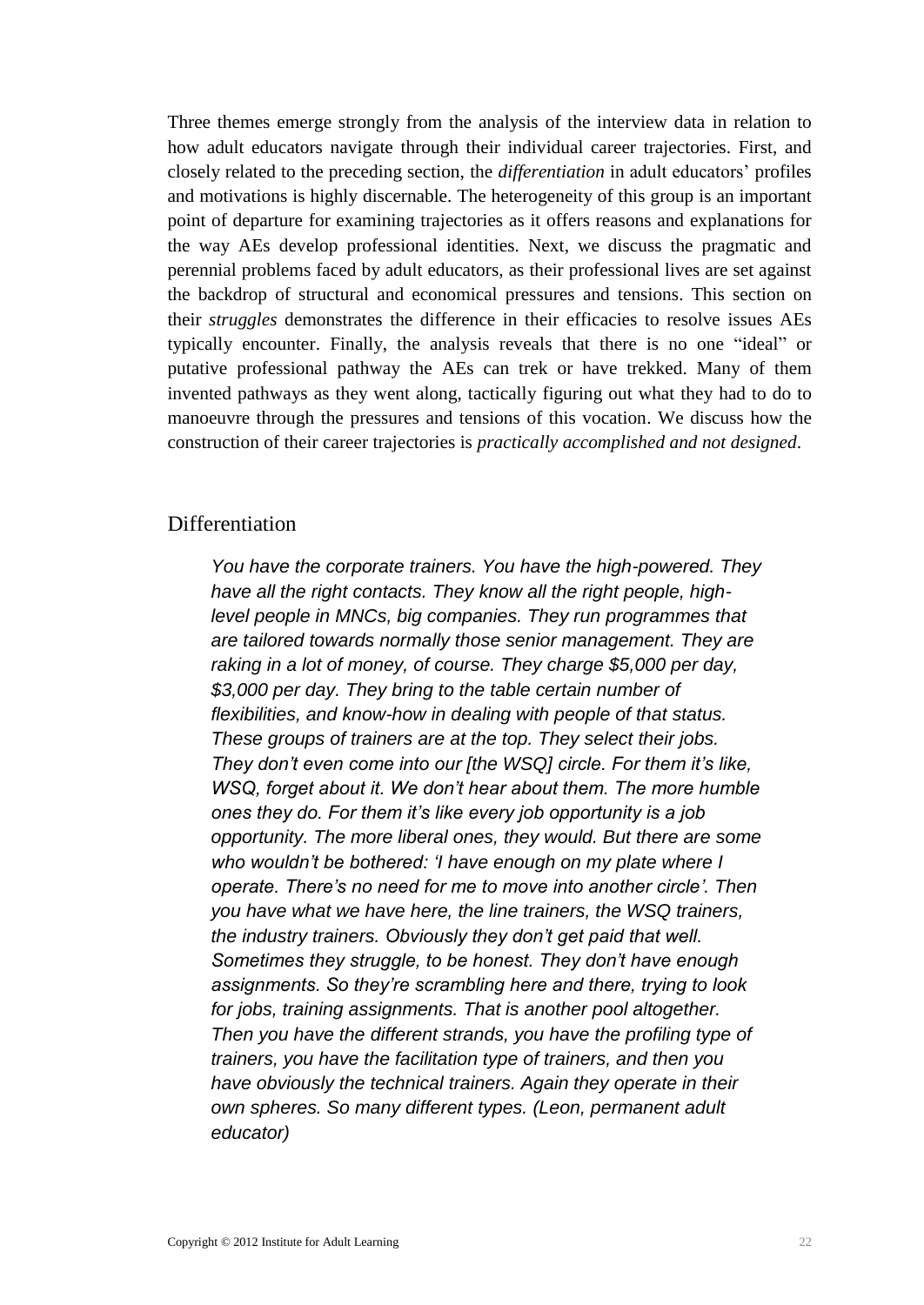Three themes emerge strongly from the analysis of the interview data in relation to how adult educators navigate through their individual career trajectories. First, and closely related to the preceding section, the *differentiation* in adult educators' profiles and motivations is highly discernable. The heterogeneity of this group is an important point of departure for examining trajectories as it offers reasons and explanations for the way AEs develop professional identities. Next, we discuss the pragmatic and perennial problems faced by adult educators, as their professional lives are set against the backdrop of structural and economical pressures and tensions. This section on their *struggles* demonstrates the difference in their efficacies to resolve issues AEs typically encounter. Finally, the analysis reveals that there is no one "ideal" or putative professional pathway the AEs can trek or have trekked. Many of them invented pathways as they went along, tactically figuring out what they had to do to manoeuvre through the pressures and tensions of this vocation. We discuss how the construction of their career trajectories is *practically accomplished and not designed*.

### <span id="page-25-0"></span>Differentiation

*You have the corporate trainers. You have the high-powered. They have all the right contacts. They know all the right people, highlevel people in MNCs, big companies. They run programmes that are tailored towards normally those senior management. They are raking in a lot of money, of course. They charge \$5,000 per day, \$3,000 per day. They bring to the table certain number of flexibilities, and know-how in dealing with people of that status. These groups of trainers are at the top. They select their jobs. They don't even come into our [the WSQ] circle. For them it's like, WSQ, forget about it. We don't hear about them. The more humble ones they do. For them it's like every job opportunity is a job opportunity. The more liberal ones, they would. But there are some who wouldn't be bothered: 'I have enough on my plate where I operate. There's no need for me to move into another circle'. Then you have what we have here, the line trainers, the WSQ trainers, the industry trainers. Obviously they don't get paid that well. Sometimes they struggle, to be honest. They don't have enough assignments. So they're scrambling here and there, trying to look for jobs, training assignments. That is another pool altogether. Then you have the different strands, you have the profiling type of trainers, you have the facilitation type of trainers, and then you have obviously the technical trainers. Again they operate in their own spheres. So many different types. (Leon, permanent adult educator)*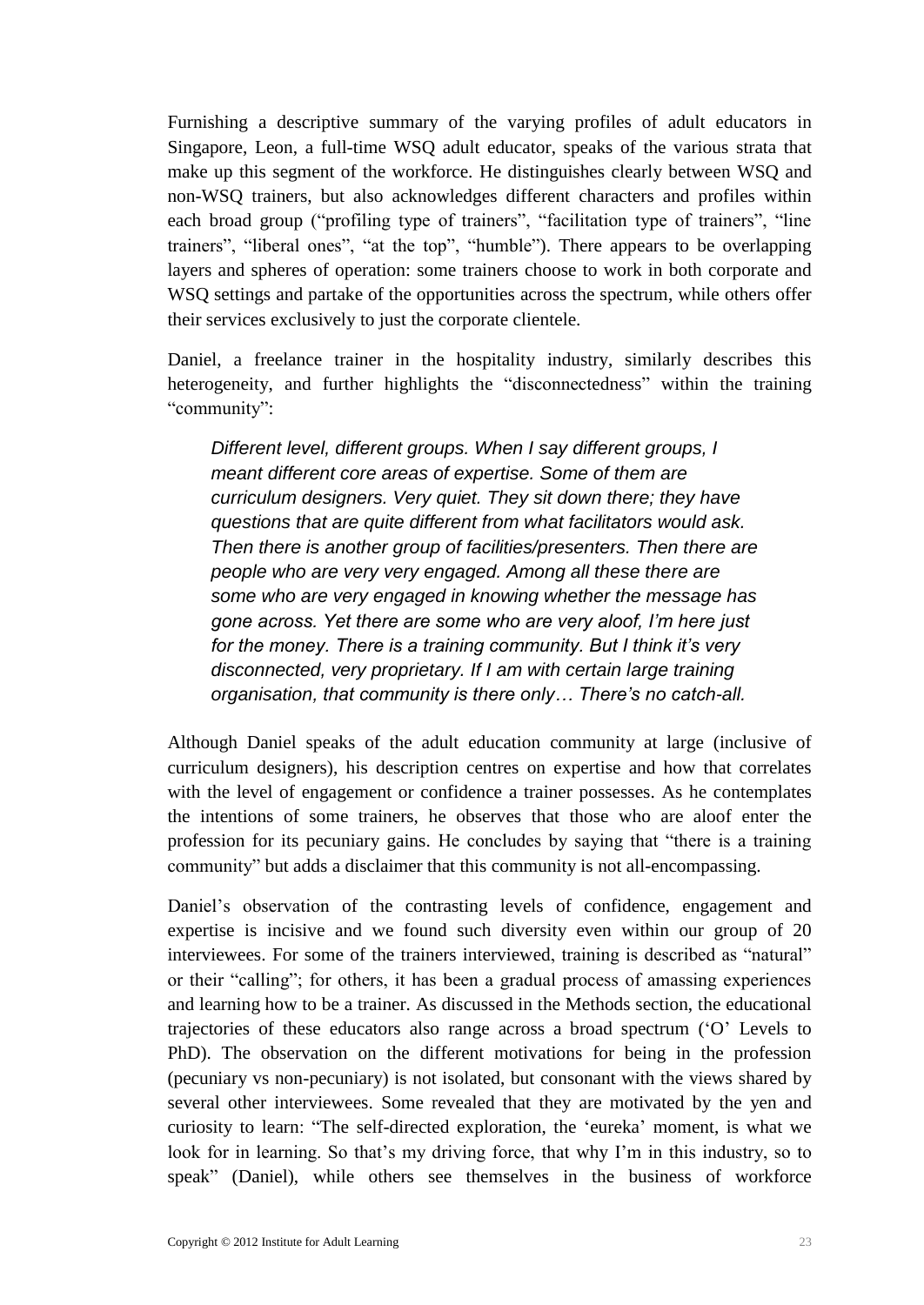Furnishing a descriptive summary of the varying profiles of adult educators in Singapore, Leon, a full-time WSQ adult educator, speaks of the various strata that make up this segment of the workforce. He distinguishes clearly between WSQ and non-WSQ trainers, but also acknowledges different characters and profiles within each broad group ("profiling type of trainers", "facilitation type of trainers", "line trainers", "liberal ones", "at the top", "humble"). There appears to be overlapping layers and spheres of operation: some trainers choose to work in both corporate and WSQ settings and partake of the opportunities across the spectrum, while others offer their services exclusively to just the corporate clientele.

Daniel, a freelance trainer in the hospitality industry, similarly describes this heterogeneity, and further highlights the "disconnectedness" within the training "community":

*Different level, different groups. When I say different groups, I meant different core areas of expertise. Some of them are curriculum designers. Very quiet. They sit down there; they have questions that are quite different from what facilitators would ask. Then there is another group of facilities/presenters. Then there are people who are very very engaged. Among all these there are some who are very engaged in knowing whether the message has gone across. Yet there are some who are very aloof, I'm here just for the money. There is a training community. But I think it's very disconnected, very proprietary. If I am with certain large training organisation, that community is there only… There's no catch-all.*

Although Daniel speaks of the adult education community at large (inclusive of curriculum designers), his description centres on expertise and how that correlates with the level of engagement or confidence a trainer possesses. As he contemplates the intentions of some trainers, he observes that those who are aloof enter the profession for its pecuniary gains. He concludes by saying that "there is a training community" but adds a disclaimer that this community is not all-encompassing.

Daniel's observation of the contrasting levels of confidence, engagement and expertise is incisive and we found such diversity even within our group of 20 interviewees. For some of the trainers interviewed, training is described as "natural" or their "calling"; for others, it has been a gradual process of amassing experiences and learning how to be a trainer. As discussed in the Methods section, the educational trajectories of these educators also range across a broad spectrum ('O' Levels to PhD). The observation on the different motivations for being in the profession (pecuniary vs non-pecuniary) is not isolated, but consonant with the views shared by several other interviewees. Some revealed that they are motivated by the yen and curiosity to learn: "The self-directed exploration, the 'eureka' moment, is what we look for in learning. So that's my driving force, that why I'm in this industry, so to speak" (Daniel), while others see themselves in the business of workforce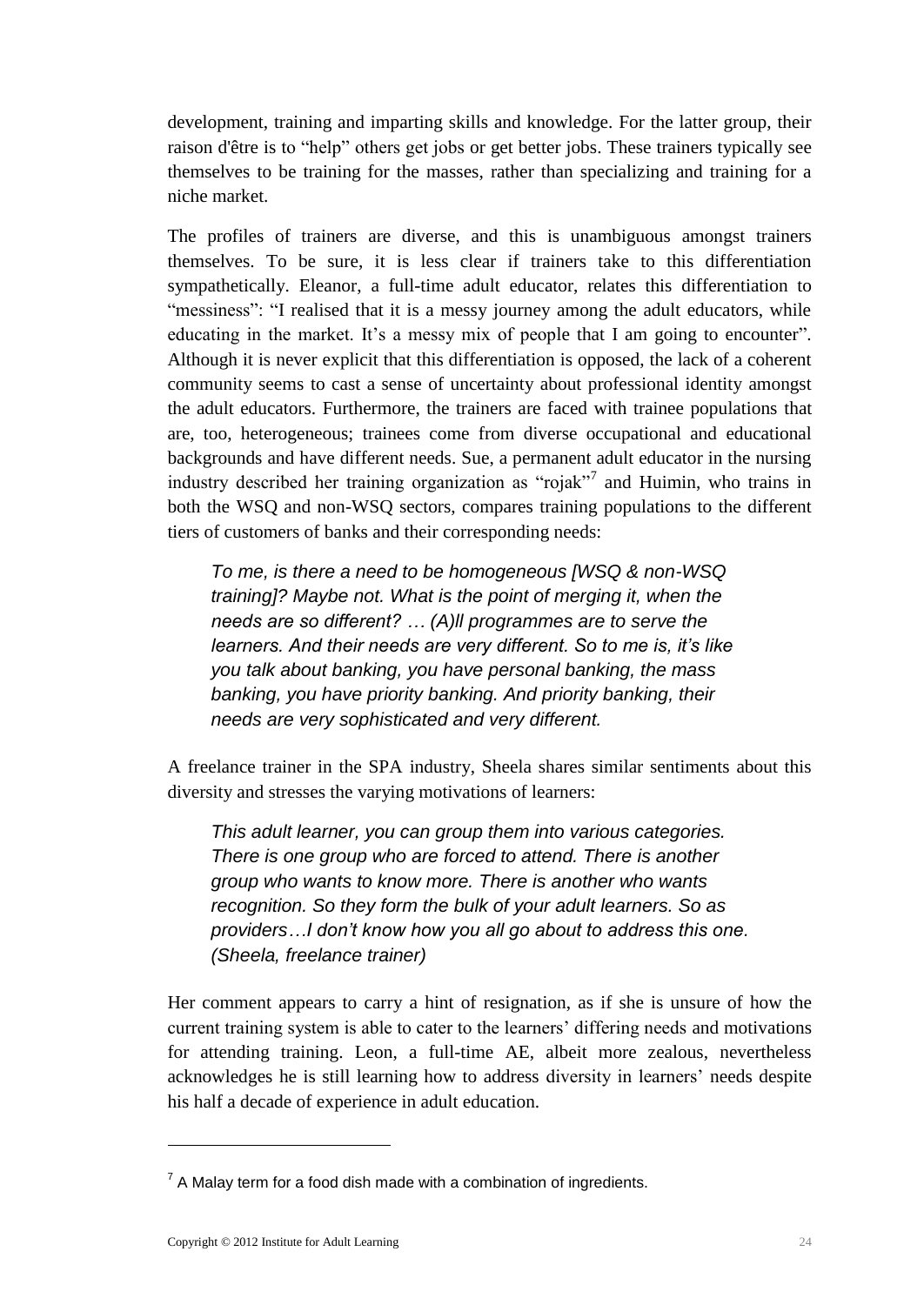development, training and imparting skills and knowledge. For the latter group, their raison d'être is to "help" others get jobs or get better jobs. These trainers typically see themselves to be training for the masses, rather than specializing and training for a niche market.

The profiles of trainers are diverse, and this is unambiguous amongst trainers themselves. To be sure, it is less clear if trainers take to this differentiation sympathetically. Eleanor, a full-time adult educator, relates this differentiation to "messiness": "I realised that it is a messy journey among the adult educators, while educating in the market. It's a messy mix of people that I am going to encounter". Although it is never explicit that this differentiation is opposed, the lack of a coherent community seems to cast a sense of uncertainty about professional identity amongst the adult educators. Furthermore, the trainers are faced with trainee populations that are, too, heterogeneous; trainees come from diverse occupational and educational backgrounds and have different needs. Sue, a permanent adult educator in the nursing industry described her training organization as "rojak"<sup>7</sup> and Huimin, who trains in both the WSQ and non-WSQ sectors, compares training populations to the different tiers of customers of banks and their corresponding needs:

*To me, is there a need to be homogeneous [WSQ & non-WSQ training]? Maybe not. What is the point of merging it, when the needs are so different? … (A)ll programmes are to serve the learners. And their needs are very different. So to me is, it's like you talk about banking, you have personal banking, the mass banking, you have priority banking. And priority banking, their needs are very sophisticated and very different.* 

A freelance trainer in the SPA industry, Sheela shares similar sentiments about this diversity and stresses the varying motivations of learners:

*This adult learner, you can group them into various categories. There is one group who are forced to attend. There is another group who wants to know more. There is another who wants recognition. So they form the bulk of your adult learners. So as providers…I don't know how you all go about to address this one. (Sheela, freelance trainer)*

Her comment appears to carry a hint of resignation, as if she is unsure of how the current training system is able to cater to the learners' differing needs and motivations for attending training. Leon, a full-time AE, albeit more zealous, nevertheless acknowledges he is still learning how to address diversity in learners' needs despite his half a decade of experience in adult education.

<u>.</u>

 $7$  A Malay term for a food dish made with a combination of ingredients.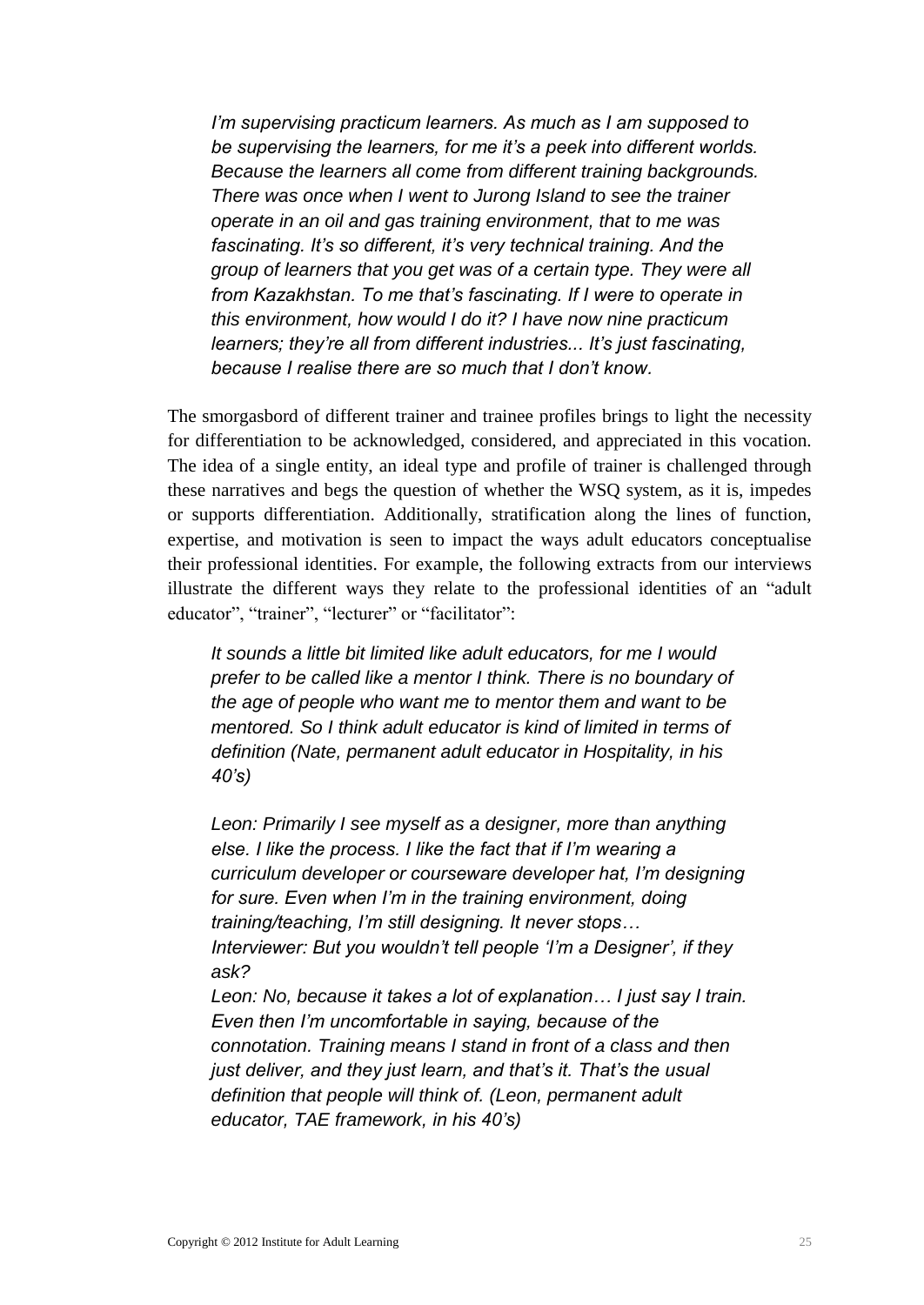*I'm supervising practicum learners. As much as I am supposed to be supervising the learners, for me it's a peek into different worlds. Because the learners all come from different training backgrounds. There was once when I went to Jurong Island to see the trainer operate in an oil and gas training environment, that to me was fascinating. It's so different, it's very technical training. And the group of learners that you get was of a certain type. They were all from Kazakhstan. To me that's fascinating. If I were to operate in this environment, how would I do it? I have now nine practicum learners; they're all from different industries... It's just fascinating, because I realise there are so much that I don't know.*

The smorgasbord of different trainer and trainee profiles brings to light the necessity for differentiation to be acknowledged, considered, and appreciated in this vocation. The idea of a single entity, an ideal type and profile of trainer is challenged through these narratives and begs the question of whether the WSQ system, as it is, impedes or supports differentiation. Additionally, stratification along the lines of function, expertise, and motivation is seen to impact the ways adult educators conceptualise their professional identities. For example, the following extracts from our interviews illustrate the different ways they relate to the professional identities of an "adult educator", "trainer", "lecturer" or "facilitator":

*It sounds a little bit limited like adult educators, for me I would prefer to be called like a mentor I think. There is no boundary of the age of people who want me to mentor them and want to be mentored. So I think adult educator is kind of limited in terms of definition (Nate, permanent adult educator in Hospitality, in his 40's)*

*Leon: Primarily I see myself as a designer, more than anything else. I like the process. I like the fact that if I'm wearing a curriculum developer or courseware developer hat, I'm designing for sure. Even when I'm in the training environment, doing training/teaching, I'm still designing. It never stops… Interviewer: But you wouldn't tell people 'I'm a Designer', if they ask?*

*Leon: No, because it takes a lot of explanation… I just say I train. Even then I'm uncomfortable in saying, because of the connotation. Training means I stand in front of a class and then just deliver, and they just learn, and that's it. That's the usual definition that people will think of. (Leon, permanent adult educator, TAE framework, in his 40's)*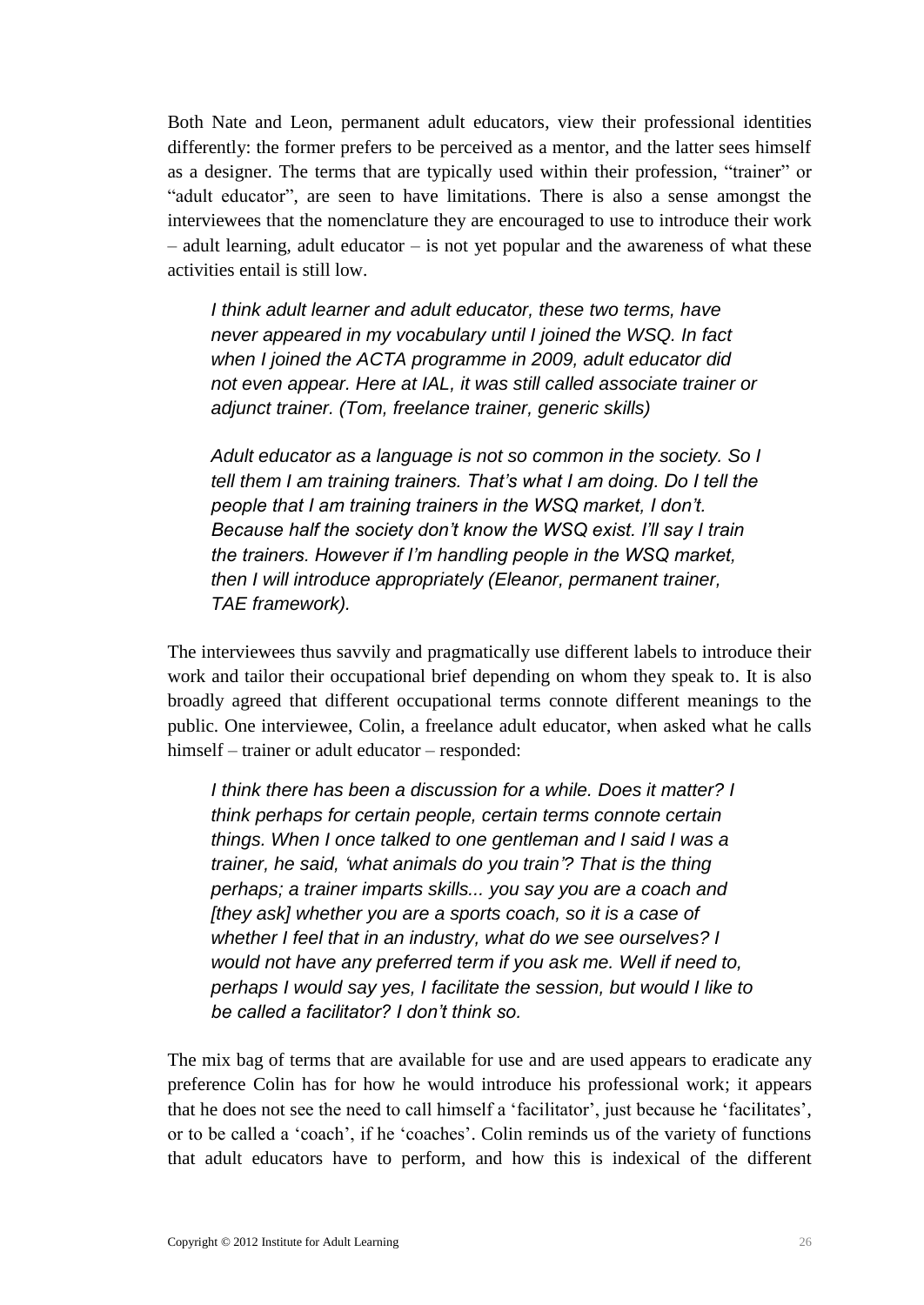Both Nate and Leon, permanent adult educators, view their professional identities differently: the former prefers to be perceived as a mentor, and the latter sees himself as a designer. The terms that are typically used within their profession, "trainer" or "adult educator", are seen to have limitations. There is also a sense amongst the interviewees that the nomenclature they are encouraged to use to introduce their work – adult learning, adult educator – is not yet popular and the awareness of what these activities entail is still low.

*I think adult learner and adult educator, these two terms, have never appeared in my vocabulary until I joined the WSQ. In fact when I joined the ACTA programme in 2009, adult educator did not even appear. Here at IAL, it was still called associate trainer or adjunct trainer. (Tom, freelance trainer, generic skills)*

*Adult educator as a language is not so common in the society. So I tell them I am training trainers. That's what I am doing. Do I tell the people that I am training trainers in the WSQ market, I don't. Because half the society don't know the WSQ exist. I'll say I train the trainers. However if I'm handling people in the WSQ market, then I will introduce appropriately (Eleanor, permanent trainer, TAE framework).*

The interviewees thus savvily and pragmatically use different labels to introduce their work and tailor their occupational brief depending on whom they speak to. It is also broadly agreed that different occupational terms connote different meanings to the public. One interviewee, Colin, a freelance adult educator, when asked what he calls himself – trainer or adult educator – responded:

*I think there has been a discussion for a while. Does it matter? I think perhaps for certain people, certain terms connote certain things. When I once talked to one gentleman and I said I was a trainer, he said, 'what animals do you train'? That is the thing perhaps; a trainer imparts skills... you say you are a coach and [they ask] whether you are a sports coach, so it is a case of whether I feel that in an industry, what do we see ourselves? I would not have any preferred term if you ask me. Well if need to, perhaps I would say yes, I facilitate the session, but would I like to be called a facilitator? I don't think so.*

The mix bag of terms that are available for use and are used appears to eradicate any preference Colin has for how he would introduce his professional work; it appears that he does not see the need to call himself a 'facilitator', just because he 'facilitates', or to be called a 'coach', if he 'coaches'. Colin reminds us of the variety of functions that adult educators have to perform, and how this is indexical of the different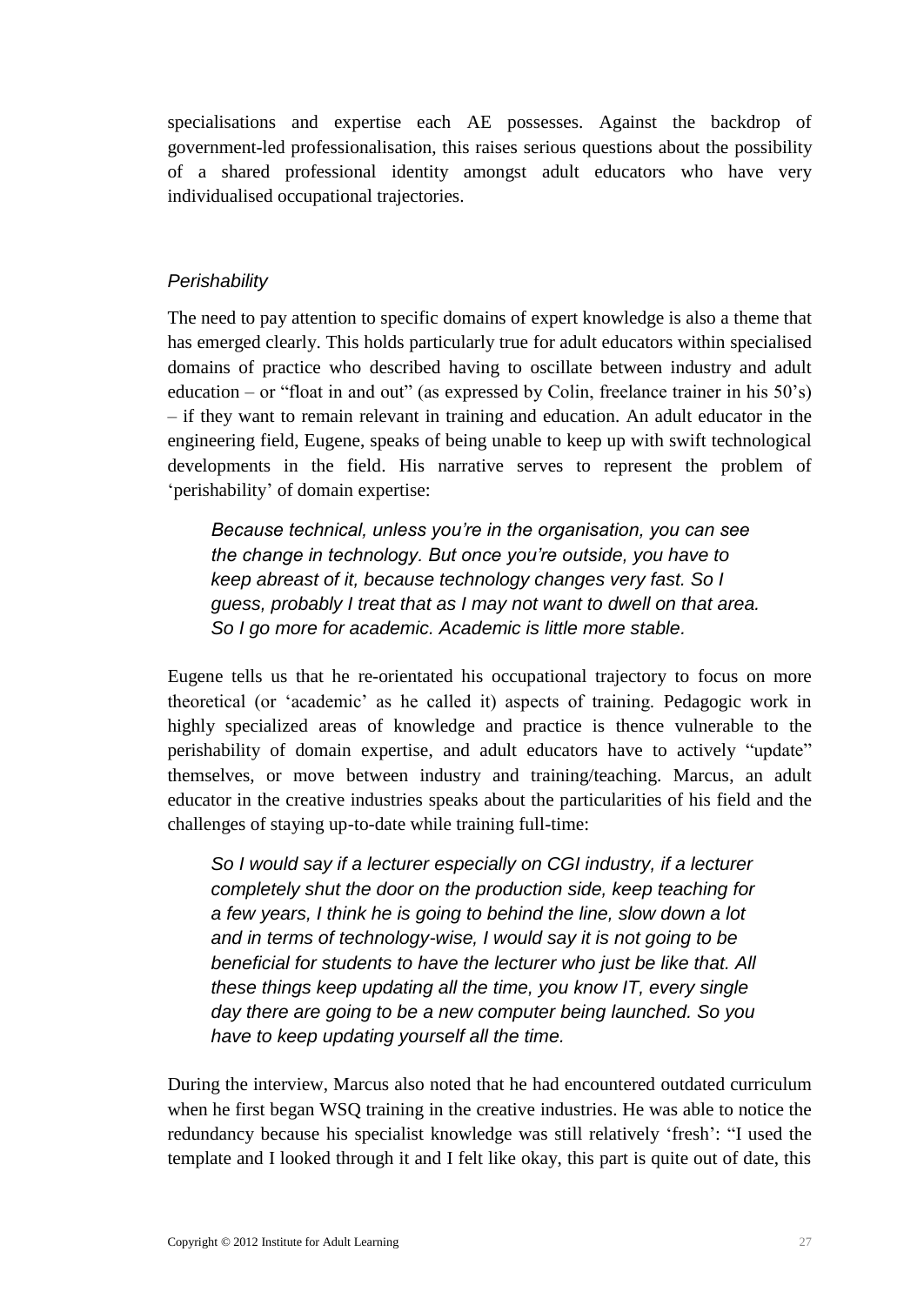specialisations and expertise each AE possesses. Against the backdrop of government-led professionalisation, this raises serious questions about the possibility of a shared professional identity amongst adult educators who have very individualised occupational trajectories.

#### *Perishability*

The need to pay attention to specific domains of expert knowledge is also a theme that has emerged clearly. This holds particularly true for adult educators within specialised domains of practice who described having to oscillate between industry and adult education – or "float in and out" (as expressed by Colin, freelance trainer in his  $50's$ ) – if they want to remain relevant in training and education. An adult educator in the engineering field, Eugene, speaks of being unable to keep up with swift technological developments in the field. His narrative serves to represent the problem of 'perishability' of domain expertise:

*Because technical, unless you're in the organisation, you can see the change in technology. But once you're outside, you have to keep abreast of it, because technology changes very fast. So I guess, probably I treat that as I may not want to dwell on that area. So I go more for academic. Academic is little more stable.*

Eugene tells us that he re-orientated his occupational trajectory to focus on more theoretical (or 'academic' as he called it) aspects of training. Pedagogic work in highly specialized areas of knowledge and practice is thence vulnerable to the perishability of domain expertise, and adult educators have to actively "update" themselves, or move between industry and training/teaching. Marcus, an adult educator in the creative industries speaks about the particularities of his field and the challenges of staying up-to-date while training full-time:

*So I would say if a lecturer especially on CGI industry, if a lecturer completely shut the door on the production side, keep teaching for a few years, I think he is going to behind the line, slow down a lot and in terms of technology-wise, I would say it is not going to be beneficial for students to have the lecturer who just be like that. All these things keep updating all the time, you know IT, every single day there are going to be a new computer being launched. So you have to keep updating yourself all the time.*

During the interview, Marcus also noted that he had encountered outdated curriculum when he first began WSQ training in the creative industries. He was able to notice the redundancy because his specialist knowledge was still relatively 'fresh': "I used the template and I looked through it and I felt like okay, this part is quite out of date, this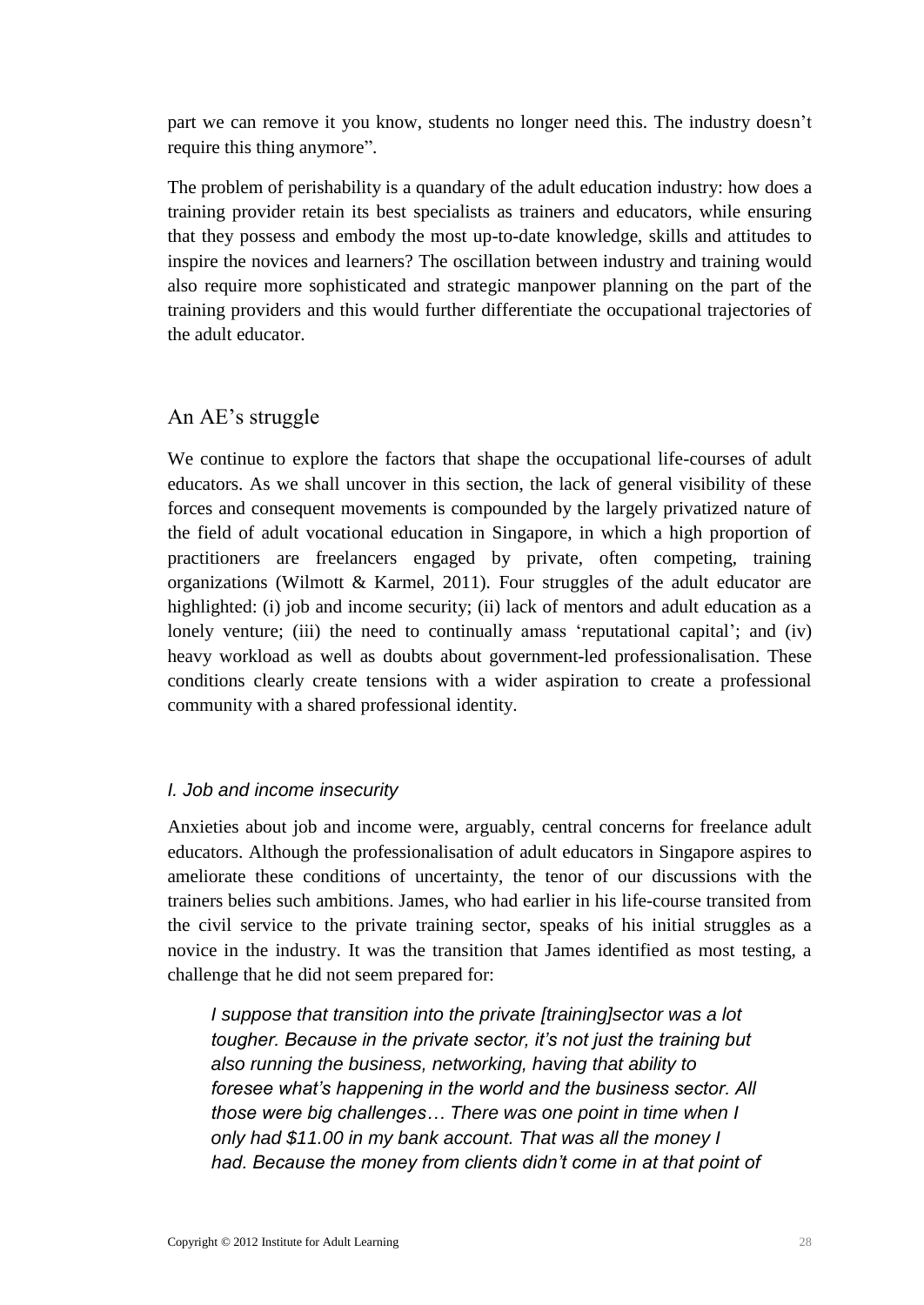part we can remove it you know, students no longer need this. The industry doesn't require this thing anymore".

The problem of perishability is a quandary of the adult education industry: how does a training provider retain its best specialists as trainers and educators, while ensuring that they possess and embody the most up-to-date knowledge, skills and attitudes to inspire the novices and learners? The oscillation between industry and training would also require more sophisticated and strategic manpower planning on the part of the training providers and this would further differentiate the occupational trajectories of the adult educator.

### <span id="page-31-0"></span>An AE's struggle

We continue to explore the factors that shape the occupational life-courses of adult educators. As we shall uncover in this section, the lack of general visibility of these forces and consequent movements is compounded by the largely privatized nature of the field of adult vocational education in Singapore, in which a high proportion of practitioners are freelancers engaged by private, often competing, training organizations (Wilmott & Karmel, 2011). Four struggles of the adult educator are highlighted: (i) job and income security; (ii) lack of mentors and adult education as a lonely venture; (iii) the need to continually amass 'reputational capital'; and (iv) heavy workload as well as doubts about government-led professionalisation. These conditions clearly create tensions with a wider aspiration to create a professional community with a shared professional identity.

### *I. Job and income insecurity*

Anxieties about job and income were, arguably, central concerns for freelance adult educators. Although the professionalisation of adult educators in Singapore aspires to ameliorate these conditions of uncertainty, the tenor of our discussions with the trainers belies such ambitions. James, who had earlier in his life-course transited from the civil service to the private training sector, speaks of his initial struggles as a novice in the industry. It was the transition that James identified as most testing, a challenge that he did not seem prepared for:

*I suppose that transition into the private [training]sector was a lot tougher. Because in the private sector, it's not just the training but also running the business, networking, having that ability to foresee what's happening in the world and the business sector. All those were big challenges… There was one point in time when I only had \$11.00 in my bank account. That was all the money I had. Because the money from clients didn't come in at that point of*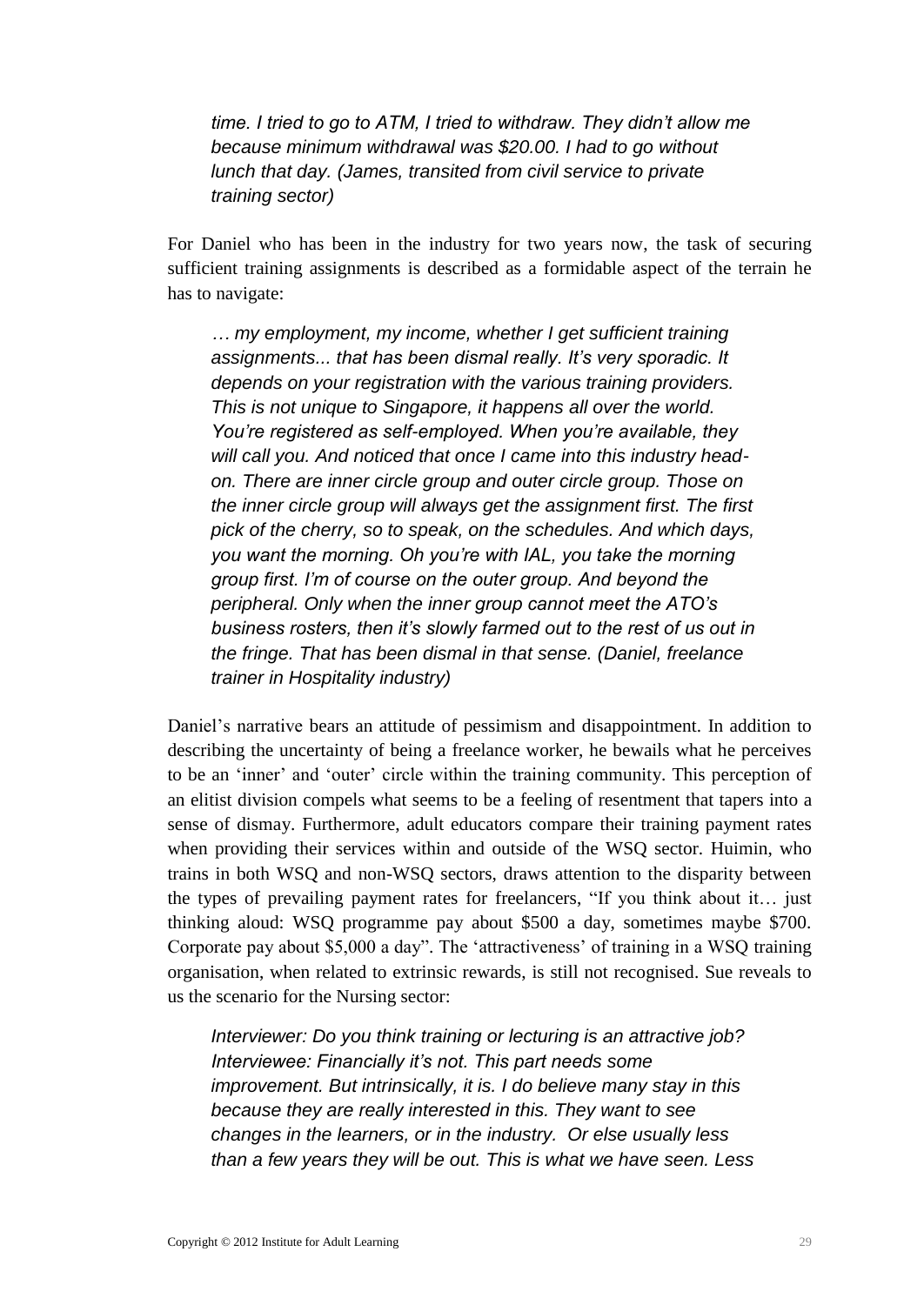*time. I tried to go to ATM, I tried to withdraw. They didn't allow me because minimum withdrawal was \$20.00. I had to go without lunch that day. (James, transited from civil service to private training sector)*

For Daniel who has been in the industry for two years now, the task of securing sufficient training assignments is described as a formidable aspect of the terrain he has to navigate:

*… my employment, my income, whether I get sufficient training assignments... that has been dismal really. It's very sporadic. It depends on your registration with the various training providers. This is not unique to Singapore, it happens all over the world. You're registered as self-employed. When you're available, they will call you. And noticed that once I came into this industry headon. There are inner circle group and outer circle group. Those on the inner circle group will always get the assignment first. The first pick of the cherry, so to speak, on the schedules. And which days, you want the morning. Oh you're with IAL, you take the morning group first. I'm of course on the outer group. And beyond the peripheral. Only when the inner group cannot meet the ATO's business rosters, then it's slowly farmed out to the rest of us out in the fringe. That has been dismal in that sense. (Daniel, freelance trainer in Hospitality industry)*

Daniel's narrative bears an attitude of pessimism and disappointment. In addition to describing the uncertainty of being a freelance worker, he bewails what he perceives to be an 'inner' and 'outer' circle within the training community. This perception of an elitist division compels what seems to be a feeling of resentment that tapers into a sense of dismay. Furthermore, adult educators compare their training payment rates when providing their services within and outside of the WSQ sector. Huimin, who trains in both WSQ and non-WSQ sectors, draws attention to the disparity between the types of prevailing payment rates for freelancers, "If you think about it… just thinking aloud: WSQ programme pay about \$500 a day, sometimes maybe \$700. Corporate pay about \$5,000 a day". The 'attractiveness' of training in a WSQ training organisation, when related to extrinsic rewards, is still not recognised. Sue reveals to us the scenario for the Nursing sector:

*Interviewer: Do you think training or lecturing is an attractive job? Interviewee: Financially it's not. This part needs some improvement. But intrinsically, it is. I do believe many stay in this because they are really interested in this. They want to see changes in the learners, or in the industry. Or else usually less than a few years they will be out. This is what we have seen. Less*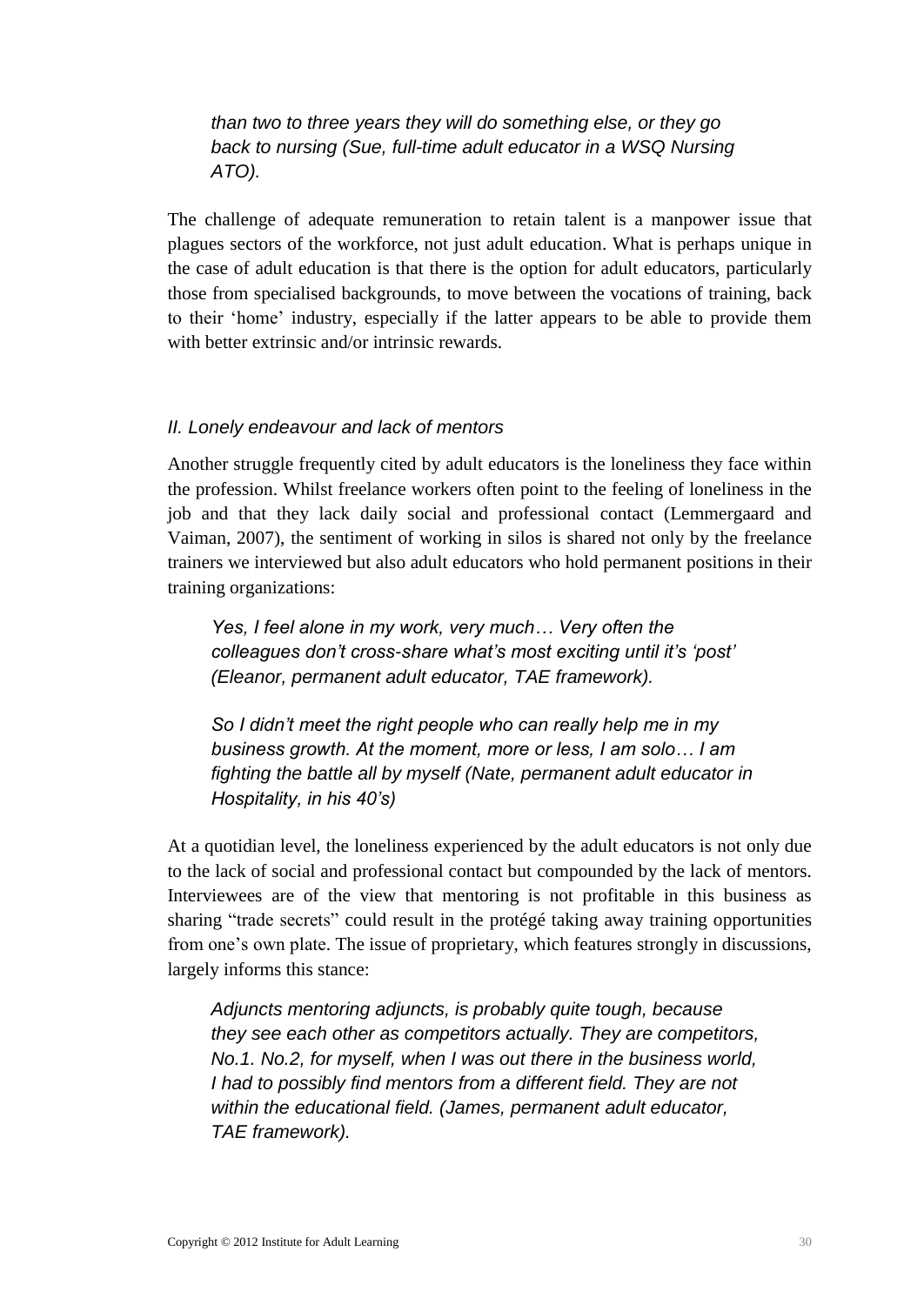*than two to three years they will do something else, or they go back to nursing (Sue, full-time adult educator in a WSQ Nursing ATO).*

The challenge of adequate remuneration to retain talent is a manpower issue that plagues sectors of the workforce, not just adult education. What is perhaps unique in the case of adult education is that there is the option for adult educators, particularly those from specialised backgrounds, to move between the vocations of training, back to their 'home' industry, especially if the latter appears to be able to provide them with better extrinsic and/or intrinsic rewards.

#### *II. Lonely endeavour and lack of mentors*

Another struggle frequently cited by adult educators is the loneliness they face within the profession. Whilst freelance workers often point to the feeling of loneliness in the job and that they lack daily social and professional contact (Lemmergaard and Vaiman, 2007), the sentiment of working in silos is shared not only by the freelance trainers we interviewed but also adult educators who hold permanent positions in their training organizations:

*Yes, I feel alone in my work, very much… Very often the colleagues don't cross-share what's most exciting until it's 'post' (Eleanor, permanent adult educator, TAE framework).*

*So I didn't meet the right people who can really help me in my business growth. At the moment, more or less, I am solo… I am fighting the battle all by myself (Nate, permanent adult educator in Hospitality, in his 40's)*

At a quotidian level, the loneliness experienced by the adult educators is not only due to the lack of social and professional contact but compounded by the lack of mentors. Interviewees are of the view that mentoring is not profitable in this business as sharing "trade secrets" could result in the protégé taking away training opportunities from one's own plate. The issue of proprietary, which features strongly in discussions, largely informs this stance:

*Adjuncts mentoring adjuncts, is probably quite tough, because they see each other as competitors actually. They are competitors, No.1. No.2, for myself, when I was out there in the business world, I had to possibly find mentors from a different field. They are not within the educational field. (James, permanent adult educator, TAE framework).*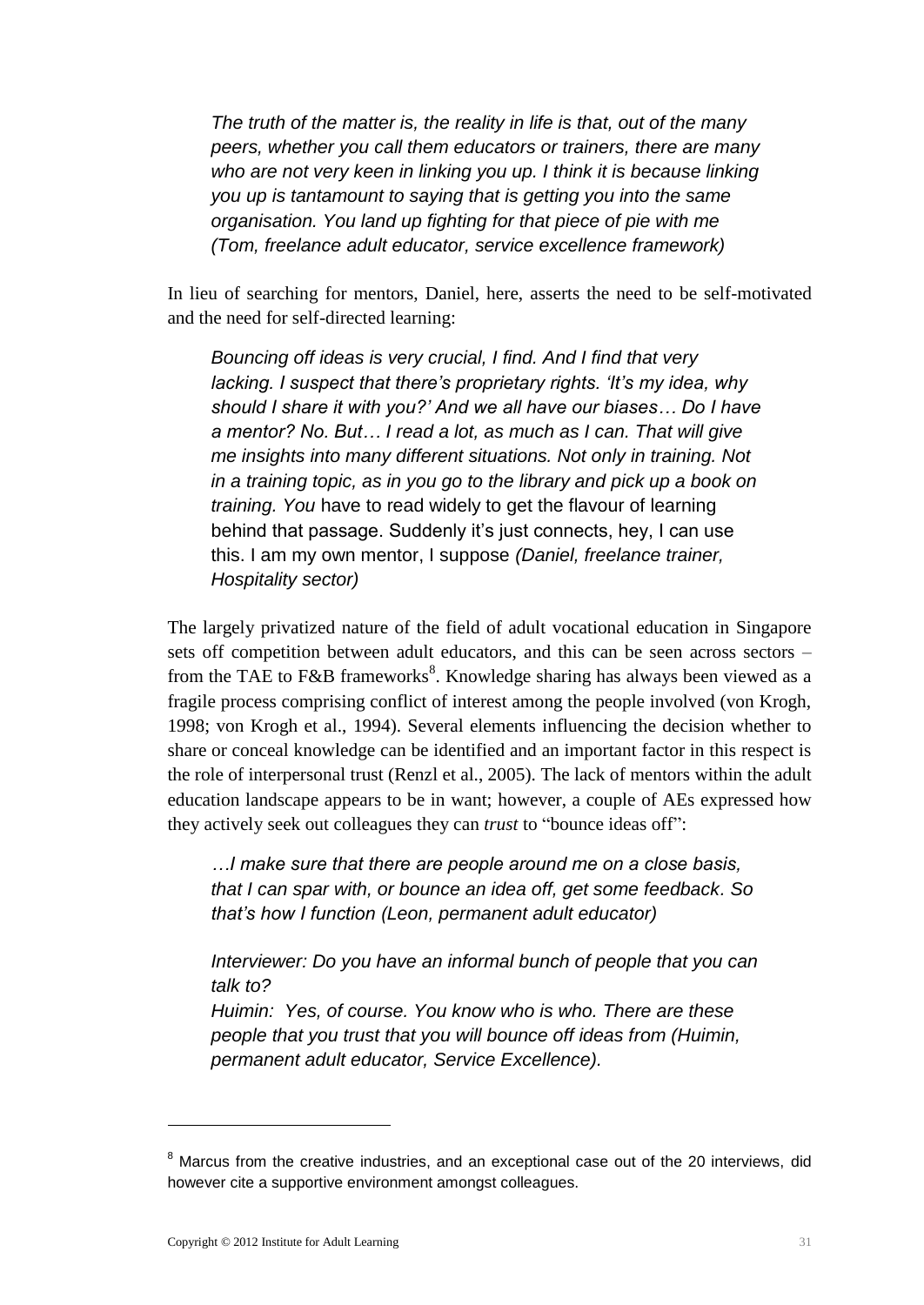*The truth of the matter is, the reality in life is that, out of the many peers, whether you call them educators or trainers, there are many who are not very keen in linking you up. I think it is because linking you up is tantamount to saying that is getting you into the same organisation. You land up fighting for that piece of pie with me (Tom, freelance adult educator, service excellence framework)*

In lieu of searching for mentors, Daniel, here, asserts the need to be self-motivated and the need for self-directed learning:

*Bouncing off ideas is very crucial, I find. And I find that very lacking. I suspect that there's proprietary rights. 'It's my idea, why should I share it with you?' And we all have our biases… Do I have a mentor? No. But… I read a lot, as much as I can. That will give me insights into many different situations. Not only in training. Not in a training topic, as in you go to the library and pick up a book on training. You* have to read widely to get the flavour of learning behind that passage. Suddenly it's just connects, hey, I can use this. I am my own mentor, I suppose *(Daniel, freelance trainer, Hospitality sector)*

The largely privatized nature of the field of adult vocational education in Singapore sets off competition between adult educators, and this can be seen across sectors – from the TAE to F&B frameworks<sup>8</sup>. Knowledge sharing has always been viewed as a fragile process comprising conflict of interest among the people involved (von Krogh, 1998; von Krogh et al., 1994). Several elements influencing the decision whether to share or conceal knowledge can be identified and an important factor in this respect is the role of interpersonal trust (Renzl et al., 2005). The lack of mentors within the adult education landscape appears to be in want; however, a couple of AEs expressed how they actively seek out colleagues they can *trust* to "bounce ideas off":

*…I make sure that there are people around me on a close basis, that I can spar with, or bounce an idea off, get some feedback. So that's how I function (Leon, permanent adult educator)*

*Interviewer: Do you have an informal bunch of people that you can talk to?* 

*Huimin: Yes, of course. You know who is who. There are these people that you trust that you will bounce off ideas from (Huimin, permanent adult educator, Service Excellence).* 

<u>.</u>

<sup>&</sup>lt;sup>8</sup> Marcus from the creative industries, and an exceptional case out of the 20 interviews, did however cite a supportive environment amongst colleagues.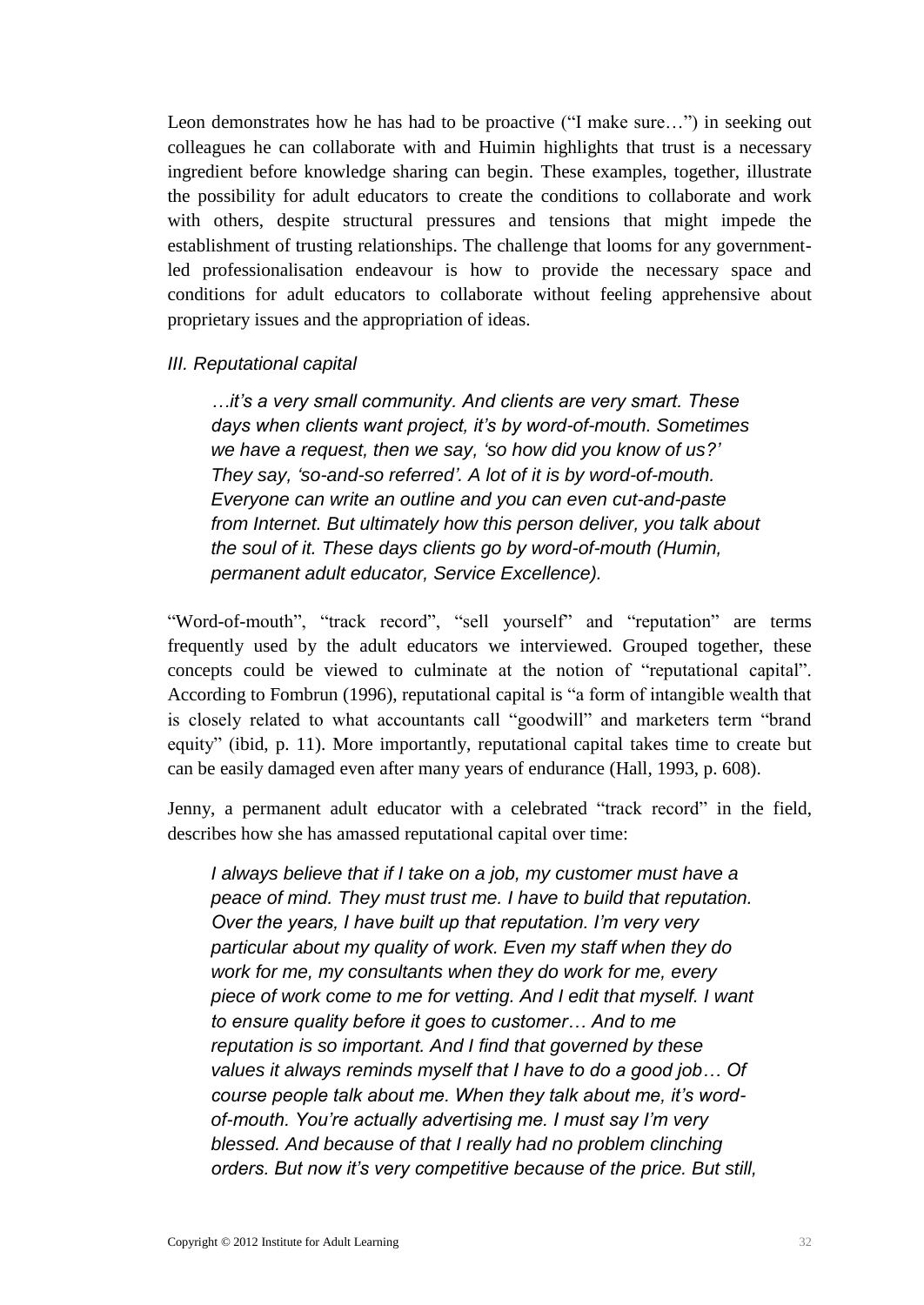Leon demonstrates how he has had to be proactive ("I make sure…") in seeking out colleagues he can collaborate with and Huimin highlights that trust is a necessary ingredient before knowledge sharing can begin. These examples, together, illustrate the possibility for adult educators to create the conditions to collaborate and work with others, despite structural pressures and tensions that might impede the establishment of trusting relationships. The challenge that looms for any governmentled professionalisation endeavour is how to provide the necessary space and conditions for adult educators to collaborate without feeling apprehensive about proprietary issues and the appropriation of ideas.

#### *III. Reputational capital*

*…it's a very small community. And clients are very smart. These days when clients want project, it's by word-of-mouth. Sometimes we have a request, then we say, 'so how did you know of us?' They say, 'so-and-so referred'. A lot of it is by word-of-mouth. Everyone can write an outline and you can even cut-and-paste from Internet. But ultimately how this person deliver, you talk about the soul of it. These days clients go by word-of-mouth (Humin, permanent adult educator, Service Excellence).*

"Word-of-mouth", "track record", "sell yourself" and "reputation" are terms frequently used by the adult educators we interviewed. Grouped together, these concepts could be viewed to culminate at the notion of "reputational capital". According to Fombrun (1996), reputational capital is "a form of intangible wealth that is closely related to what accountants call "goodwill" and marketers term "brand equity" (ibid, p. 11). More importantly, reputational capital takes time to create but can be easily damaged even after many years of endurance (Hall, 1993, p. 608).

Jenny, a permanent adult educator with a celebrated "track record" in the field, describes how she has amassed reputational capital over time:

*I always believe that if I take on a job, my customer must have a peace of mind. They must trust me. I have to build that reputation. Over the years, I have built up that reputation. I'm very very particular about my quality of work. Even my staff when they do work for me, my consultants when they do work for me, every piece of work come to me for vetting. And I edit that myself. I want to ensure quality before it goes to customer… And to me reputation is so important. And I find that governed by these values it always reminds myself that I have to do a good job… Of course people talk about me. When they talk about me, it's wordof-mouth. You're actually advertising me. I must say I'm very blessed. And because of that I really had no problem clinching orders. But now it's very competitive because of the price. But still,*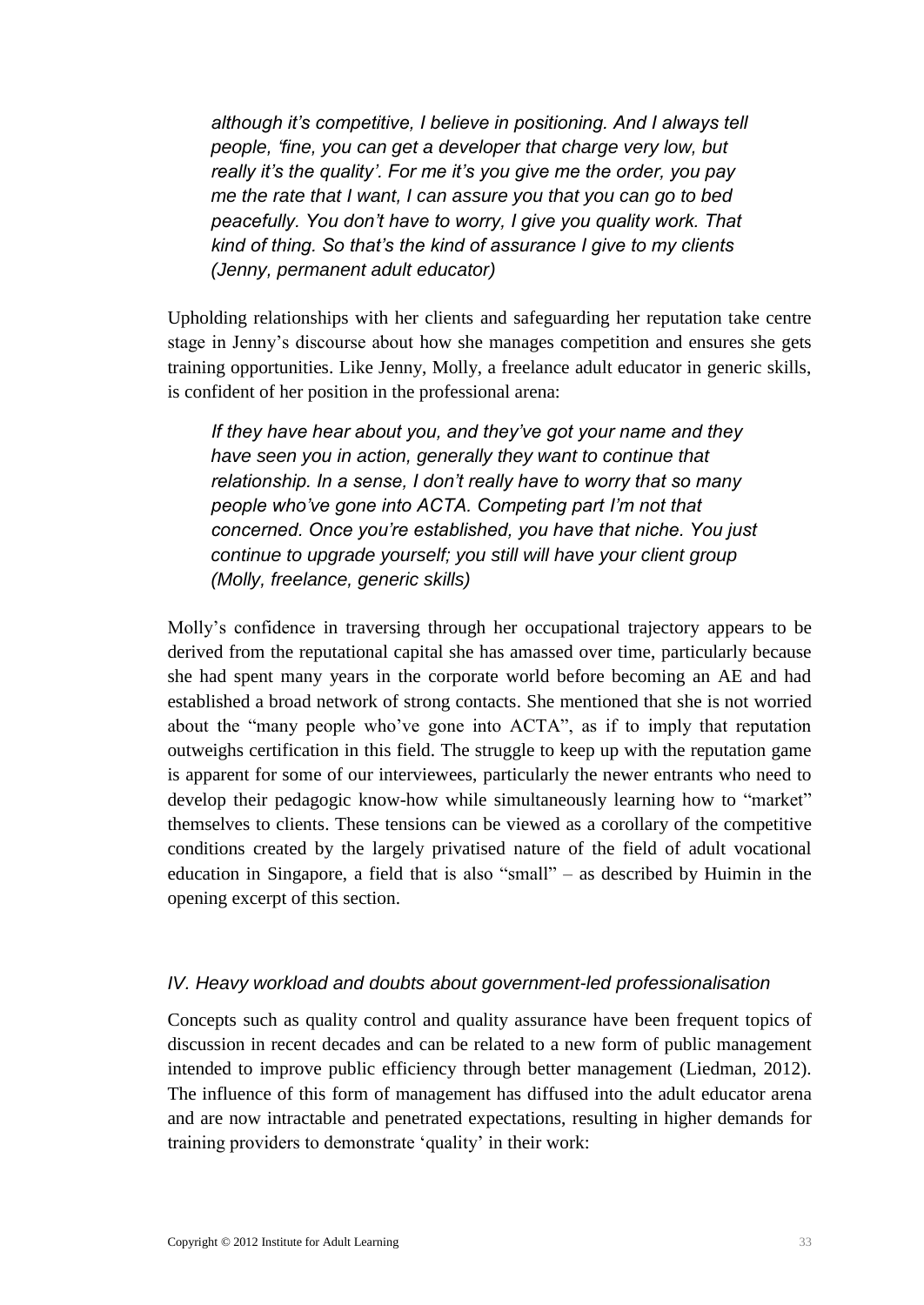*although it's competitive, I believe in positioning. And I always tell people, 'fine, you can get a developer that charge very low, but really it's the quality'. For me it's you give me the order, you pay me the rate that I want, I can assure you that you can go to bed peacefully. You don't have to worry, I give you quality work. That kind of thing. So that's the kind of assurance I give to my clients (Jenny, permanent adult educator)*

Upholding relationships with her clients and safeguarding her reputation take centre stage in Jenny's discourse about how she manages competition and ensures she gets training opportunities. Like Jenny, Molly, a freelance adult educator in generic skills, is confident of her position in the professional arena:

*If they have hear about you, and they've got your name and they have seen you in action, generally they want to continue that relationship. In a sense, I don't really have to worry that so many people who've gone into ACTA. Competing part I'm not that concerned. Once you're established, you have that niche. You just continue to upgrade yourself; you still will have your client group (Molly, freelance, generic skills)*

Molly's confidence in traversing through her occupational trajectory appears to be derived from the reputational capital she has amassed over time, particularly because she had spent many years in the corporate world before becoming an AE and had established a broad network of strong contacts. She mentioned that she is not worried about the "many people who've gone into ACTA", as if to imply that reputation outweighs certification in this field. The struggle to keep up with the reputation game is apparent for some of our interviewees, particularly the newer entrants who need to develop their pedagogic know-how while simultaneously learning how to "market" themselves to clients. These tensions can be viewed as a corollary of the competitive conditions created by the largely privatised nature of the field of adult vocational education in Singapore, a field that is also "small" – as described by Huimin in the opening excerpt of this section.

#### *IV. Heavy workload and doubts about government-led professionalisation*

Concepts such as quality control and quality assurance have been frequent topics of discussion in recent decades and can be related to a new form of public management intended to improve public efficiency through better management (Liedman, 2012). The influence of this form of management has diffused into the adult educator arena and are now intractable and penetrated expectations, resulting in higher demands for training providers to demonstrate 'quality' in their work: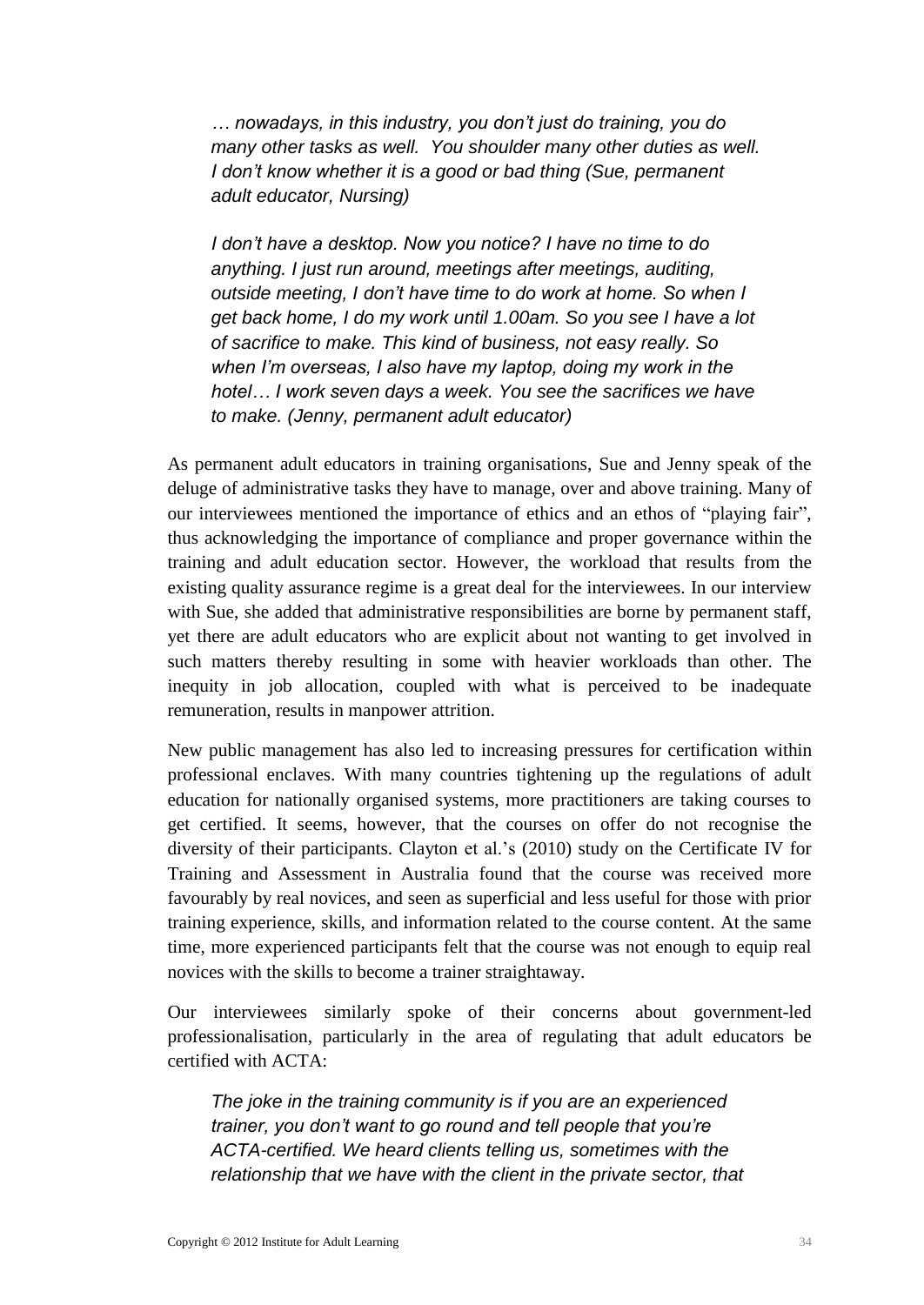*… nowadays, in this industry, you don't just do training, you do many other tasks as well. You shoulder many other duties as well. I don't know whether it is a good or bad thing (Sue, permanent adult educator, Nursing)*

*I don't have a desktop. Now you notice? I have no time to do anything. I just run around, meetings after meetings, auditing, outside meeting, I don't have time to do work at home. So when I get back home, I do my work until 1.00am. So you see I have a lot of sacrifice to make. This kind of business, not easy really. So when I'm overseas, I also have my laptop, doing my work in the hotel… I work seven days a week. You see the sacrifices we have to make. (Jenny, permanent adult educator)* 

As permanent adult educators in training organisations, Sue and Jenny speak of the deluge of administrative tasks they have to manage, over and above training. Many of our interviewees mentioned the importance of ethics and an ethos of "playing fair", thus acknowledging the importance of compliance and proper governance within the training and adult education sector. However, the workload that results from the existing quality assurance regime is a great deal for the interviewees. In our interview with Sue, she added that administrative responsibilities are borne by permanent staff, yet there are adult educators who are explicit about not wanting to get involved in such matters thereby resulting in some with heavier workloads than other. The inequity in job allocation, coupled with what is perceived to be inadequate remuneration, results in manpower attrition.

New public management has also led to increasing pressures for certification within professional enclaves. With many countries tightening up the regulations of adult education for nationally organised systems, more practitioners are taking courses to get certified. It seems, however, that the courses on offer do not recognise the diversity of their participants. Clayton et al.'s (2010) study on the Certificate IV for Training and Assessment in Australia found that the course was received more favourably by real novices, and seen as superficial and less useful for those with prior training experience, skills, and information related to the course content. At the same time, more experienced participants felt that the course was not enough to equip real novices with the skills to become a trainer straightaway.

Our interviewees similarly spoke of their concerns about government-led professionalisation, particularly in the area of regulating that adult educators be certified with ACTA:

*The joke in the training community is if you are an experienced trainer, you don't want to go round and tell people that you're ACTA-certified. We heard clients telling us, sometimes with the relationship that we have with the client in the private sector, that*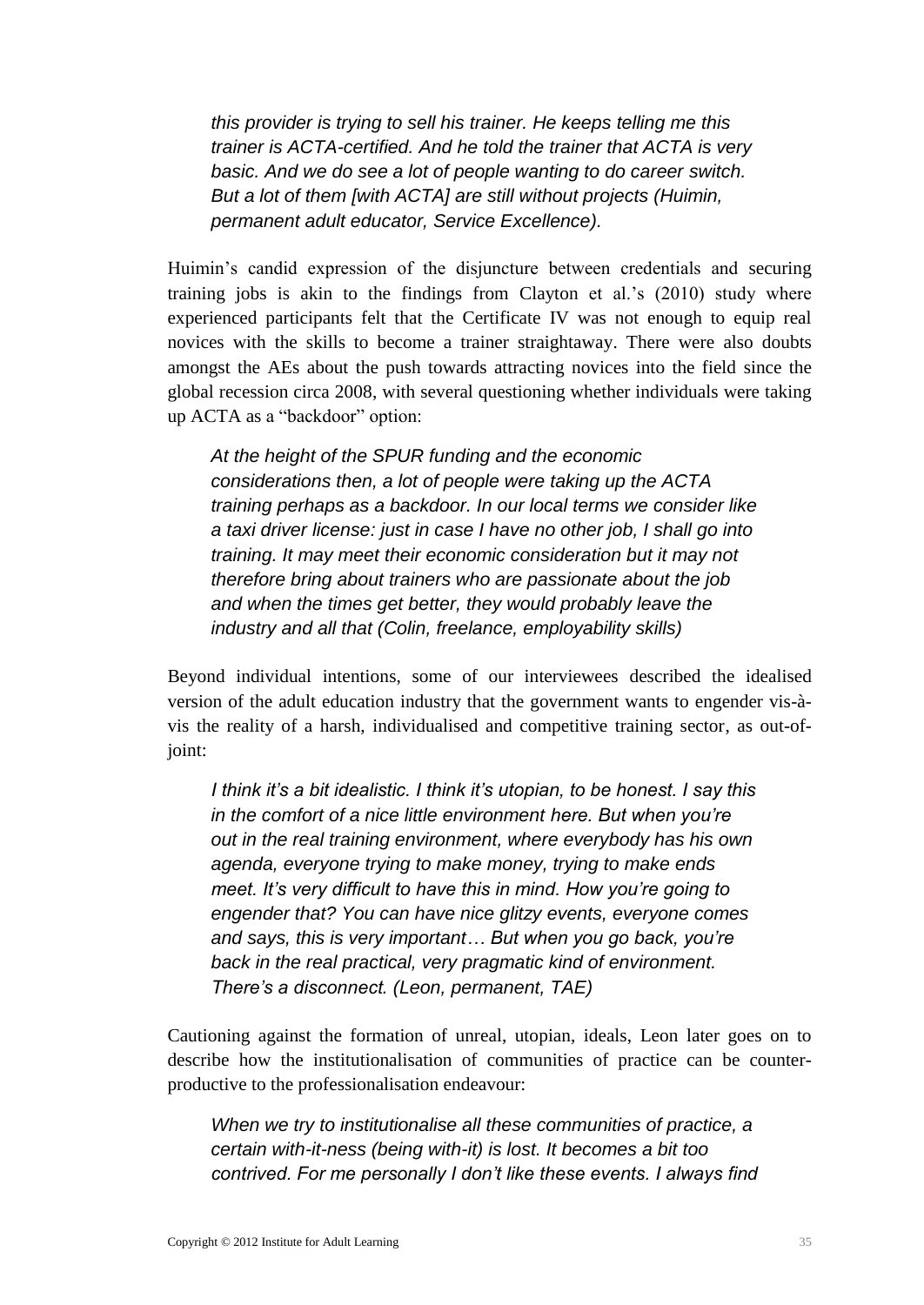*this provider is trying to sell his trainer. He keeps telling me this trainer is ACTA-certified. And he told the trainer that ACTA is very basic. And we do see a lot of people wanting to do career switch. But a lot of them [with ACTA] are still without projects (Huimin, permanent adult educator, Service Excellence).* 

Huimin's candid expression of the disjuncture between credentials and securing training jobs is akin to the findings from Clayton et al.'s (2010) study where experienced participants felt that the Certificate IV was not enough to equip real novices with the skills to become a trainer straightaway. There were also doubts amongst the AEs about the push towards attracting novices into the field since the global recession circa 2008, with several questioning whether individuals were taking up ACTA as a "backdoor" option:

*At the height of the SPUR funding and the economic considerations then, a lot of people were taking up the ACTA training perhaps as a backdoor. In our local terms we consider like a taxi driver license: just in case I have no other job, I shall go into training. It may meet their economic consideration but it may not therefore bring about trainers who are passionate about the job and when the times get better, they would probably leave the industry and all that (Colin, freelance, employability skills)*

Beyond individual intentions, some of our interviewees described the idealised version of the adult education industry that the government wants to engender vis-àvis the reality of a harsh, individualised and competitive training sector, as out-ofjoint:

*I think it's a bit idealistic. I think it's utopian, to be honest. I say this in the comfort of a nice little environment here. But when you're out in the real training environment, where everybody has his own agenda, everyone trying to make money, trying to make ends meet. It's very difficult to have this in mind. How you're going to engender that? You can have nice glitzy events, everyone comes and says, this is very important… But when you go back, you're back in the real practical, very pragmatic kind of environment. There's a disconnect. (Leon, permanent, TAE)*

Cautioning against the formation of unreal, utopian, ideals, Leon later goes on to describe how the institutionalisation of communities of practice can be counterproductive to the professionalisation endeavour:

*When we try to institutionalise all these communities of practice, a certain with-it-ness (being with-it) is lost. It becomes a bit too contrived. For me personally I don't like these events. I always find*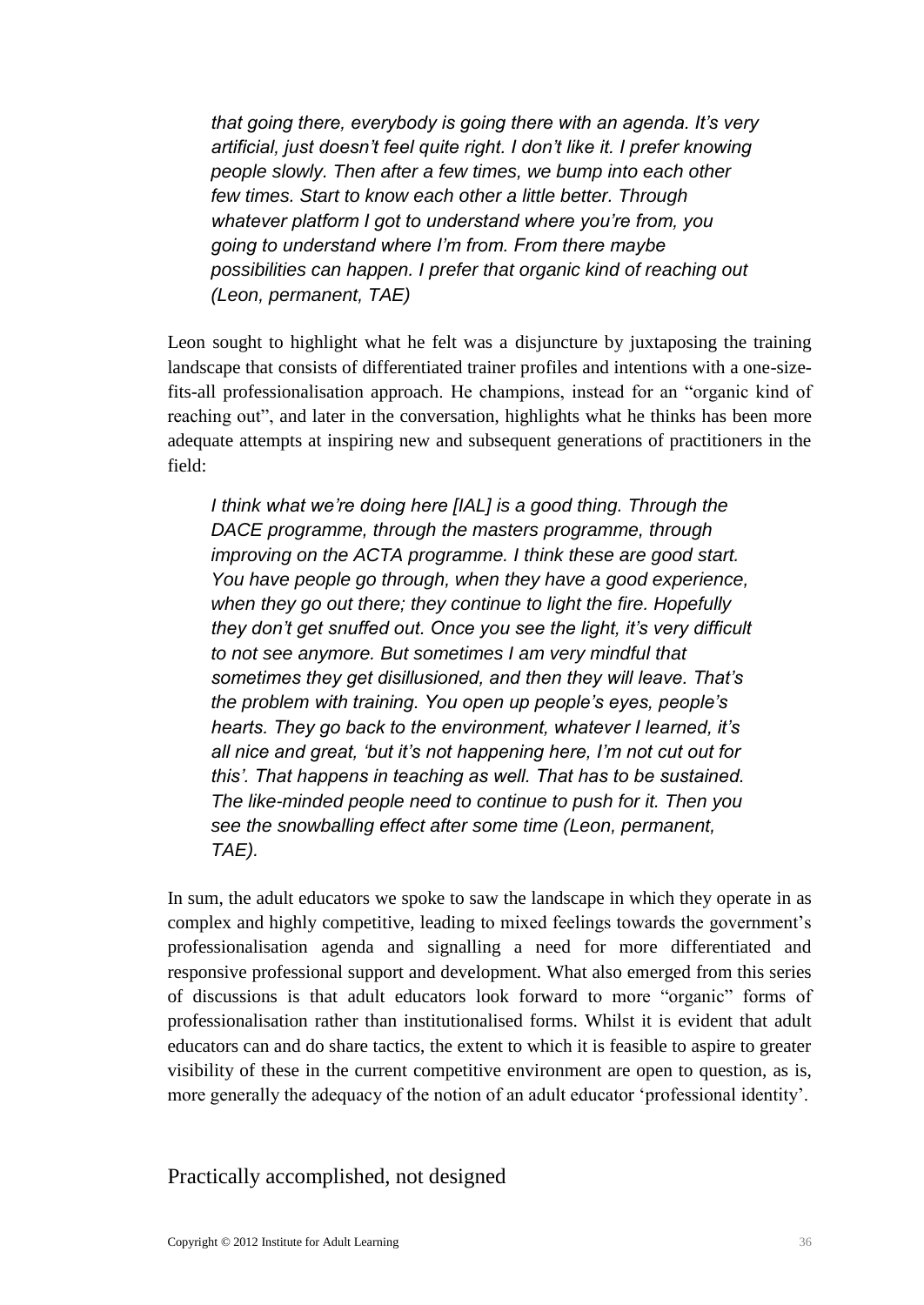*that going there, everybody is going there with an agenda. It's very artificial, just doesn't feel quite right. I don't like it. I prefer knowing people slowly. Then after a few times, we bump into each other few times. Start to know each other a little better. Through whatever platform I got to understand where you're from, you going to understand where I'm from. From there maybe possibilities can happen. I prefer that organic kind of reaching out (Leon, permanent, TAE)* 

Leon sought to highlight what he felt was a disjuncture by juxtaposing the training landscape that consists of differentiated trainer profiles and intentions with a one-sizefits-all professionalisation approach. He champions, instead for an "organic kind of reaching out", and later in the conversation, highlights what he thinks has been more adequate attempts at inspiring new and subsequent generations of practitioners in the field:

*I think what we're doing here [IAL] is a good thing. Through the DACE programme, through the masters programme, through improving on the ACTA programme. I think these are good start. You have people go through, when they have a good experience, when they go out there; they continue to light the fire. Hopefully they don't get snuffed out. Once you see the light, it's very difficult to not see anymore. But sometimes I am very mindful that sometimes they get disillusioned, and then they will leave. That's the problem with training. You open up people's eyes, people's hearts. They go back to the environment, whatever I learned, it's all nice and great, 'but it's not happening here, I'm not cut out for this'. That happens in teaching as well. That has to be sustained. The like-minded people need to continue to push for it. Then you see the snowballing effect after some time (Leon, permanent, TAE).*

In sum, the adult educators we spoke to saw the landscape in which they operate in as complex and highly competitive, leading to mixed feelings towards the government's professionalisation agenda and signalling a need for more differentiated and responsive professional support and development. What also emerged from this series of discussions is that adult educators look forward to more "organic" forms of professionalisation rather than institutionalised forms. Whilst it is evident that adult educators can and do share tactics, the extent to which it is feasible to aspire to greater visibility of these in the current competitive environment are open to question, as is, more generally the adequacy of the notion of an adult educator 'professional identity'.

#### <span id="page-39-0"></span>Practically accomplished, not designed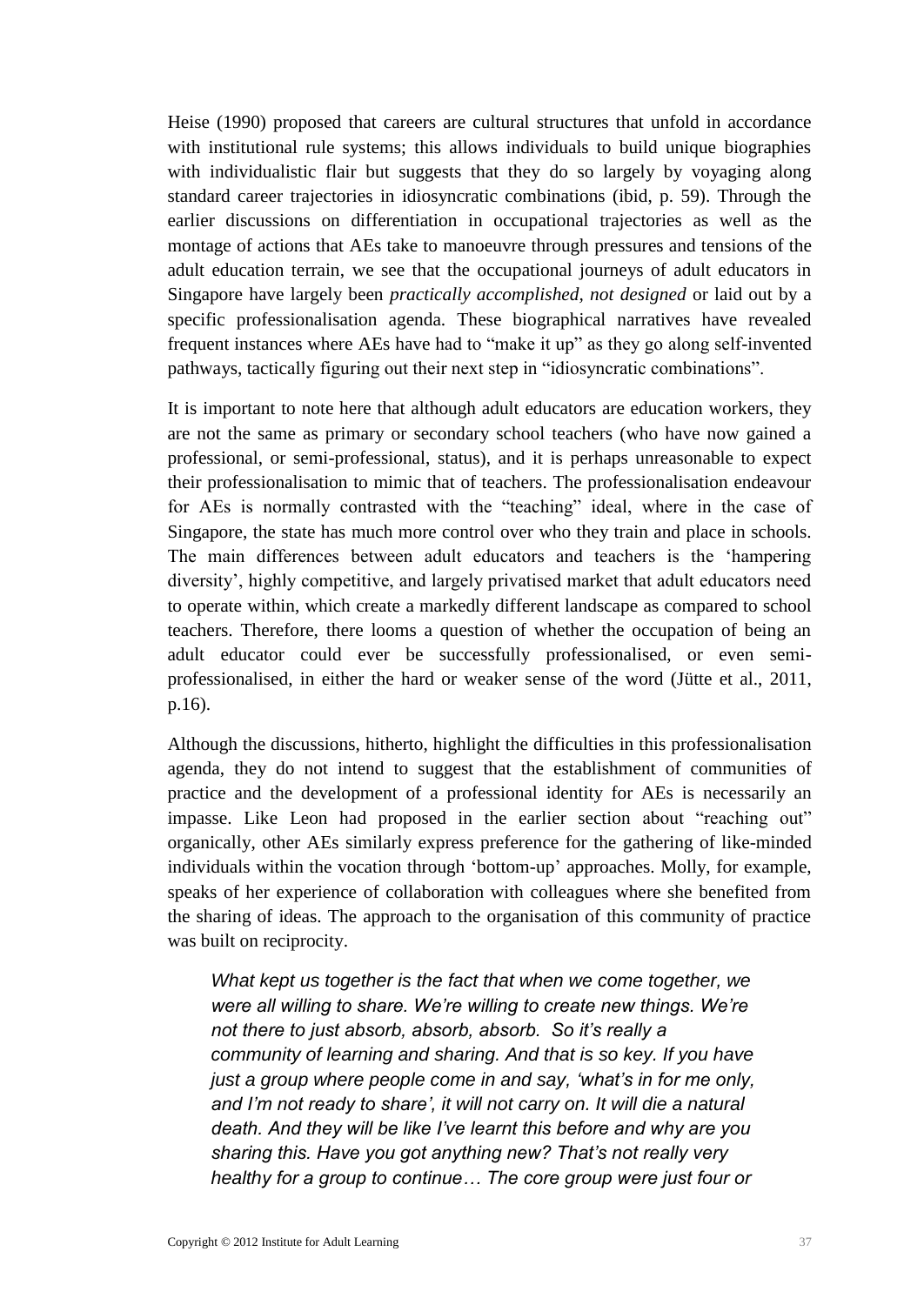Heise (1990) proposed that careers are cultural structures that unfold in accordance with institutional rule systems; this allows individuals to build unique biographies with individualistic flair but suggests that they do so largely by voyaging along standard career trajectories in idiosyncratic combinations (ibid, p. 59). Through the earlier discussions on differentiation in occupational trajectories as well as the montage of actions that AEs take to manoeuvre through pressures and tensions of the adult education terrain, we see that the occupational journeys of adult educators in Singapore have largely been *practically accomplished, not designed* or laid out by a specific professionalisation agenda. These biographical narratives have revealed frequent instances where AEs have had to "make it up" as they go along self-invented pathways, tactically figuring out their next step in "idiosyncratic combinations".

It is important to note here that although adult educators are education workers, they are not the same as primary or secondary school teachers (who have now gained a professional, or semi-professional, status), and it is perhaps unreasonable to expect their professionalisation to mimic that of teachers. The professionalisation endeavour for AEs is normally contrasted with the "teaching" ideal, where in the case of Singapore, the state has much more control over who they train and place in schools. The main differences between adult educators and teachers is the 'hampering diversity', highly competitive, and largely privatised market that adult educators need to operate within, which create a markedly different landscape as compared to school teachers. Therefore, there looms a question of whether the occupation of being an adult educator could ever be successfully professionalised, or even semiprofessionalised, in either the hard or weaker sense of the word (Jütte et al., 2011, p.16).

Although the discussions, hitherto, highlight the difficulties in this professionalisation agenda, they do not intend to suggest that the establishment of communities of practice and the development of a professional identity for AEs is necessarily an impasse. Like Leon had proposed in the earlier section about "reaching out" organically, other AEs similarly express preference for the gathering of like-minded individuals within the vocation through 'bottom-up' approaches. Molly, for example, speaks of her experience of collaboration with colleagues where she benefited from the sharing of ideas. The approach to the organisation of this community of practice was built on reciprocity.

*What kept us together is the fact that when we come together, we were all willing to share. We're willing to create new things. We're not there to just absorb, absorb, absorb. So it's really a community of learning and sharing. And that is so key. If you have just a group where people come in and say, 'what's in for me only, and I'm not ready to share', it will not carry on. It will die a natural death. And they will be like I've learnt this before and why are you sharing this. Have you got anything new? That's not really very healthy for a group to continue… The core group were just four or*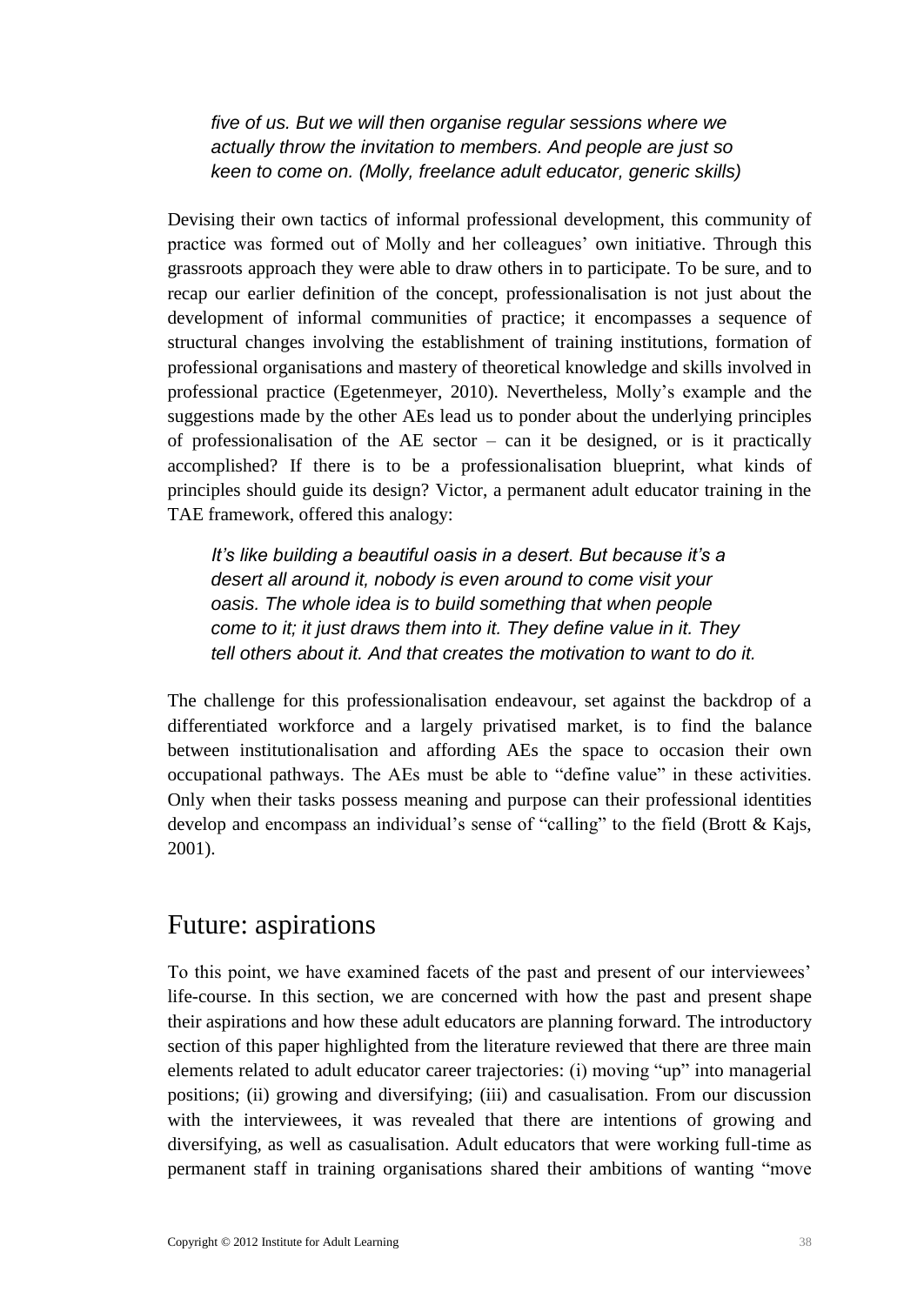*five of us. But we will then organise regular sessions where we actually throw the invitation to members. And people are just so keen to come on. (Molly, freelance adult educator, generic skills)*

Devising their own tactics of informal professional development, this community of practice was formed out of Molly and her colleagues' own initiative. Through this grassroots approach they were able to draw others in to participate. To be sure, and to recap our earlier definition of the concept, professionalisation is not just about the development of informal communities of practice; it encompasses a sequence of structural changes involving the establishment of training institutions, formation of professional organisations and mastery of theoretical knowledge and skills involved in professional practice (Egetenmeyer, 2010). Nevertheless, Molly's example and the suggestions made by the other AEs lead us to ponder about the underlying principles of professionalisation of the AE sector – can it be designed, or is it practically accomplished? If there is to be a professionalisation blueprint, what kinds of principles should guide its design? Victor, a permanent adult educator training in the TAE framework, offered this analogy:

*It's like building a beautiful oasis in a desert. But because it's a desert all around it, nobody is even around to come visit your oasis. The whole idea is to build something that when people come to it; it just draws them into it. They define value in it. They tell others about it. And that creates the motivation to want to do it.*

The challenge for this professionalisation endeavour, set against the backdrop of a differentiated workforce and a largely privatised market, is to find the balance between institutionalisation and affording AEs the space to occasion their own occupational pathways. The AEs must be able to "define value" in these activities. Only when their tasks possess meaning and purpose can their professional identities develop and encompass an individual's sense of "calling" to the field (Brott & Kajs, 2001).

### <span id="page-41-0"></span>Future: aspirations

To this point, we have examined facets of the past and present of our interviewees' life-course. In this section, we are concerned with how the past and present shape their aspirations and how these adult educators are planning forward. The introductory section of this paper highlighted from the literature reviewed that there are three main elements related to adult educator career trajectories: (i) moving "up" into managerial positions; (ii) growing and diversifying; (iii) and casualisation. From our discussion with the interviewees, it was revealed that there are intentions of growing and diversifying, as well as casualisation. Adult educators that were working full-time as permanent staff in training organisations shared their ambitions of wanting "move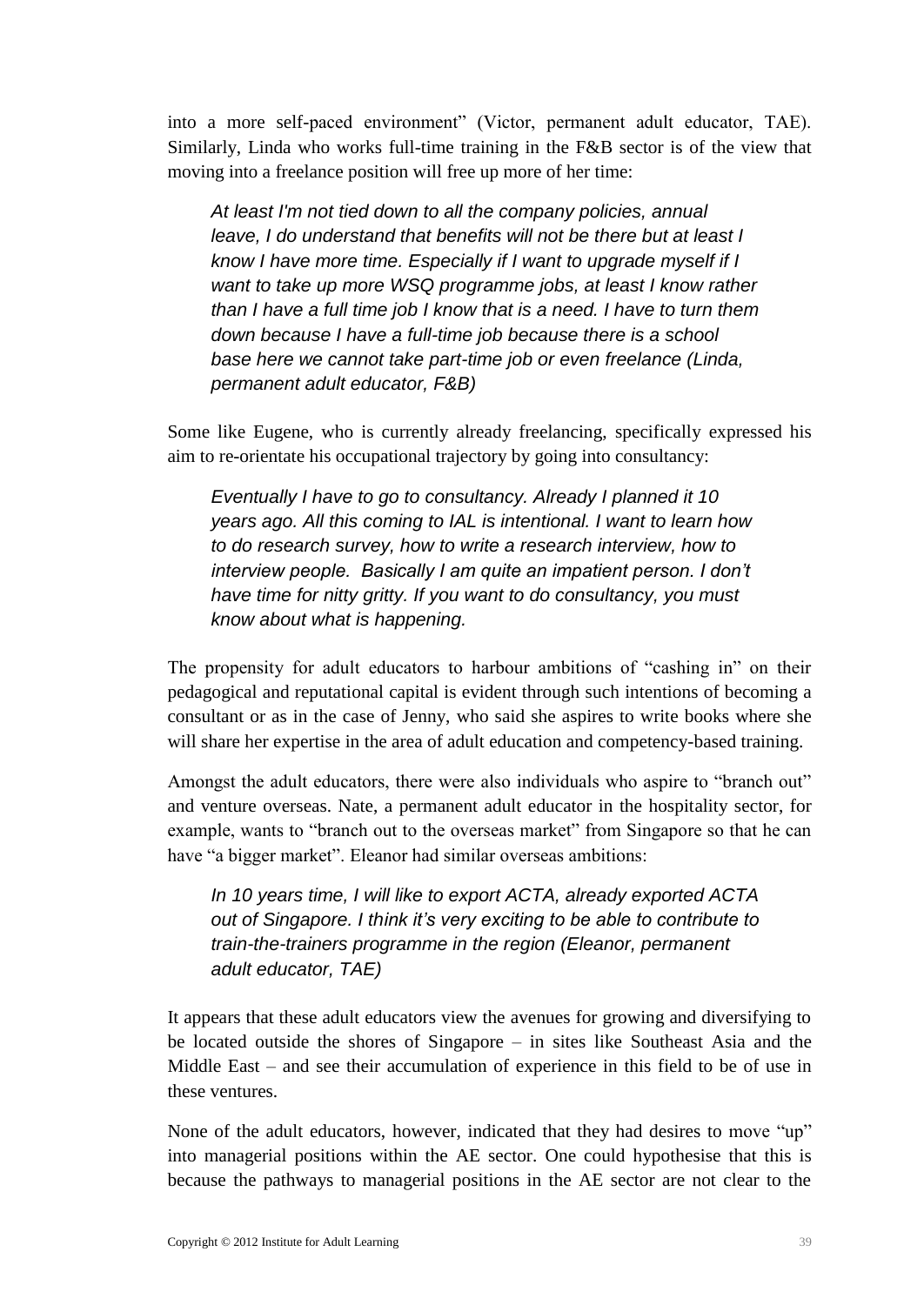into a more self-paced environment" (Victor, permanent adult educator, TAE). Similarly, Linda who works full-time training in the F&B sector is of the view that moving into a freelance position will free up more of her time:

*At least I'm not tied down to all the company policies, annual leave, I do understand that benefits will not be there but at least I know I have more time. Especially if I want to upgrade myself if I want to take up more WSQ programme jobs, at least I know rather than I have a full time job I know that is a need. I have to turn them down because I have a full-time job because there is a school base here we cannot take part-time job or even freelance (Linda, permanent adult educator, F&B)*

Some like Eugene, who is currently already freelancing, specifically expressed his aim to re-orientate his occupational trajectory by going into consultancy:

*Eventually I have to go to consultancy. Already I planned it 10 years ago. All this coming to IAL is intentional. I want to learn how to do research survey, how to write a research interview, how to interview people. Basically I am quite an impatient person. I don't have time for nitty gritty. If you want to do consultancy, you must know about what is happening.*

The propensity for adult educators to harbour ambitions of "cashing in" on their pedagogical and reputational capital is evident through such intentions of becoming a consultant or as in the case of Jenny, who said she aspires to write books where she will share her expertise in the area of adult education and competency-based training.

Amongst the adult educators, there were also individuals who aspire to "branch out" and venture overseas. Nate, a permanent adult educator in the hospitality sector, for example, wants to "branch out to the overseas market" from Singapore so that he can have "a bigger market". Eleanor had similar overseas ambitions:

*In 10 years time, I will like to export ACTA, already exported ACTA out of Singapore. I think it's very exciting to be able to contribute to train-the-trainers programme in the region (Eleanor, permanent adult educator, TAE)*

It appears that these adult educators view the avenues for growing and diversifying to be located outside the shores of Singapore – in sites like Southeast Asia and the Middle East – and see their accumulation of experience in this field to be of use in these ventures.

None of the adult educators, however, indicated that they had desires to move "up" into managerial positions within the AE sector. One could hypothesise that this is because the pathways to managerial positions in the AE sector are not clear to the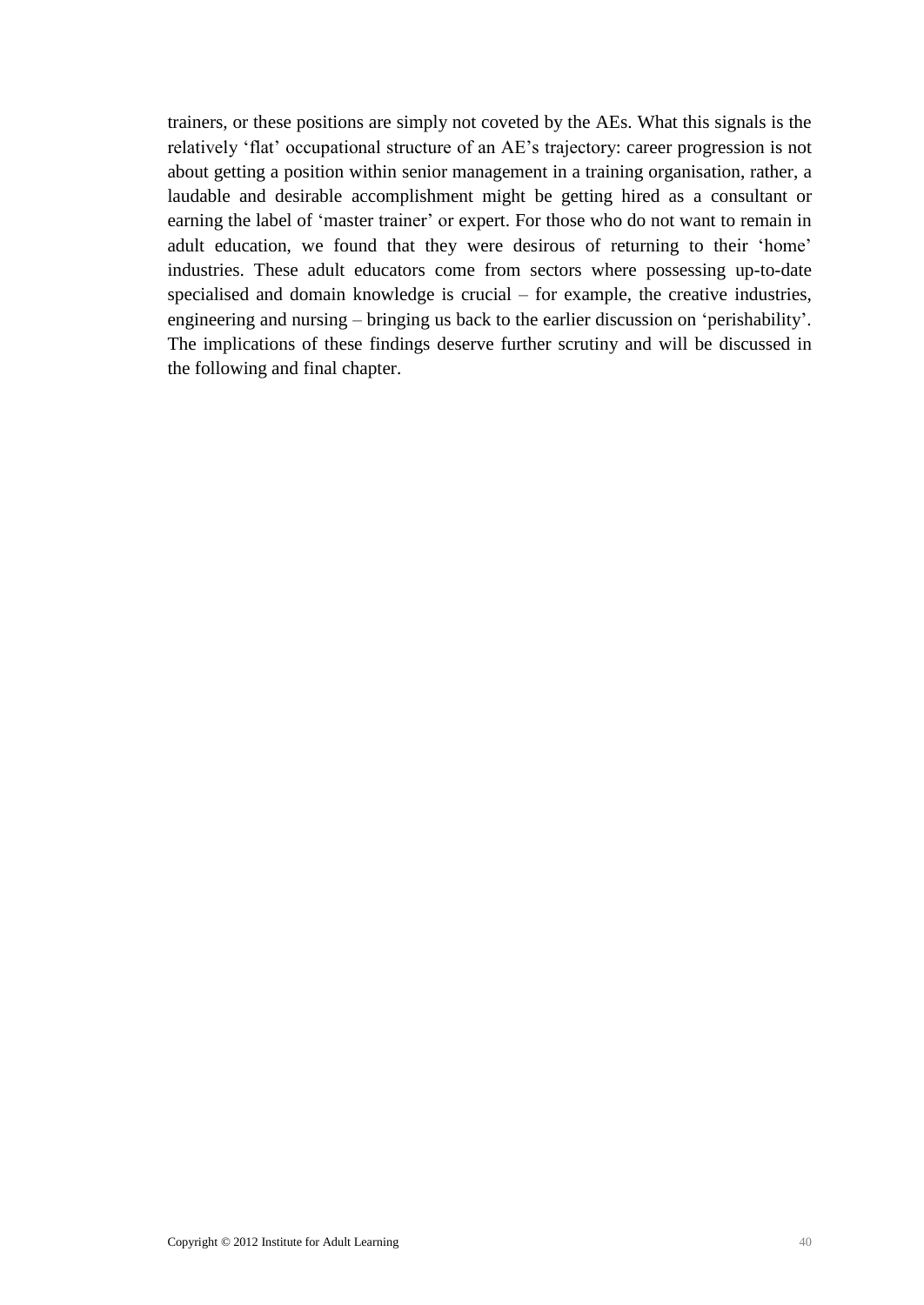trainers, or these positions are simply not coveted by the AEs. What this signals is the relatively 'flat' occupational structure of an AE's trajectory: career progression is not about getting a position within senior management in a training organisation, rather, a laudable and desirable accomplishment might be getting hired as a consultant or earning the label of 'master trainer' or expert. For those who do not want to remain in adult education, we found that they were desirous of returning to their 'home' industries. These adult educators come from sectors where possessing up-to-date specialised and domain knowledge is crucial – for example, the creative industries, engineering and nursing – bringing us back to the earlier discussion on 'perishability'. The implications of these findings deserve further scrutiny and will be discussed in the following and final chapter.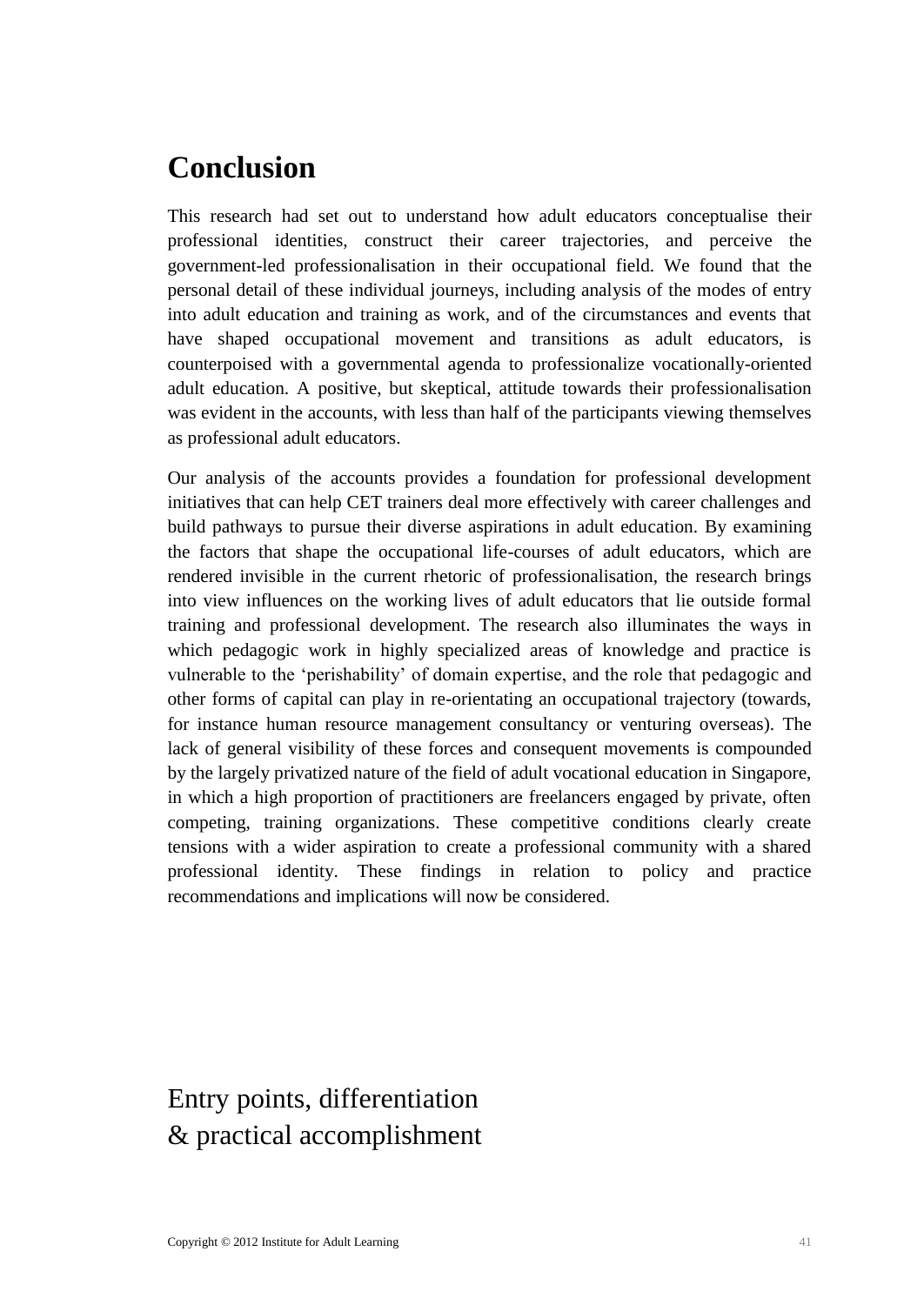## <span id="page-44-0"></span>**Conclusion**

This research had set out to understand how adult educators conceptualise their professional identities, construct their career trajectories, and perceive the government-led professionalisation in their occupational field. We found that the personal detail of these individual journeys, including analysis of the modes of entry into adult education and training as work, and of the circumstances and events that have shaped occupational movement and transitions as adult educators, is counterpoised with a governmental agenda to professionalize vocationally-oriented adult education. A positive, but skeptical, attitude towards their professionalisation was evident in the accounts, with less than half of the participants viewing themselves as professional adult educators.

Our analysis of the accounts provides a foundation for professional development initiatives that can help CET trainers deal more effectively with career challenges and build pathways to pursue their diverse aspirations in adult education. By examining the factors that shape the occupational life-courses of adult educators, which are rendered invisible in the current rhetoric of professionalisation, the research brings into view influences on the working lives of adult educators that lie outside formal training and professional development. The research also illuminates the ways in which pedagogic work in highly specialized areas of knowledge and practice is vulnerable to the 'perishability' of domain expertise, and the role that pedagogic and other forms of capital can play in re-orientating an occupational trajectory (towards, for instance human resource management consultancy or venturing overseas). The lack of general visibility of these forces and consequent movements is compounded by the largely privatized nature of the field of adult vocational education in Singapore, in which a high proportion of practitioners are freelancers engaged by private, often competing, training organizations. These competitive conditions clearly create tensions with a wider aspiration to create a professional community with a shared professional identity. These findings in relation to policy and practice recommendations and implications will now be considered.

## Entry points, differentiation & practical accomplishment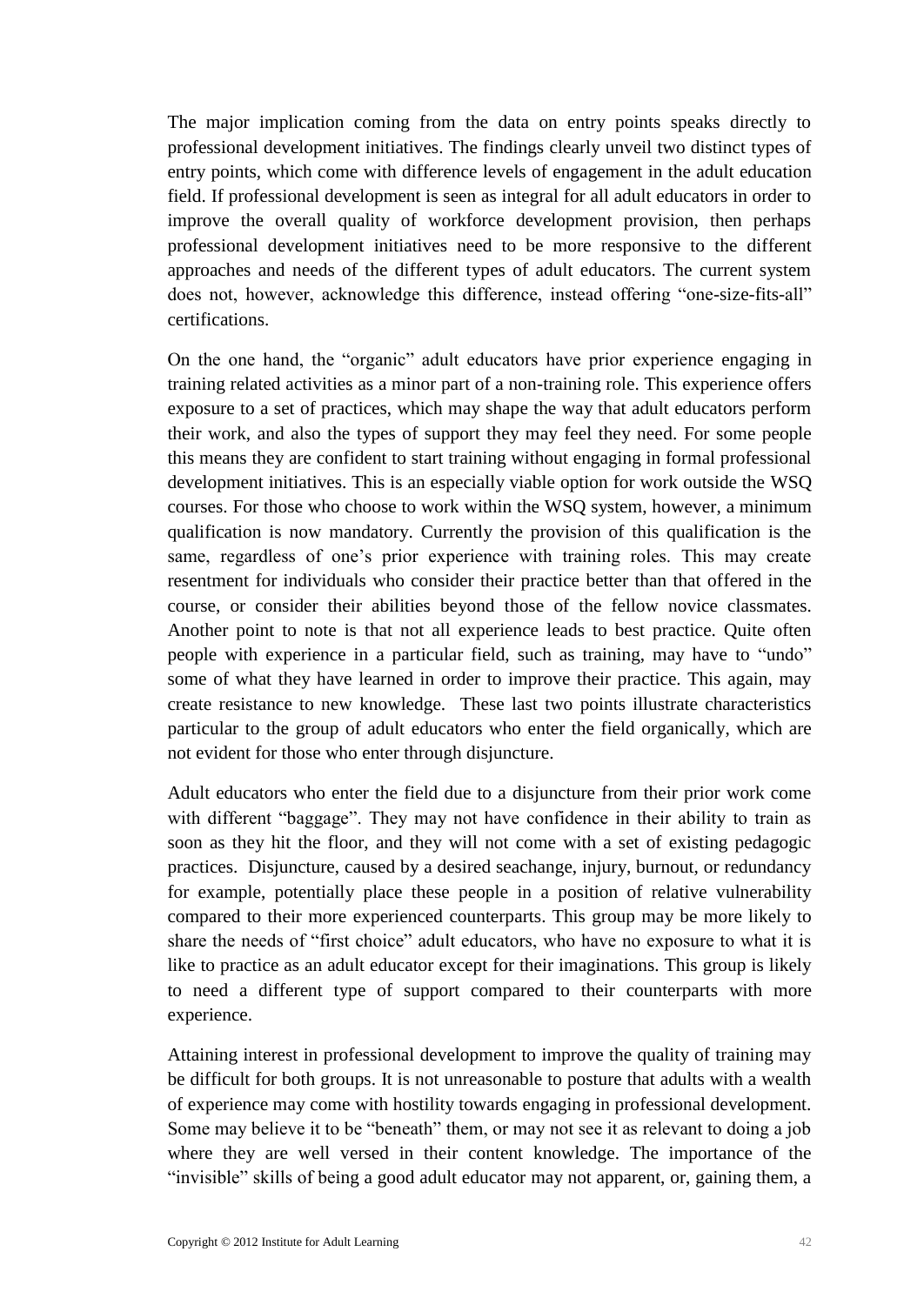The major implication coming from the data on entry points speaks directly to professional development initiatives. The findings clearly unveil two distinct types of entry points, which come with difference levels of engagement in the adult education field. If professional development is seen as integral for all adult educators in order to improve the overall quality of workforce development provision, then perhaps professional development initiatives need to be more responsive to the different approaches and needs of the different types of adult educators. The current system does not, however, acknowledge this difference, instead offering "one-size-fits-all" certifications.

On the one hand, the "organic" adult educators have prior experience engaging in training related activities as a minor part of a non-training role. This experience offers exposure to a set of practices, which may shape the way that adult educators perform their work, and also the types of support they may feel they need. For some people this means they are confident to start training without engaging in formal professional development initiatives. This is an especially viable option for work outside the WSQ courses. For those who choose to work within the WSQ system, however, a minimum qualification is now mandatory. Currently the provision of this qualification is the same, regardless of one's prior experience with training roles. This may create resentment for individuals who consider their practice better than that offered in the course, or consider their abilities beyond those of the fellow novice classmates. Another point to note is that not all experience leads to best practice. Quite often people with experience in a particular field, such as training, may have to "undo" some of what they have learned in order to improve their practice. This again, may create resistance to new knowledge. These last two points illustrate characteristics particular to the group of adult educators who enter the field organically, which are not evident for those who enter through disjuncture.

Adult educators who enter the field due to a disjuncture from their prior work come with different "baggage". They may not have confidence in their ability to train as soon as they hit the floor, and they will not come with a set of existing pedagogic practices. Disjuncture, caused by a desired seachange, injury, burnout, or redundancy for example, potentially place these people in a position of relative vulnerability compared to their more experienced counterparts. This group may be more likely to share the needs of "first choice" adult educators, who have no exposure to what it is like to practice as an adult educator except for their imaginations. This group is likely to need a different type of support compared to their counterparts with more experience.

Attaining interest in professional development to improve the quality of training may be difficult for both groups. It is not unreasonable to posture that adults with a wealth of experience may come with hostility towards engaging in professional development. Some may believe it to be "beneath" them, or may not see it as relevant to doing a job where they are well versed in their content knowledge. The importance of the "invisible" skills of being a good adult educator may not apparent, or, gaining them, a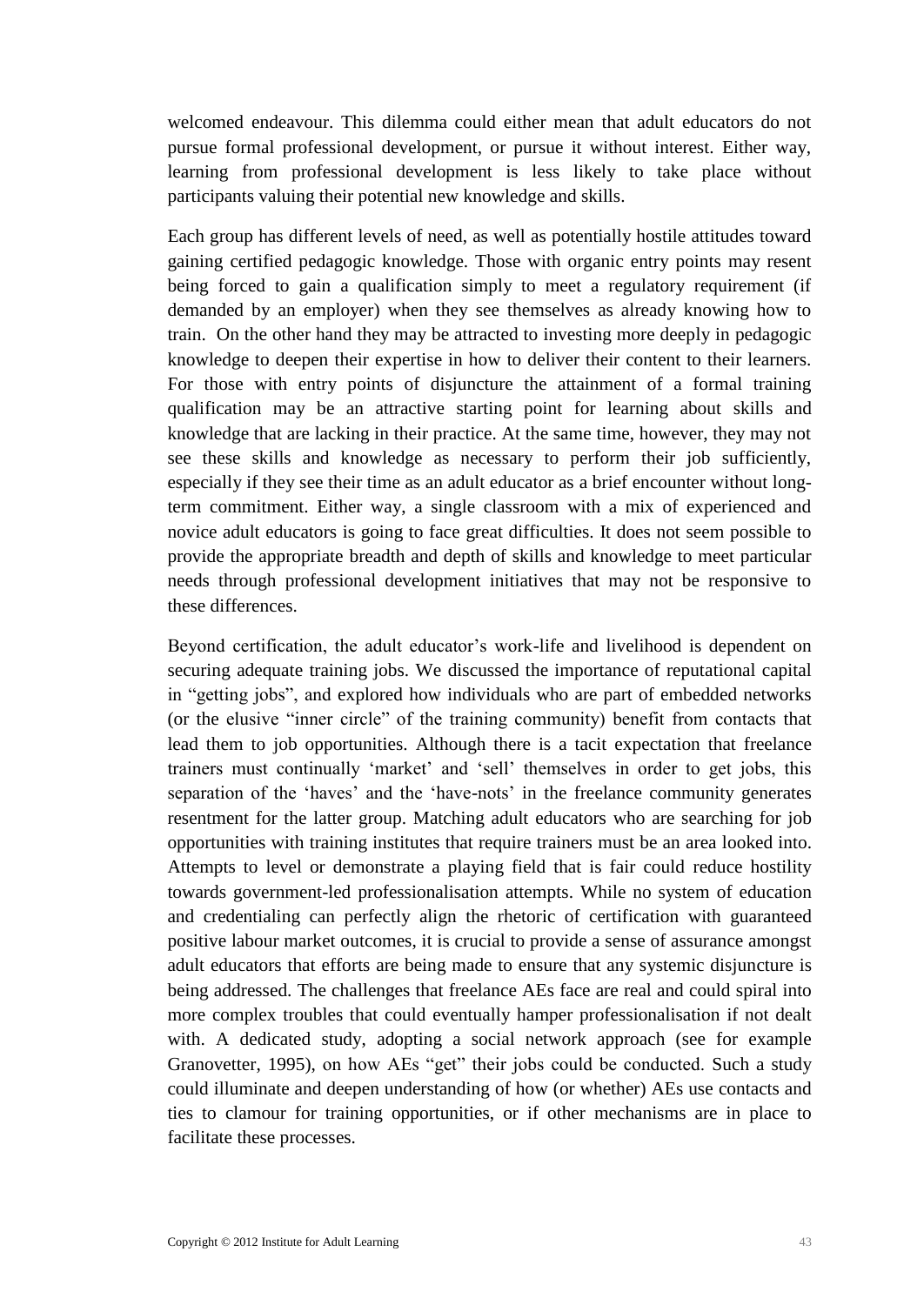welcomed endeavour. This dilemma could either mean that adult educators do not pursue formal professional development, or pursue it without interest. Either way, learning from professional development is less likely to take place without participants valuing their potential new knowledge and skills.

Each group has different levels of need, as well as potentially hostile attitudes toward gaining certified pedagogic knowledge. Those with organic entry points may resent being forced to gain a qualification simply to meet a regulatory requirement (if demanded by an employer) when they see themselves as already knowing how to train. On the other hand they may be attracted to investing more deeply in pedagogic knowledge to deepen their expertise in how to deliver their content to their learners. For those with entry points of disjuncture the attainment of a formal training qualification may be an attractive starting point for learning about skills and knowledge that are lacking in their practice. At the same time, however, they may not see these skills and knowledge as necessary to perform their job sufficiently, especially if they see their time as an adult educator as a brief encounter without longterm commitment. Either way, a single classroom with a mix of experienced and novice adult educators is going to face great difficulties. It does not seem possible to provide the appropriate breadth and depth of skills and knowledge to meet particular needs through professional development initiatives that may not be responsive to these differences.

Beyond certification, the adult educator's work-life and livelihood is dependent on securing adequate training jobs. We discussed the importance of reputational capital in "getting jobs", and explored how individuals who are part of embedded networks (or the elusive "inner circle" of the training community) benefit from contacts that lead them to job opportunities. Although there is a tacit expectation that freelance trainers must continually 'market' and 'sell' themselves in order to get jobs, this separation of the 'haves' and the 'have-nots' in the freelance community generates resentment for the latter group. Matching adult educators who are searching for job opportunities with training institutes that require trainers must be an area looked into. Attempts to level or demonstrate a playing field that is fair could reduce hostility towards government-led professionalisation attempts. While no system of education and credentialing can perfectly align the rhetoric of certification with guaranteed positive labour market outcomes, it is crucial to provide a sense of assurance amongst adult educators that efforts are being made to ensure that any systemic disjuncture is being addressed. The challenges that freelance AEs face are real and could spiral into more complex troubles that could eventually hamper professionalisation if not dealt with. A dedicated study, adopting a social network approach (see for example Granovetter, 1995), on how AEs "get" their jobs could be conducted. Such a study could illuminate and deepen understanding of how (or whether) AEs use contacts and ties to clamour for training opportunities, or if other mechanisms are in place to facilitate these processes.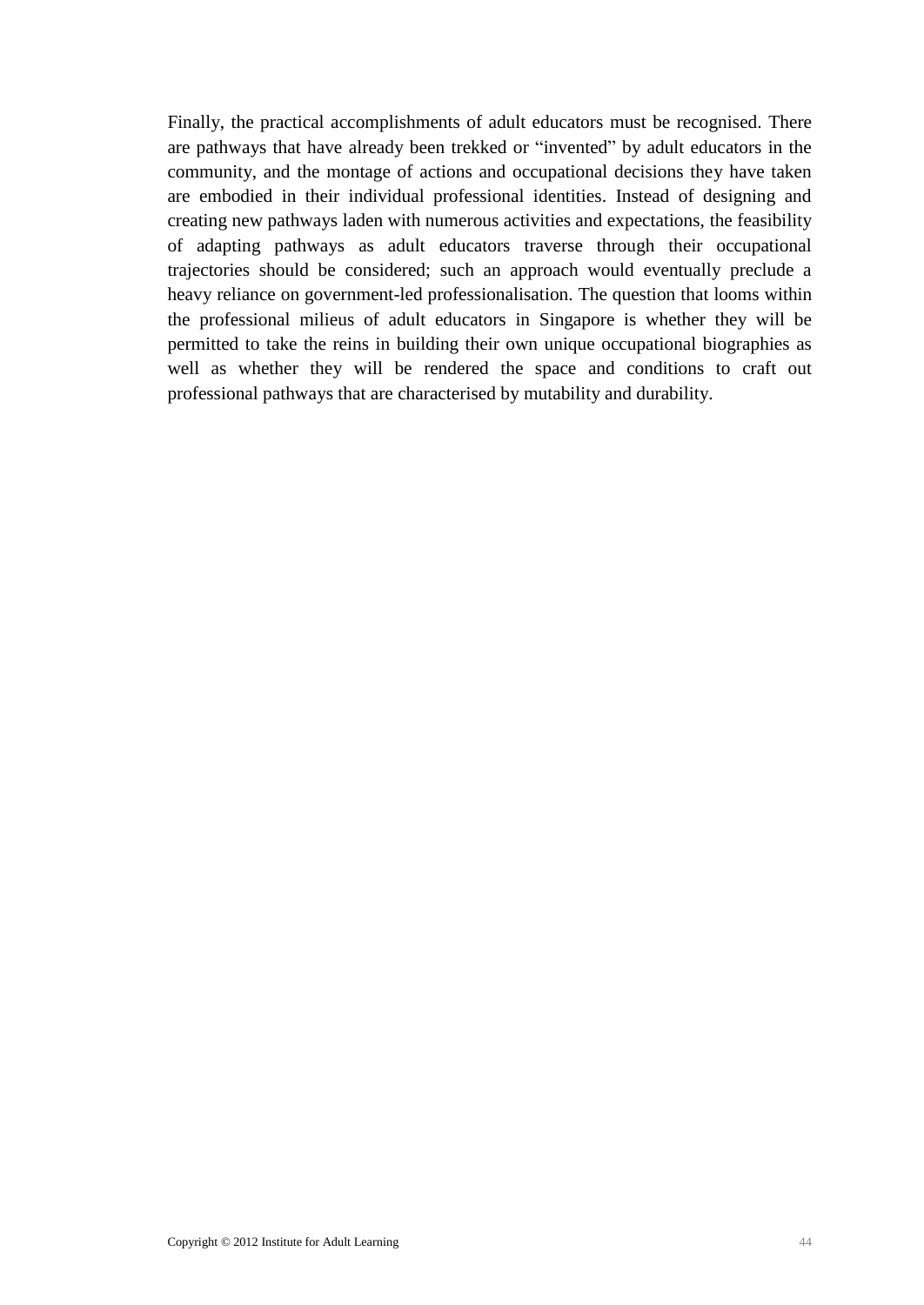Finally, the practical accomplishments of adult educators must be recognised. There are pathways that have already been trekked or "invented" by adult educators in the community, and the montage of actions and occupational decisions they have taken are embodied in their individual professional identities. Instead of designing and creating new pathways laden with numerous activities and expectations, the feasibility of adapting pathways as adult educators traverse through their occupational trajectories should be considered; such an approach would eventually preclude a heavy reliance on government-led professionalisation. The question that looms within the professional milieus of adult educators in Singapore is whether they will be permitted to take the reins in building their own unique occupational biographies as well as whether they will be rendered the space and conditions to craft out professional pathways that are characterised by mutability and durability.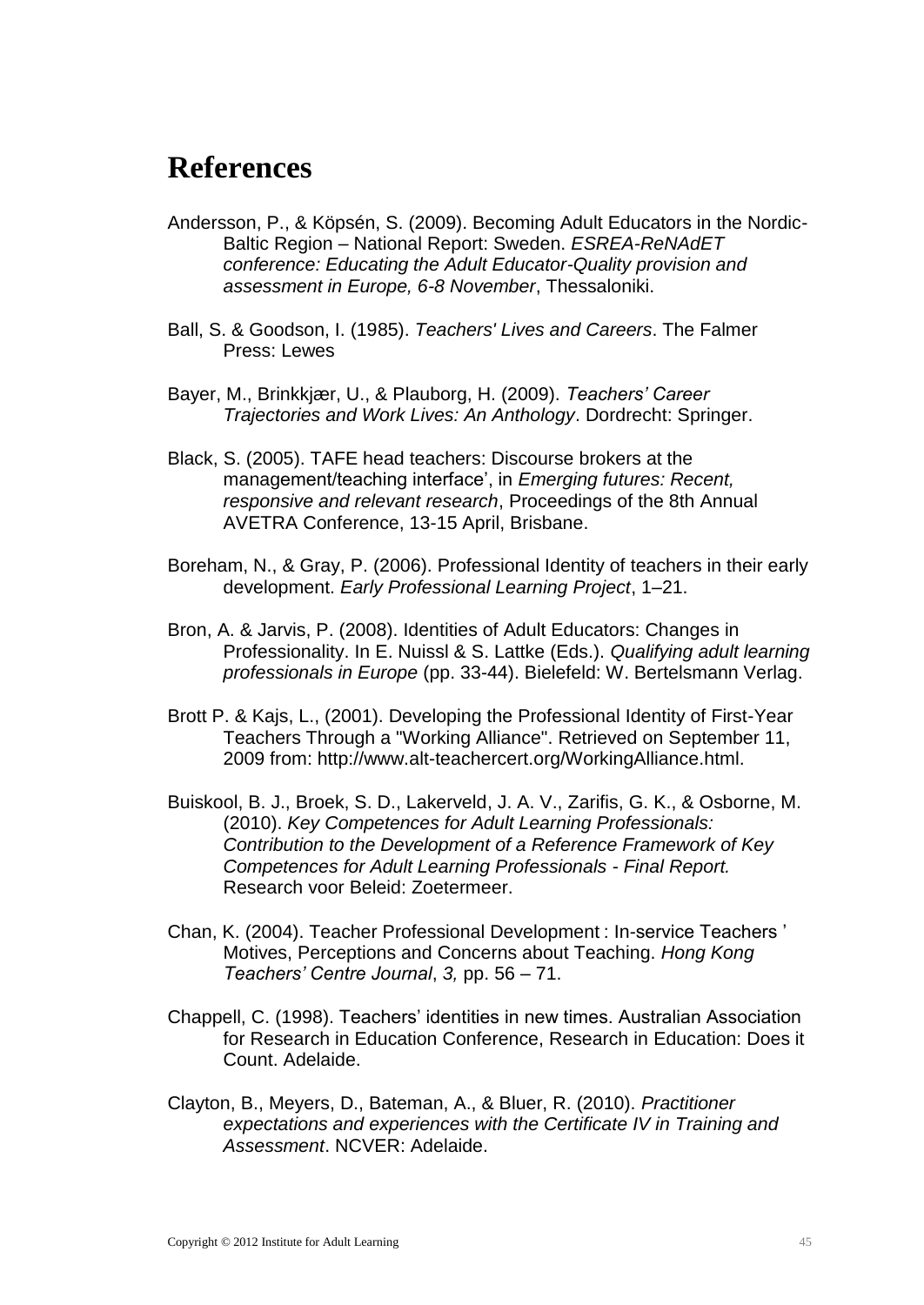### <span id="page-48-0"></span>**References**

- Andersson, P., & Köpsén, S. (2009). Becoming Adult Educators in the Nordic-Baltic Region – National Report: Sweden. *ESREA-ReNAdET conference: Educating the Adult Educator-Quality provision and assessment in Europe, 6-8 November*, Thessaloniki.
- Ball, S. & Goodson, I. (1985). *Teachers' Lives and Careers*. The Falmer Press: Lewes
- Bayer, M., Brinkkjær, U., & Plauborg, H. (2009). *Teachers' Career Trajectories and Work Lives: An Anthology*. Dordrecht: Springer.
- Black, S. (2005). TAFE head teachers: Discourse brokers at the management/teaching interface', in *Emerging futures: Recent, responsive and relevant research*, Proceedings of the 8th Annual AVETRA Conference, 13-15 April, Brisbane.
- Boreham, N., & Gray, P. (2006). Professional Identity of teachers in their early development. *Early Professional Learning Project*, 1–21.
- Bron, A. & Jarvis, P. (2008). Identities of Adult Educators: Changes in Professionality. In E. Nuissl & S. Lattke (Eds.). *Qualifying adult learning professionals in Europe* (pp. 33-44). Bielefeld: W. Bertelsmann Verlag.
- Brott P. & Kajs, L., (2001). Developing the Professional Identity of First-Year Teachers Through a "Working Alliance". Retrieved on September 11, 2009 from: http://www.alt-teachercert.org/WorkingAlliance.html.
- Buiskool, B. J., Broek, S. D., Lakerveld, J. A. V., Zarifis, G. K., & Osborne, M. (2010). *Key Competences for Adult Learning Professionals: Contribution to the Development of a Reference Framework of Key Competences for Adult Learning Professionals - Final Report.* Research voor Beleid: Zoetermeer.
- Chan, K. (2004). Teacher Professional Development : In-service Teachers ' Motives, Perceptions and Concerns about Teaching. *Hong Kong Teachers' Centre Journal*, *3,* pp. 56 – 71.
- Chappell, C. (1998). Teachers' identities in new times. Australian Association for Research in Education Conference, Research in Education: Does it Count. Adelaide.
- Clayton, B., Meyers, D., Bateman, A., & Bluer, R. (2010). *Practitioner expectations and experiences with the Certificate IV in Training and Assessment*. NCVER: Adelaide.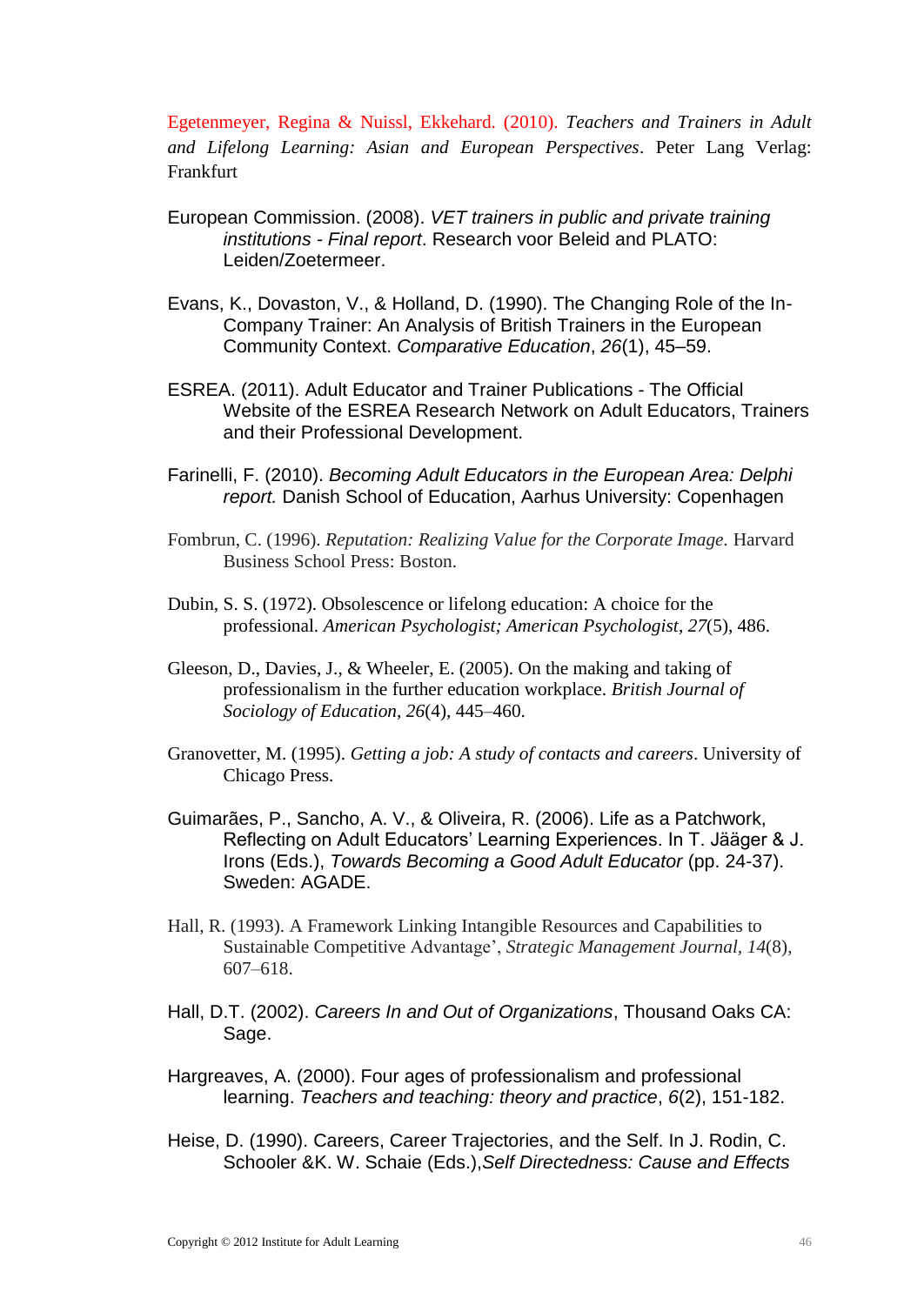Egetenmeyer, Regina & Nuissl, Ekkehard. (2010). *Teachers and Trainers in Adult and Lifelong Learning: Asian and European Perspectives*. Peter Lang Verlag: Frankfurt

- European Commission. (2008). *VET trainers in public and private training institutions - Final report*. Research voor Beleid and PLATO: Leiden/Zoetermeer.
- Evans, K., Dovaston, V., & Holland, D. (1990). The Changing Role of the In-Company Trainer: An Analysis of British Trainers in the European Community Context. *Comparative Education*, *26*(1), 45–59.
- ESREA. (2011). Adult Educator and Trainer Publications The Official Website of the ESREA Research Network on Adult Educators, Trainers and their Professional Development.
- Farinelli, F. (2010). *Becoming Adult Educators in the European Area: Delphi report.* Danish School of Education, Aarhus University: Copenhagen
- Fombrun, C. (1996). *Reputation: Realizing Value for the Corporate Image.* Harvard Business School Press: Boston.
- Dubin, S. S. (1972). Obsolescence or lifelong education: A choice for the professional. *American Psychologist; American Psychologist*, *27*(5), 486.
- Gleeson, D., Davies, J., & Wheeler, E. (2005). On the making and taking of professionalism in the further education workplace. *British Journal of Sociology of Education*, *26*(4), 445–460.
- Granovetter, M. (1995). *Getting a job: A study of contacts and careers*. University of Chicago Press.
- Guimarães, P., Sancho, A. V., & Oliveira, R. (2006). Life as a Patchwork, Reflecting on Adult Educators' Learning Experiences. In T. Jääger & J. Irons (Eds.), *Towards Becoming a Good Adult Educator* (pp. 24-37). Sweden: AGADE.
- Hall, R. (1993). A Framework Linking Intangible Resources and Capabilities to Sustainable Competitive Advantage', *Strategic Management Journal, 14*(8), 607–618.
- Hall, D.T. (2002). *Careers In and Out of Organizations*, Thousand Oaks CA: Sage.
- Hargreaves, A. (2000). Four ages of professionalism and professional learning. *Teachers and teaching: theory and practice*, *6*(2), 151-182.
- Heise, D. (1990). Careers, Career Trajectories, and the Self. In J. Rodin, C. Schooler &K. W. Schaie (Eds.),*Self Directedness: Cause and Effects*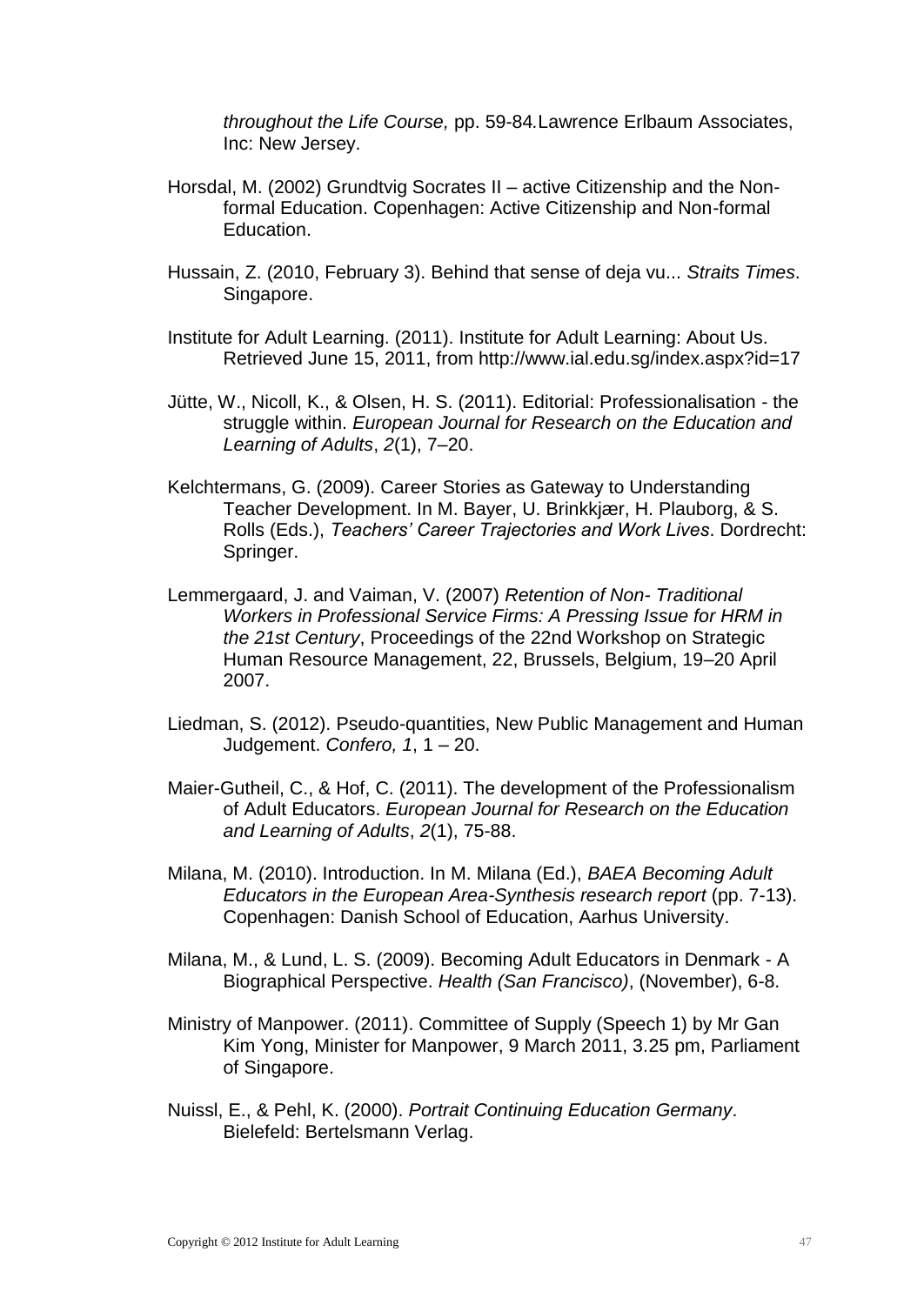*throughout the Life Course,* pp. 59-84*.*Lawrence Erlbaum Associates, Inc: New Jersey.

- Horsdal, M. (2002) Grundtvig Socrates II active Citizenship and the Nonformal Education. Copenhagen: Active Citizenship and Non-formal Education.
- Hussain, Z. (2010, February 3). Behind that sense of deja vu... *Straits Times*. Singapore.
- Institute for Adult Learning. (2011). Institute for Adult Learning: About Us. Retrieved June 15, 2011, from http://www.ial.edu.sg/index.aspx?id=17
- Jütte, W., Nicoll, K., & Olsen, H. S. (2011). Editorial: Professionalisation the struggle within. *European Journal for Research on the Education and Learning of Adults*, *2*(1), 7–20.
- Kelchtermans, G. (2009). Career Stories as Gateway to Understanding Teacher Development. In M. Bayer, U. Brinkkjær, H. Plauborg, & S. Rolls (Eds.), *Teachers' Career Trajectories and Work Lives*. Dordrecht: Springer.
- Lemmergaard, J. and Vaiman, V. (2007) *Retention of Non- Traditional Workers in Professional Service Firms: A Pressing Issue for HRM in the 21st Century*, Proceedings of the 22nd Workshop on Strategic Human Resource Management, 22, Brussels, Belgium, 19–20 April 2007.
- Liedman, S. (2012). Pseudo-quantities, New Public Management and Human Judgement. *Confero, 1*, 1 – 20.
- Maier-Gutheil, C., & Hof, C. (2011). The development of the Professionalism of Adult Educators. *European Journal for Research on the Education and Learning of Adults*, *2*(1), 75-88.
- Milana, M. (2010). Introduction. In M. Milana (Ed.), *BAEA Becoming Adult Educators in the European Area-Synthesis research report* (pp. 7-13). Copenhagen: Danish School of Education, Aarhus University.
- Milana, M., & Lund, L. S. (2009). Becoming Adult Educators in Denmark A Biographical Perspective. *Health (San Francisco)*, (November), 6-8.
- Ministry of Manpower. (2011). Committee of Supply (Speech 1) by Mr Gan Kim Yong, Minister for Manpower, 9 March 2011, 3.25 pm, Parliament of Singapore.
- Nuissl, E., & Pehl, K. (2000). *Portrait Continuing Education Germany*. Bielefeld: Bertelsmann Verlag.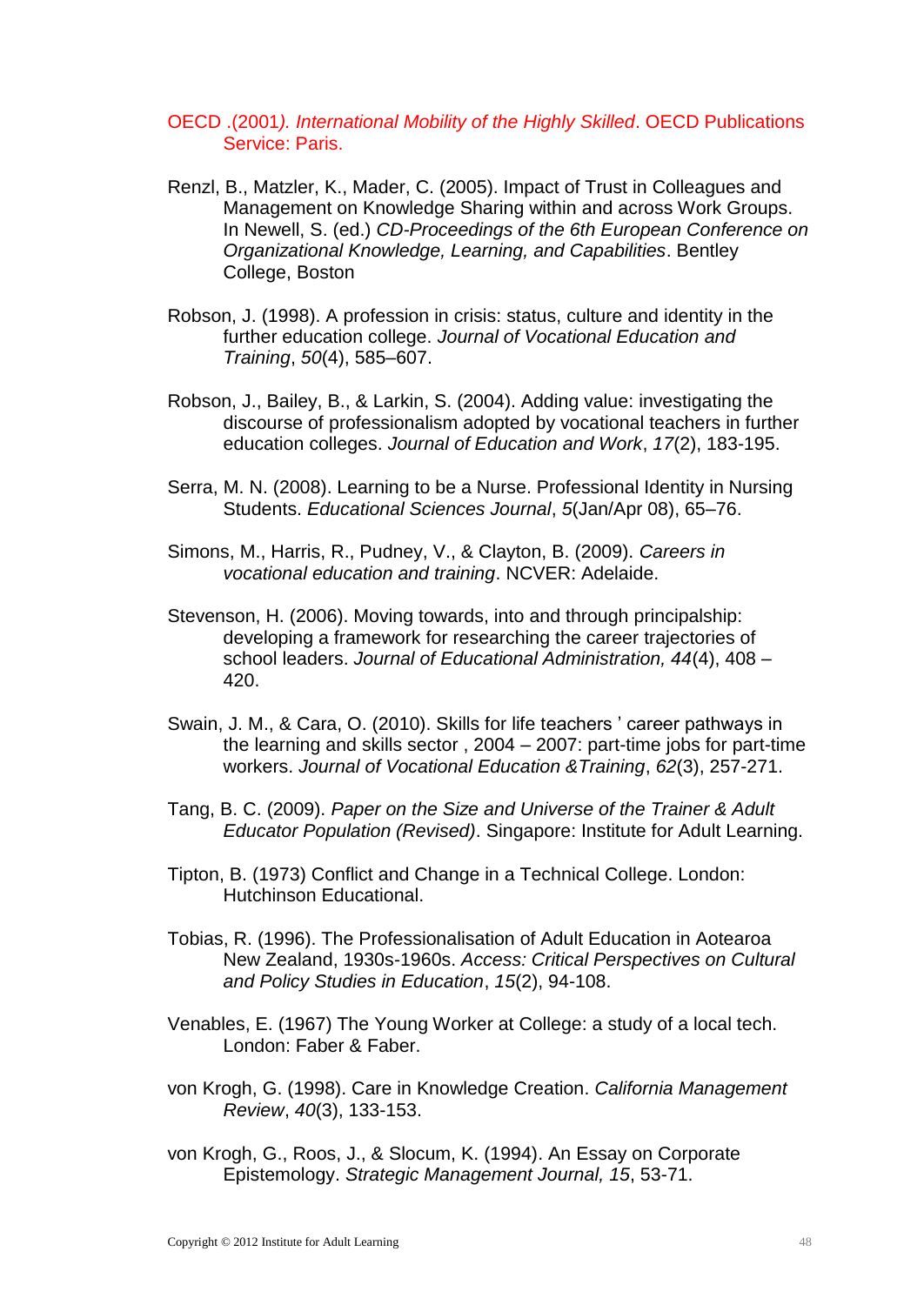#### OECD .(2001*). International Mobility of the Highly Skilled*. OECD Publications Service: Paris.

- Renzl, B., Matzler, K., Mader, C. (2005). Impact of Trust in Colleagues and Management on Knowledge Sharing within and across Work Groups. In Newell, S. (ed.) *CD-Proceedings of the 6th European Conference on Organizational Knowledge, Learning, and Capabilities*. Bentley College, Boston
- Robson, J. (1998). A profession in crisis: status, culture and identity in the further education college. *Journal of Vocational Education and Training*, *50*(4), 585–607.
- Robson, J., Bailey, B., & Larkin, S. (2004). Adding value: investigating the discourse of professionalism adopted by vocational teachers in further education colleges. *Journal of Education and Work*, *17*(2), 183-195.
- Serra, M. N. (2008). Learning to be a Nurse. Professional Identity in Nursing Students. *Educational Sciences Journal*, *5*(Jan/Apr 08), 65–76.
- Simons, M., Harris, R., Pudney, V., & Clayton, B. (2009). *Careers in vocational education and training*. NCVER: Adelaide.
- Stevenson, H. (2006). Moving towards, into and through principalship: developing a framework for researching the career trajectories of school leaders. *Journal of Educational Administration, 44*(4), 408 – 420.
- Swain, J. M., & Cara, O. (2010). Skills for life teachers ' career pathways in the learning and skills sector , 2004 – 2007: part-time jobs for part-time workers. *Journal of Vocational Education &Training*, *62*(3), 257-271.
- Tang, B. C. (2009). *Paper on the Size and Universe of the Trainer & Adult Educator Population (Revised)*. Singapore: Institute for Adult Learning.
- Tipton, B. (1973) Conflict and Change in a Technical College. London: Hutchinson Educational.
- Tobias, R. (1996). The Professionalisation of Adult Education in Aotearoa New Zealand, 1930s-1960s. *Access: Critical Perspectives on Cultural and Policy Studies in Education*, *15*(2), 94-108.
- Venables, E. (1967) The Young Worker at College: a study of a local tech. London: Faber & Faber.
- von Krogh, G. (1998). Care in Knowledge Creation. *California Management Review*, *40*(3), 133-153.
- von Krogh, G., Roos, J., & Slocum, K. (1994). An Essay on Corporate Epistemology. *Strategic Management Journal, 15*, 53-71.